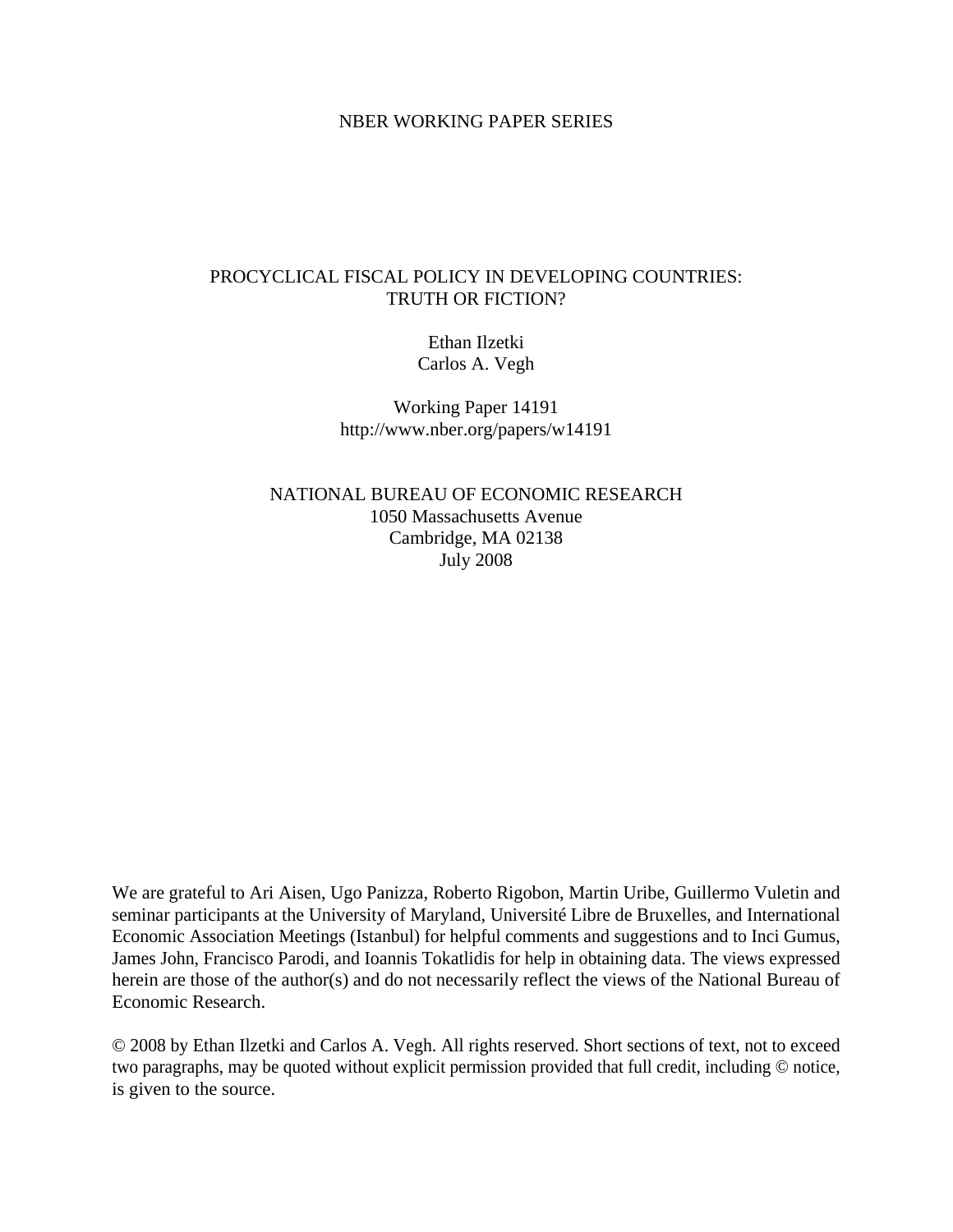### NBER WORKING PAPER SERIES

### PROCYCLICAL FISCAL POLICY IN DEVELOPING COUNTRIES: TRUTH OR FICTION?

Ethan Ilzetki Carlos A. Vegh

Working Paper 14191 http://www.nber.org/papers/w14191

NATIONAL BUREAU OF ECONOMIC RESEARCH 1050 Massachusetts Avenue Cambridge, MA 02138 July 2008

We are grateful to Ari Aisen, Ugo Panizza, Roberto Rigobon, Martin Uribe, Guillermo Vuletin and seminar participants at the University of Maryland, Université Libre de Bruxelles, and International Economic Association Meetings (Istanbul) for helpful comments and suggestions and to Inci Gumus, James John, Francisco Parodi, and Ioannis Tokatlidis for help in obtaining data. The views expressed herein are those of the author(s) and do not necessarily reflect the views of the National Bureau of Economic Research.

© 2008 by Ethan Ilzetki and Carlos A. Vegh. All rights reserved. Short sections of text, not to exceed two paragraphs, may be quoted without explicit permission provided that full credit, including © notice, is given to the source.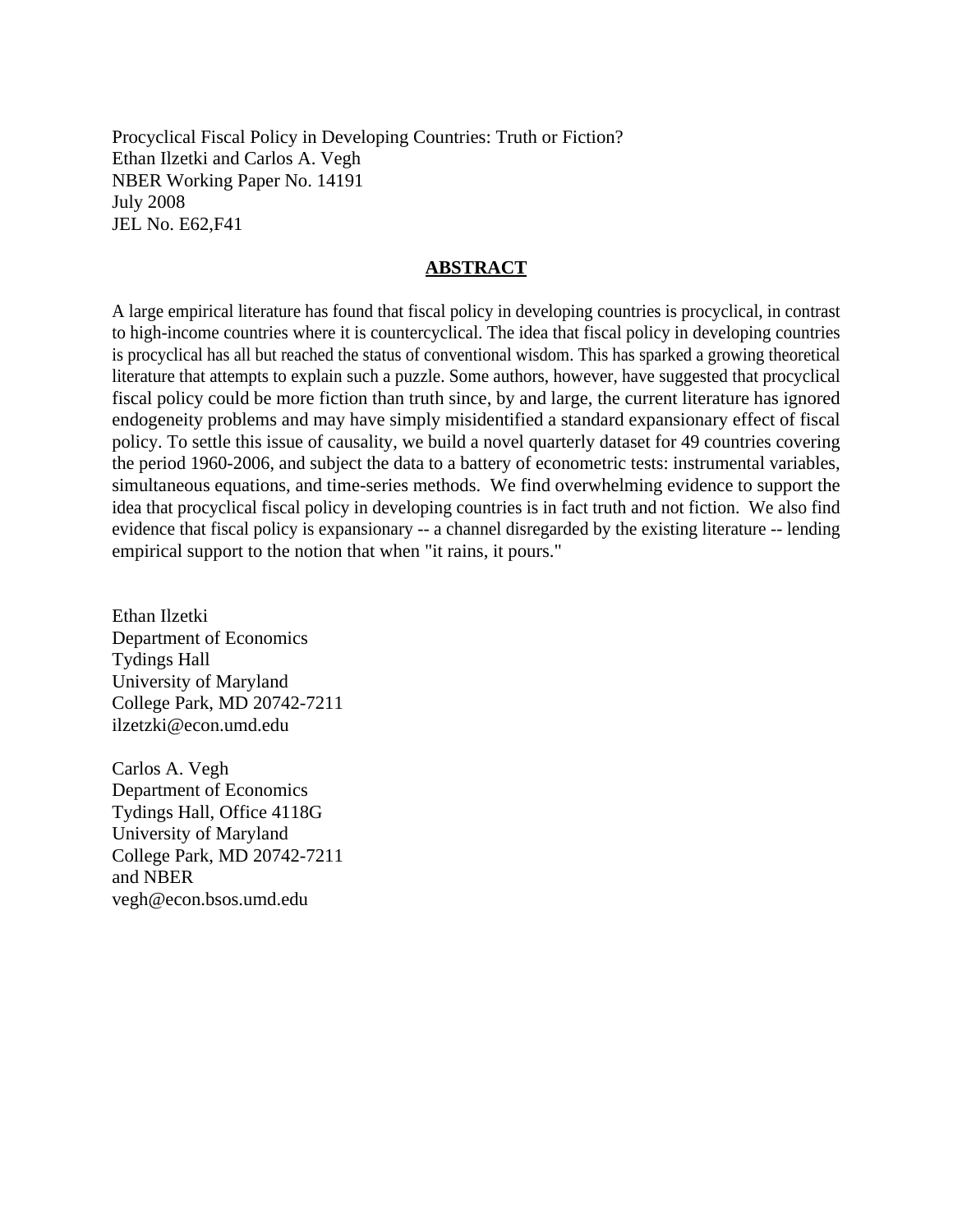Procyclical Fiscal Policy in Developing Countries: Truth or Fiction? Ethan Ilzetki and Carlos A. Vegh NBER Working Paper No. 14191 July 2008 JEL No. E62,F41

### **ABSTRACT**

A large empirical literature has found that fiscal policy in developing countries is procyclical, in contrast to high-income countries where it is countercyclical. The idea that fiscal policy in developing countries is procyclical has all but reached the status of conventional wisdom. This has sparked a growing theoretical literature that attempts to explain such a puzzle. Some authors, however, have suggested that procyclical fiscal policy could be more fiction than truth since, by and large, the current literature has ignored endogeneity problems and may have simply misidentified a standard expansionary effect of fiscal policy. To settle this issue of causality, we build a novel quarterly dataset for 49 countries covering the period 1960-2006, and subject the data to a battery of econometric tests: instrumental variables, simultaneous equations, and time-series methods. We find overwhelming evidence to support the idea that procyclical fiscal policy in developing countries is in fact truth and not fiction. We also find evidence that fiscal policy is expansionary -- a channel disregarded by the existing literature -- lending empirical support to the notion that when "it rains, it pours."

Ethan Ilzetki Department of Economics Tydings Hall University of Maryland College Park, MD 20742-7211 ilzetzki@econ.umd.edu

Carlos A. Vegh Department of Economics Tydings Hall, Office 4118G University of Maryland College Park, MD 20742-7211 and NBER vegh@econ.bsos.umd.edu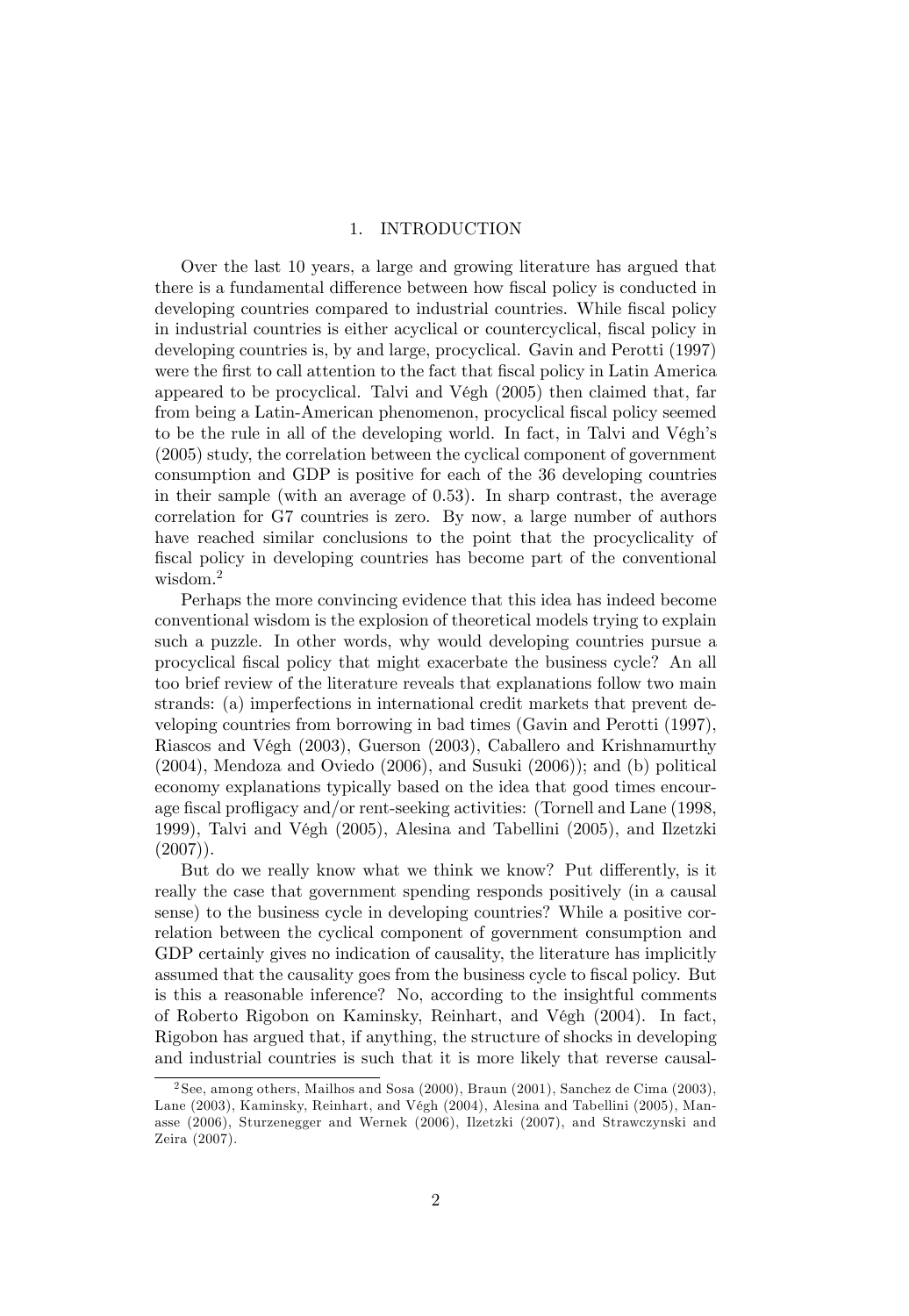#### 1. INTRODUCTION

Over the last 10 years, a large and growing literature has argued that there is a fundamental difference between how fiscal policy is conducted in developing countries compared to industrial countries. While fiscal policy in industrial countries is either acyclical or countercyclical, fiscal policy in developing countries is, by and large, procyclical. Gavin and Perotti (1997) were the first to call attention to the fact that fiscal policy in Latin America appeared to be procyclical. Talvi and Végh  $(2005)$  then claimed that, far from being a Latin-American phenomenon, procyclical fiscal policy seemed to be the rule in all of the developing world. In fact, in Talvi and Végh's (2005) study, the correlation between the cyclical component of government consumption and GDP is positive for each of the 36 developing countries in their sample (with an average of 0.53). In sharp contrast, the average correlation for G7 countries is zero. By now, a large number of authors have reached similar conclusions to the point that the procyclicality of fiscal policy in developing countries has become part of the conventional wisdom.<sup>2</sup>

Perhaps the more convincing evidence that this idea has indeed become conventional wisdom is the explosion of theoretical models trying to explain such a puzzle. In other words, why would developing countries pursue a procyclical fiscal policy that might exacerbate the business cycle? An all too brief review of the literature reveals that explanations follow two main strands: (a) imperfections in international credit markets that prevent developing countries from borrowing in bad times (Gavin and Perotti (1997), Riascos and VÈgh (2003), Guerson (2003), Caballero and Krishnamurthy (2004), Mendoza and Oviedo (2006), and Susuki (2006)); and (b) political economy explanations typically based on the idea that good times encourage fiscal profligacy and/or rent-seeking activities: (Tornell and Lane (1998, 1999), Talvi and VÈgh (2005), Alesina and Tabellini (2005), and Ilzetzki  $(2007)$ ).

But do we really know what we think we know? Put differently, is it really the case that government spending responds positively (in a causal sense) to the business cycle in developing countries? While a positive correlation between the cyclical component of government consumption and GDP certainly gives no indication of causality, the literature has implicitly assumed that the causality goes from the business cycle to fiscal policy. But is this a reasonable inference? No, according to the insightful comments of Roberto Rigobon on Kaminsky, Reinhart, and VÈgh (2004). In fact, Rigobon has argued that, if anything, the structure of shocks in developing and industrial countries is such that it is more likely that reverse causal-

<sup>2</sup> See, among others, Mailhos and Sosa (2000), Braun (2001), Sanchez de Cima (2003), Lane (2003), Kaminsky, Reinhart, and Végh (2004), Alesina and Tabellini (2005), Manasse (2006), Sturzenegger and Wernek (2006), Ilzetzki (2007), and Strawczynski and Zeira (2007).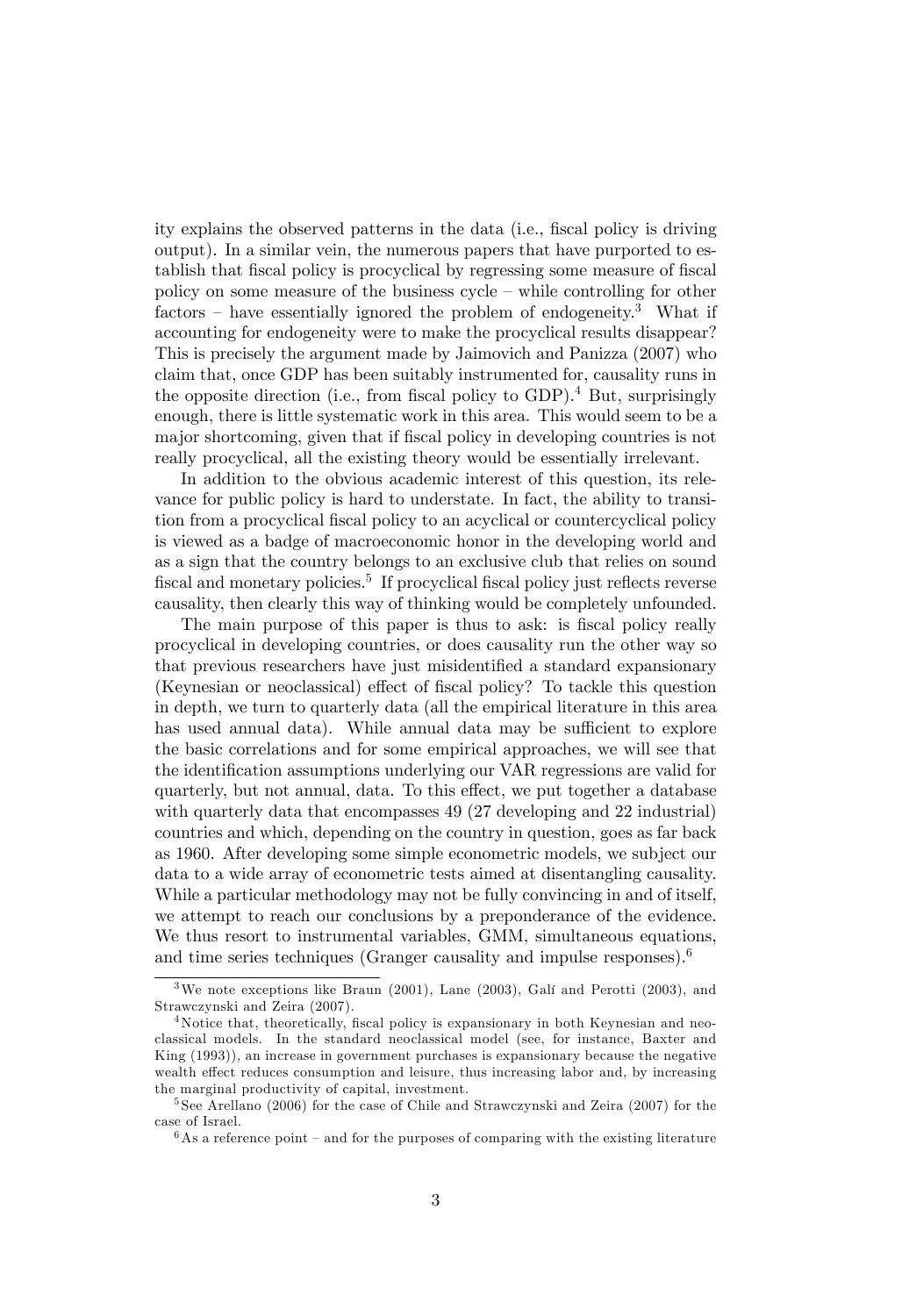ity explains the observed patterns in the data (i.e., fiscal policy is driving output). In a similar vein, the numerous papers that have purported to establish that fiscal policy is procyclical by regressing some measure of fiscal policy on some measure of the business cycle  $-$  while controlling for other factors – have essentially ignored the problem of endogeneity.<sup>3</sup> What if accounting for endogeneity were to make the procyclical results disappear? This is precisely the argument made by Jaimovich and Panizza (2007) who claim that, once GDP has been suitably instrumented for, causality runs in the opposite direction (i.e., from fiscal policy to GDP).<sup>4</sup> But, surprisingly enough, there is little systematic work in this area. This would seem to be a major shortcoming, given that if fiscal policy in developing countries is not really procyclical, all the existing theory would be essentially irrelevant.

In addition to the obvious academic interest of this question, its relevance for public policy is hard to understate. In fact, the ability to transition from a procyclical fiscal policy to an acyclical or countercyclical policy is viewed as a badge of macroeconomic honor in the developing world and as a sign that the country belongs to an exclusive club that relies on sound fiscal and monetary policies.<sup>5</sup> If procyclical fiscal policy just reflects reverse causality, then clearly this way of thinking would be completely unfounded.

The main purpose of this paper is thus to ask: is fiscal policy really procyclical in developing countries, or does causality run the other way so that previous researchers have just misidentified a standard expansionary (Keynesian or neoclassical) effect of fiscal policy? To tackle this question in depth, we turn to quarterly data (all the empirical literature in this area has used annual data). While annual data may be sufficient to explore the basic correlations and for some empirical approaches, we will see that the identification assumptions underlying our VAR regressions are valid for quarterly, but not annual, data. To this effect, we put together a database with quarterly data that encompasses 49 (27 developing and 22 industrial) countries and which, depending on the country in question, goes as far back as 1960. After developing some simple econometric models, we subject our data to a wide array of econometric tests aimed at disentangling causality. While a particular methodology may not be fully convincing in and of itself, we attempt to reach our conclusions by a preponderance of the evidence. We thus resort to instrumental variables, GMM, simultaneous equations, and time series techniques (Granger causality and impulse responses).<sup>6</sup>

 $3$ We note exceptions like Braun (2001), Lane (2003), Galí and Perotti (2003), and Strawczynski and Zeira (2007).

<sup>&</sup>lt;sup>4</sup>Notice that, theoretically, fiscal policy is expansionary in both Keynesian and neoclassical models. In the standard neoclassical model (see, for instance, Baxter and King (1993)), an increase in government purchases is expansionary because the negative wealth effect reduces consumption and leisure, thus increasing labor and, by increasing the marginal productivity of capital, investment.

<sup>5</sup> See Arellano (2006) for the case of Chile and Strawczynski and Zeira (2007) for the case of Israel.

 $6$ As a reference point – and for the purposes of comparing with the existing literature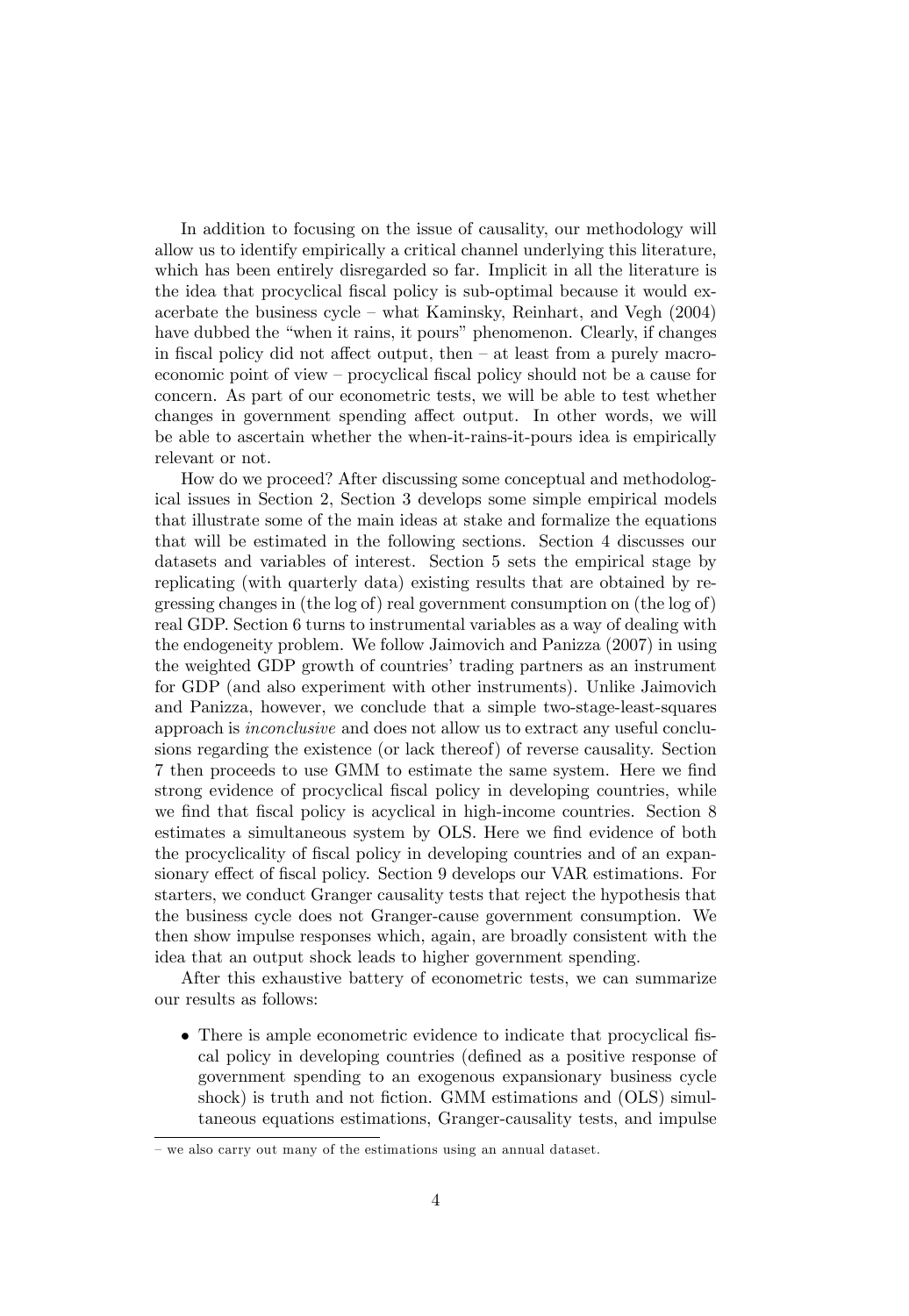In addition to focusing on the issue of causality, our methodology will allow us to identify empirically a critical channel underlying this literature, which has been entirely disregarded so far. Implicit in all the literature is the idea that procyclical fiscal policy is sub-optimal because it would exacerbate the business cycle  $-$  what Kaminsky, Reinhart, and Vegh  $(2004)$ have dubbed the "when it rains, it pours" phenomenon. Clearly, if changes in fiscal policy did not affect output, then  $-$  at least from a purely macroeconomic point of view – procyclical fiscal policy should not be a cause for concern. As part of our econometric tests, we will be able to test whether changes in government spending affect output. In other words, we will be able to ascertain whether the when-it-rains-it-pours idea is empirically relevant or not.

How do we proceed? After discussing some conceptual and methodological issues in Section 2, Section 3 develops some simple empirical models that illustrate some of the main ideas at stake and formalize the equations that will be estimated in the following sections. Section 4 discusses our datasets and variables of interest. Section 5 sets the empirical stage by replicating (with quarterly data) existing results that are obtained by regressing changes in (the log of) real government consumption on (the log of) real GDP. Section 6 turns to instrumental variables as a way of dealing with the endogeneity problem. We follow Jaimovich and Panizza (2007) in using the weighted GDP growth of countries' trading partners as an instrument for GDP (and also experiment with other instruments). Unlike Jaimovich and Panizza, however, we conclude that a simple two-stage-least-squares approach is inconclusive and does not allow us to extract any useful conclusions regarding the existence (or lack thereof) of reverse causality. Section 7 then proceeds to use GMM to estimate the same system. Here we Önd strong evidence of procyclical fiscal policy in developing countries, while we find that fiscal policy is acyclical in high-income countries. Section 8 estimates a simultaneous system by OLS. Here we find evidence of both the procyclicality of fiscal policy in developing countries and of an expansionary effect of fiscal policy. Section 9 develops our VAR estimations. For starters, we conduct Granger causality tests that reject the hypothesis that the business cycle does not Granger-cause government consumption. We then show impulse responses which, again, are broadly consistent with the idea that an output shock leads to higher government spending.

After this exhaustive battery of econometric tests, we can summarize our results as follows:

• There is ample econometric evidence to indicate that procyclical fiscal policy in developing countries (defined as a positive response of government spending to an exogenous expansionary business cycle shock) is truth and not fiction. GMM estimations and (OLS) simultaneous equations estimations, Granger-causality tests, and impulse

<sup>–</sup> we also carry out many of the estimations using an annual dataset.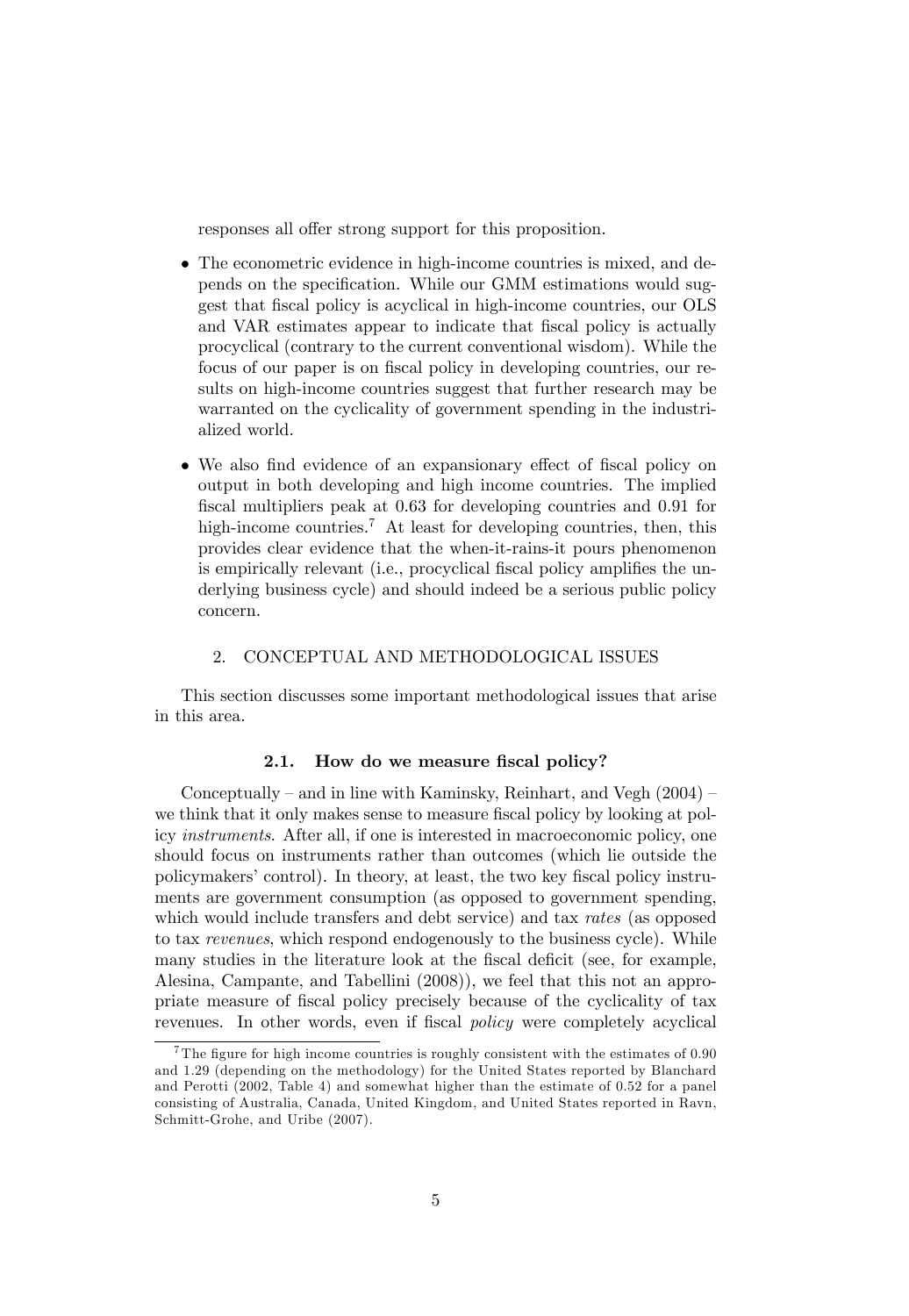responses all offer strong support for this proposition.

- The econometric evidence in high-income countries is mixed, and depends on the specification. While our GMM estimations would suggest that fiscal policy is acyclical in high-income countries, our OLS and VAR estimates appear to indicate that fiscal policy is actually procyclical (contrary to the current conventional wisdom). While the focus of our paper is on fiscal policy in developing countries, our results on high-income countries suggest that further research may be warranted on the cyclicality of government spending in the industrialized world.
- We also find evidence of an expansionary effect of fiscal policy on output in both developing and high income countries. The implied fiscal multipliers peak at 0.63 for developing countries and 0.91 for high-income countries.<sup>7</sup> At least for developing countries, then, this provides clear evidence that the when-it-rains-it pours phenomenon is empirically relevant (i.e., procyclical fiscal policy amplifies the underlying business cycle) and should indeed be a serious public policy concern.

#### 2. CONCEPTUAL AND METHODOLOGICAL ISSUES

This section discusses some important methodological issues that arise in this area.

#### 2.1. How do we measure fiscal policy?

Conceptually – and in line with Kaminsky, Reinhart, and Vegh  $(2004)$  – we think that it only makes sense to measure fiscal policy by looking at policy instruments. After all, if one is interested in macroeconomic policy, one should focus on instruments rather than outcomes (which lie outside the policymakersícontrol). In theory, at least, the two key Öscal policy instruments are government consumption (as opposed to government spending, which would include transfers and debt service) and tax rates (as opposed to tax revenues, which respond endogenously to the business cycle). While many studies in the literature look at the fiscal deficit (see, for example, Alesina, Campante, and Tabellini (2008)), we feel that this not an appropriate measure of Öscal policy precisely because of the cyclicality of tax revenues. In other words, even if fiscal *policy* were completely acyclical

<sup>&</sup>lt;sup>7</sup>The figure for high income countries is roughly consistent with the estimates of  $0.90$ and 1.29 (depending on the methodology) for the United States reported by Blanchard and Perotti (2002, Table 4) and somewhat higher than the estimate of 0.52 for a panel consisting of Australia, Canada, United Kingdom, and United States reported in Ravn, Schmitt-Grohe, and Uribe (2007).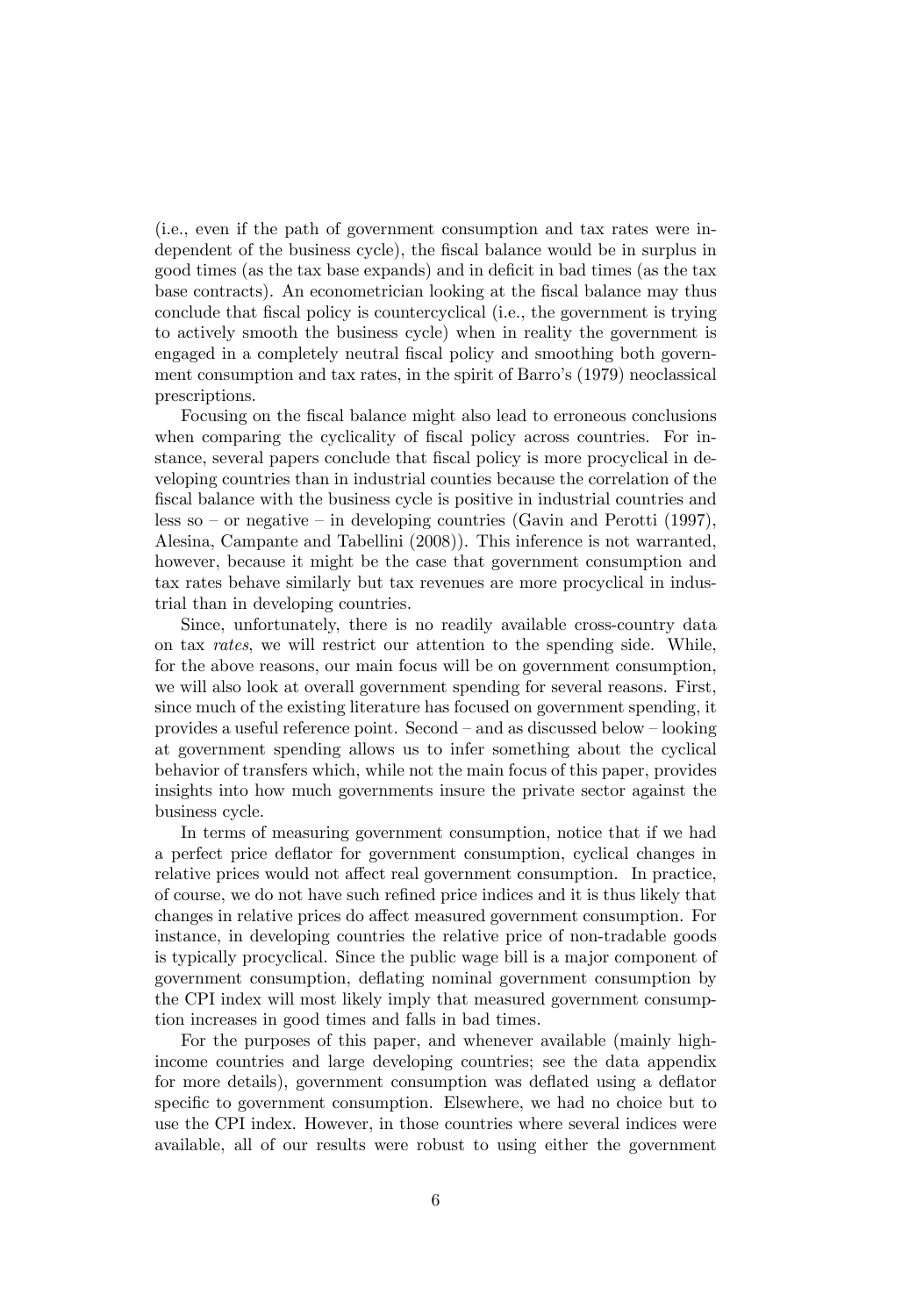(i.e., even if the path of government consumption and tax rates were independent of the business cycle), the fiscal balance would be in surplus in good times (as the tax base expands) and in deficit in bad times (as the tax base contracts). An econometrician looking at the fiscal balance may thus conclude that Öscal policy is countercyclical (i.e., the government is trying to actively smooth the business cycle) when in reality the government is engaged in a completely neutral Öscal policy and smoothing both government consumption and tax rates, in the spirit of Barro's (1979) neoclassical prescriptions.

Focusing on the fiscal balance might also lead to erroneous conclusions when comparing the cyclicality of fiscal policy across countries. For instance, several papers conclude that fiscal policy is more procyclical in developing countries than in industrial counties because the correlation of the Öscal balance with the business cycle is positive in industrial countries and less so  $-$  or negative  $-$  in developing countries (Gavin and Perotti (1997), Alesina, Campante and Tabellini (2008)). This inference is not warranted, however, because it might be the case that government consumption and tax rates behave similarly but tax revenues are more procyclical in industrial than in developing countries.

Since, unfortunately, there is no readily available cross-country data on tax rates, we will restrict our attention to the spending side. While, for the above reasons, our main focus will be on government consumption, we will also look at overall government spending for several reasons. First, since much of the existing literature has focused on government spending, it provides a useful reference point. Second  $-$  and as discussed below  $-$  looking at government spending allows us to infer something about the cyclical behavior of transfers which, while not the main focus of this paper, provides insights into how much governments insure the private sector against the business cycle.

In terms of measuring government consumption, notice that if we had a perfect price deáator for government consumption, cyclical changes in relative prices would not affect real government consumption. In practice, of course, we do not have such reÖned price indices and it is thus likely that changes in relative prices do affect measured government consumption. For instance, in developing countries the relative price of non-tradable goods is typically procyclical. Since the public wage bill is a major component of government consumption, deáating nominal government consumption by the CPI index will most likely imply that measured government consumption increases in good times and falls in bad times.

For the purposes of this paper, and whenever available (mainly highincome countries and large developing countries; see the data appendix for more details), government consumption was deflated using a deflator specific to government consumption. Elsewhere, we had no choice but to use the CPI index. However, in those countries where several indices were available, all of our results were robust to using either the government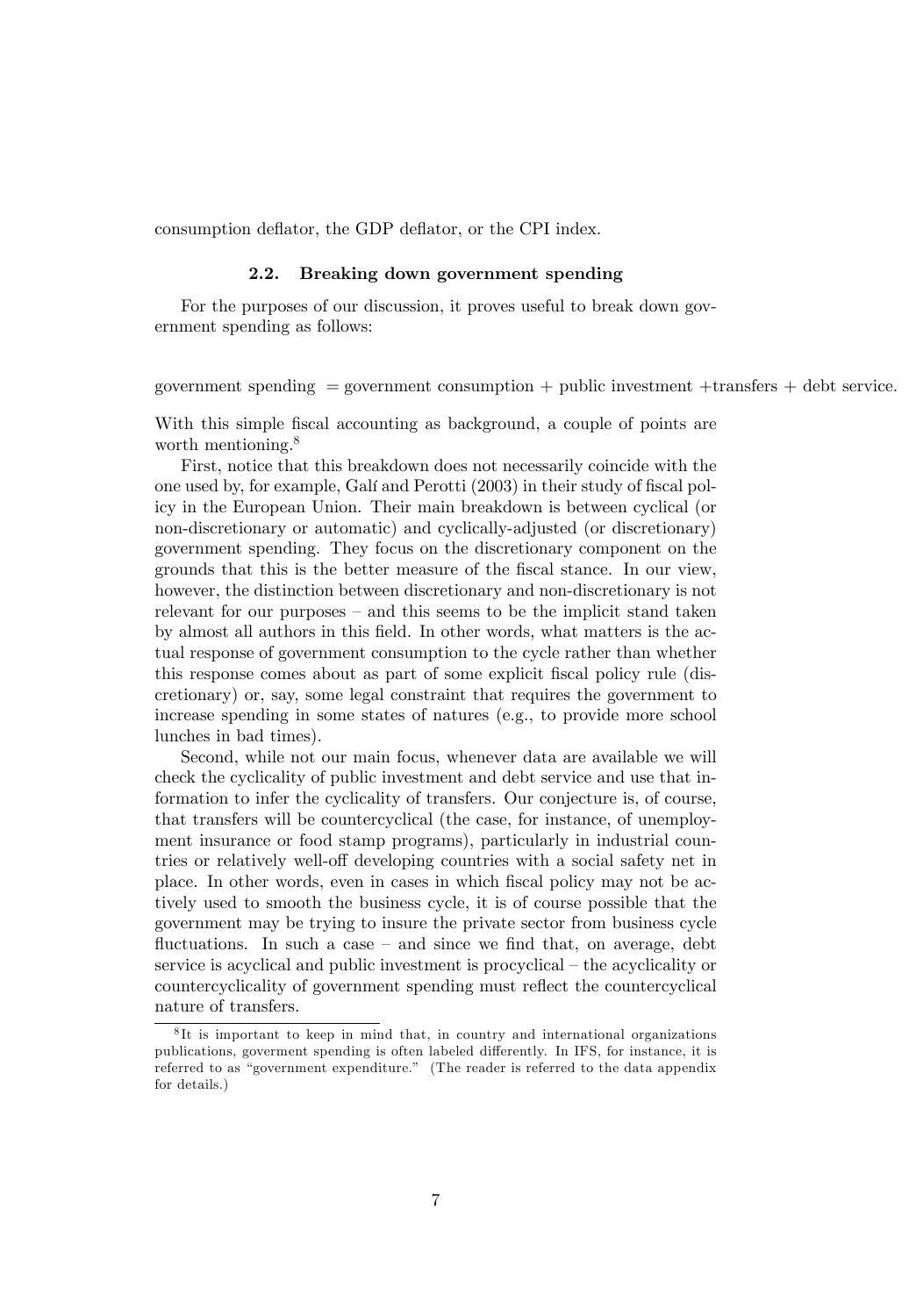consumption deflator, the GDP deflator, or the CPI index.

#### 2.2. Breaking down government spending

For the purposes of our discussion, it proves useful to break down government spending as follows:

government spending  $=$  government consumption  $+$  public investment  $+$ transfers  $+$  debt service.

With this simple fiscal accounting as background, a couple of points are worth mentioning.<sup>8</sup>

First, notice that this breakdown does not necessarily coincide with the one used by, for example, Galí and Perotti (2003) in their study of fiscal policy in the European Union. Their main breakdown is between cyclical (or non-discretionary or automatic) and cyclically-adjusted (or discretionary) government spending. They focus on the discretionary component on the grounds that this is the better measure of the Öscal stance. In our view, however, the distinction between discretionary and non-discretionary is not relevant for our purposes  $-$  and this seems to be the implicit stand taken by almost all authors in this Öeld. In other words, what matters is the actual response of government consumption to the cycle rather than whether this response comes about as part of some explicit fiscal policy rule (discretionary) or, say, some legal constraint that requires the government to increase spending in some states of natures (e.g., to provide more school lunches in bad times).

Second, while not our main focus, whenever data are available we will check the cyclicality of public investment and debt service and use that information to infer the cyclicality of transfers. Our conjecture is, of course, that transfers will be countercyclical (the case, for instance, of unemployment insurance or food stamp programs), particularly in industrial countries or relatively well-off developing countries with a social safety net in place. In other words, even in cases in which Öscal policy may not be actively used to smooth the business cycle, it is of course possible that the government may be trying to insure the private sector from business cycle fluctuations. In such a case  $-$  and since we find that, on average, debt service is acyclical and public investment is procyclical  $-$  the acyclicality or countercyclicality of government spending must reflect the countercyclical nature of transfers.

<sup>8</sup> It is important to keep in mind that, in country and international organizations publications, government spending is often labeled differently. In IFS, for instance, it is referred to as "government expenditure." (The reader is referred to the data appendix for details.)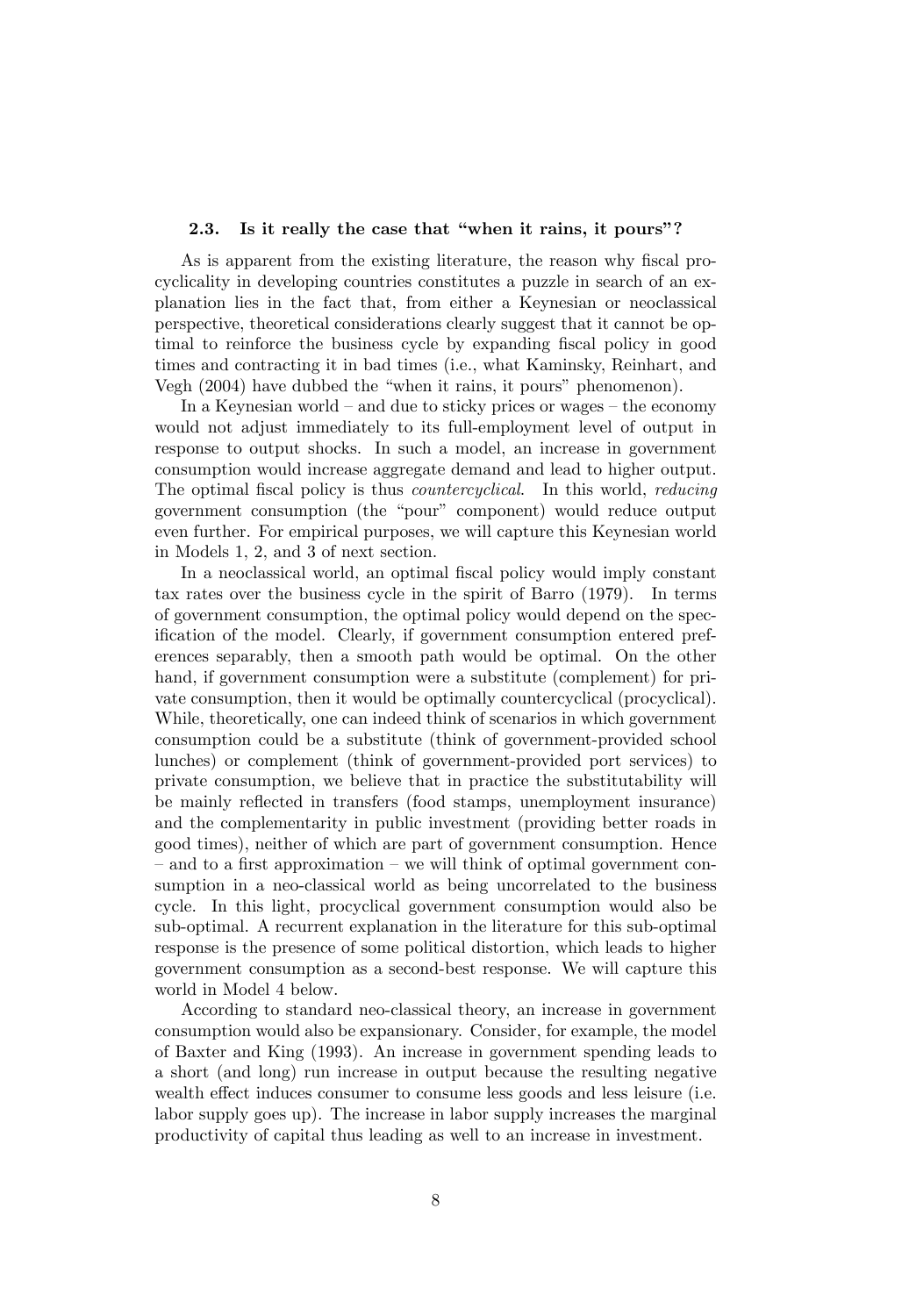#### 2.3. Is it really the case that "when it rains, it pours"?

As is apparent from the existing literature, the reason why fiscal procyclicality in developing countries constitutes a puzzle in search of an explanation lies in the fact that, from either a Keynesian or neoclassical perspective, theoretical considerations clearly suggest that it cannot be optimal to reinforce the business cycle by expanding fiscal policy in good times and contracting it in bad times (i.e., what Kaminsky, Reinhart, and Vegh (2004) have dubbed the "when it rains, it pours" phenomenon).

In a Keynesian world  $-$  and due to sticky prices or wages  $-$  the economy would not adjust immediately to its full-employment level of output in response to output shocks. In such a model, an increase in government consumption would increase aggregate demand and lead to higher output. The optimal fiscal policy is thus *countercyclical*. In this world, *reducing* government consumption (the "pour" component) would reduce output even further. For empirical purposes, we will capture this Keynesian world in Models 1, 2, and 3 of next section.

In a neoclassical world, an optimal fiscal policy would imply constant tax rates over the business cycle in the spirit of Barro (1979). In terms of government consumption, the optimal policy would depend on the specification of the model. Clearly, if government consumption entered preferences separably, then a smooth path would be optimal. On the other hand, if government consumption were a substitute (complement) for private consumption, then it would be optimally countercyclical (procyclical). While, theoretically, one can indeed think of scenarios in which government consumption could be a substitute (think of government-provided school lunches) or complement (think of government-provided port services) to private consumption, we believe that in practice the substitutability will be mainly reflected in transfers (food stamps, unemployment insurance) and the complementarity in public investment (providing better roads in good times), neither of which are part of government consumption. Hence  $\alpha$  and to a first approximation  $\alpha$  we will think of optimal government consumption in a neo-classical world as being uncorrelated to the business cycle. In this light, procyclical government consumption would also be sub-optimal. A recurrent explanation in the literature for this sub-optimal response is the presence of some political distortion, which leads to higher government consumption as a second-best response. We will capture this world in Model 4 below.

According to standard neo-classical theory, an increase in government consumption would also be expansionary. Consider, for example, the model of Baxter and King (1993). An increase in government spending leads to a short (and long) run increase in output because the resulting negative wealth effect induces consumer to consume less goods and less leisure (i.e. labor supply goes up). The increase in labor supply increases the marginal productivity of capital thus leading as well to an increase in investment.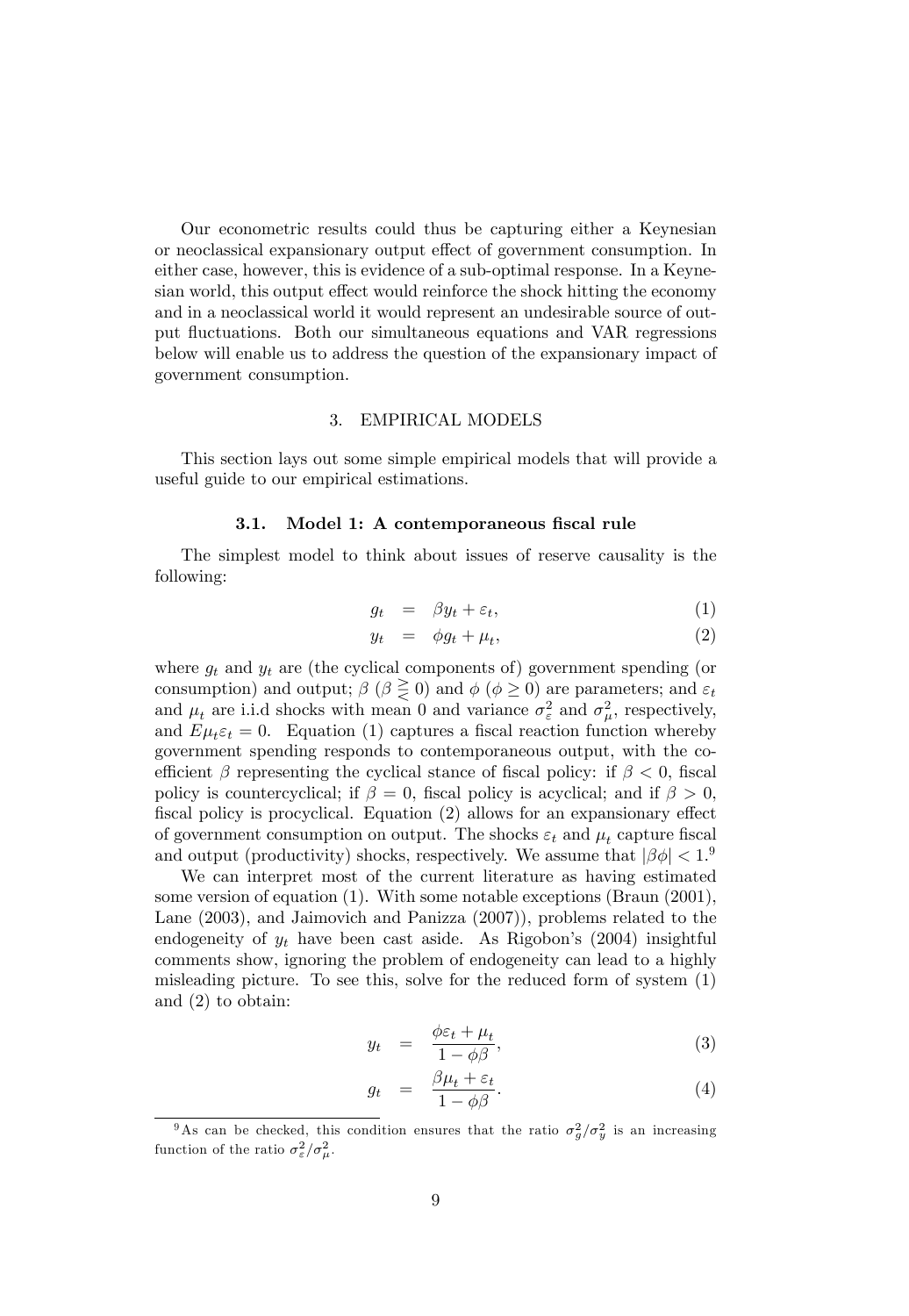Our econometric results could thus be capturing either a Keynesian or neoclassical expansionary output effect of government consumption. In either case, however, this is evidence of a sub-optimal response. In a Keynesian world, this output effect would reinforce the shock hitting the economy and in a neoclassical world it would represent an undesirable source of output fluctuations. Both our simultaneous equations and VAR regressions below will enable us to address the question of the expansionary impact of government consumption.

#### 3. EMPIRICAL MODELS

This section lays out some simple empirical models that will provide a useful guide to our empirical estimations.

#### 3.1. Model 1: A contemporaneous fiscal rule

The simplest model to think about issues of reserve causality is the following:

$$
g_t = \beta y_t + \varepsilon_t, \tag{1}
$$

$$
y_t = \phi g_t + \mu_t,\tag{2}
$$

where  $g_t$  and  $y_t$  are (the cyclical components of) government spending (or consumption) and output;  $\beta$  ( $\beta \geq 0$ ) and  $\phi$  ( $\phi \geq 0$ ) are parameters; and  $\varepsilon_t$ and  $\mu_t$  are i.i.d shocks with mean 0 and variance  $\sigma_{\varepsilon}^2$  and  $\sigma_{\mu}^2$ , respectively, and  $E\mu_t \varepsilon_t = 0$ . Equation (1) captures a fiscal reaction function whereby government spending responds to contemporaneous output, with the coefficient  $\beta$  representing the cyclical stance of fiscal policy: if  $\beta < 0$ , fiscal policy is countercyclical; if  $\beta = 0$ , fiscal policy is acyclical; and if  $\beta > 0$ , fiscal policy is procyclical. Equation  $(2)$  allows for an expansionary effect of government consumption on output. The shocks  $\varepsilon_t$  and  $\mu_t$  capture fiscal and output (productivity) shocks, respectively. We assume that  $|\beta \phi| < 1$ .

We can interpret most of the current literature as having estimated some version of equation (1). With some notable exceptions (Braun (2001), Lane (2003), and Jaimovich and Panizza (2007)), problems related to the endogeneity of  $y_t$  have been cast aside. As Rigobon's (2004) insightful comments show, ignoring the problem of endogeneity can lead to a highly misleading picture. To see this, solve for the reduced form of system (1) and (2) to obtain:

$$
y_t = \frac{\phi \varepsilon_t + \mu_t}{1 - \phi \beta}, \tag{3}
$$

$$
g_t = \frac{\beta \mu_t + \varepsilon_t}{1 - \phi \beta}.
$$
 (4)

<sup>&</sup>lt;sup>9</sup>As can be checked, this condition ensures that the ratio  $\sigma_g^2/\sigma_y^2$  is an increasing function of the ratio  $\sigma_{\varepsilon}^2/\sigma_{\mu}^2$ .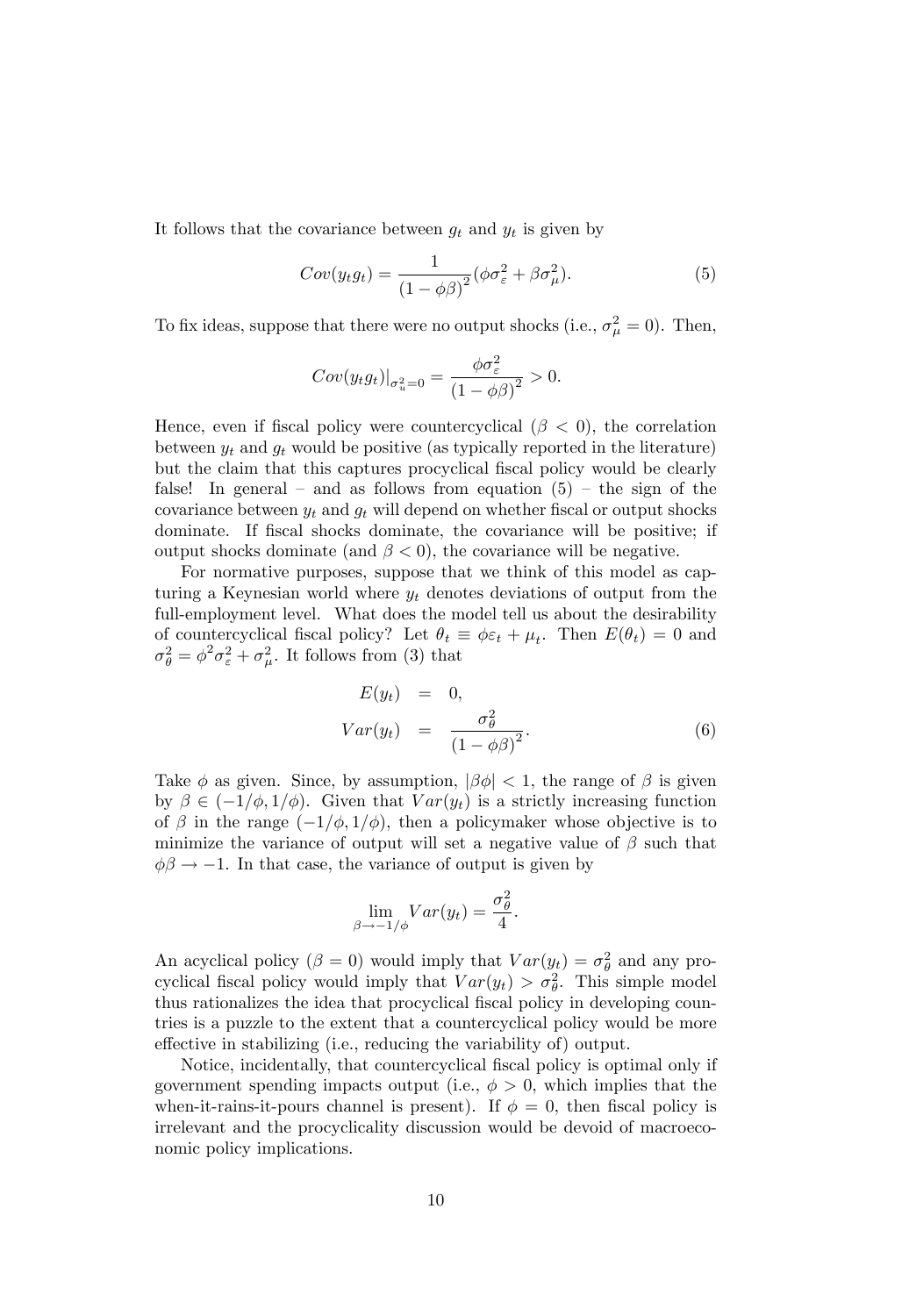It follows that the covariance between  $g_t$  and  $y_t$  is given by

$$
Cov(y_t g_t) = \frac{1}{(1 - \phi \beta)^2} (\phi \sigma_\varepsilon^2 + \beta \sigma_\mu^2). \tag{5}
$$

To fix ideas, suppose that there were no output shocks (i.e.,  $\sigma_{\mu}^2 = 0$ ). Then,

$$
Cov(y_t g_t)|_{\sigma_u^2=0} = \frac{\phi \sigma_{\varepsilon}^2}{\left(1 - \phi \beta\right)^2} > 0.
$$

Hence, even if fiscal policy were countercyclical  $(\beta < 0)$ , the correlation between  $y_t$  and  $g_t$  would be positive (as typically reported in the literature) but the claim that this captures procyclical fiscal policy would be clearly false! In general – and as follows from equation  $(5)$  – the sign of the covariance between  $y_t$  and  $g_t$  will depend on whether fiscal or output shocks dominate. If fiscal shocks dominate, the covariance will be positive; if output shocks dominate (and  $\beta$  < 0), the covariance will be negative.

For normative purposes, suppose that we think of this model as capturing a Keynesian world where  $y_t$  denotes deviations of output from the full-employment level. What does the model tell us about the desirability of countercyclical fiscal policy? Let  $\theta_t \equiv \phi \varepsilon_t + \mu_t$ . Then  $E(\theta_t) = 0$  and  $\sigma_{\theta}^2 = \phi^2 \sigma_{\varepsilon}^2 + \sigma_{\mu}^2$ . It follows from (3) that

$$
E(y_t) = 0,
$$
  
\n
$$
Var(y_t) = \frac{\sigma_{\theta}^2}{(1 - \phi \beta)^2}.
$$
\n(6)

Take  $\phi$  as given. Since, by assumption,  $|\beta \phi| < 1$ , the range of  $\beta$  is given by  $\beta \in (-1/\phi, 1/\phi)$ . Given that  $Var(y_t)$  is a strictly increasing function of  $\beta$  in the range  $(-1/\phi, 1/\phi)$ , then a policymaker whose objective is to minimize the variance of output will set a negative value of  $\beta$  such that  $\phi\beta \rightarrow -1$ . In that case, the variance of output is given by

$$
\lim_{\beta \to -1/\phi} Var(y_t) = \frac{\sigma_{\theta}^2}{4}.
$$

An acyclical policy ( $\beta = 0$ ) would imply that  $Var(y_t) = \sigma_{\theta}^2$  and any procyclical fiscal policy would imply that  $Var(y_t) > \sigma_{\theta}^2$ . This simple model thus rationalizes the idea that procyclical fiscal policy in developing countries is a puzzle to the extent that a countercyclical policy would be more effective in stabilizing (i.e., reducing the variability of) output.

Notice, incidentally, that countercyclical fiscal policy is optimal only if government spending impacts output (i.e.,  $\phi > 0$ , which implies that the when-it-rains-it-pours channel is present). If  $\phi = 0$ , then fiscal policy is irrelevant and the procyclicality discussion would be devoid of macroeconomic policy implications.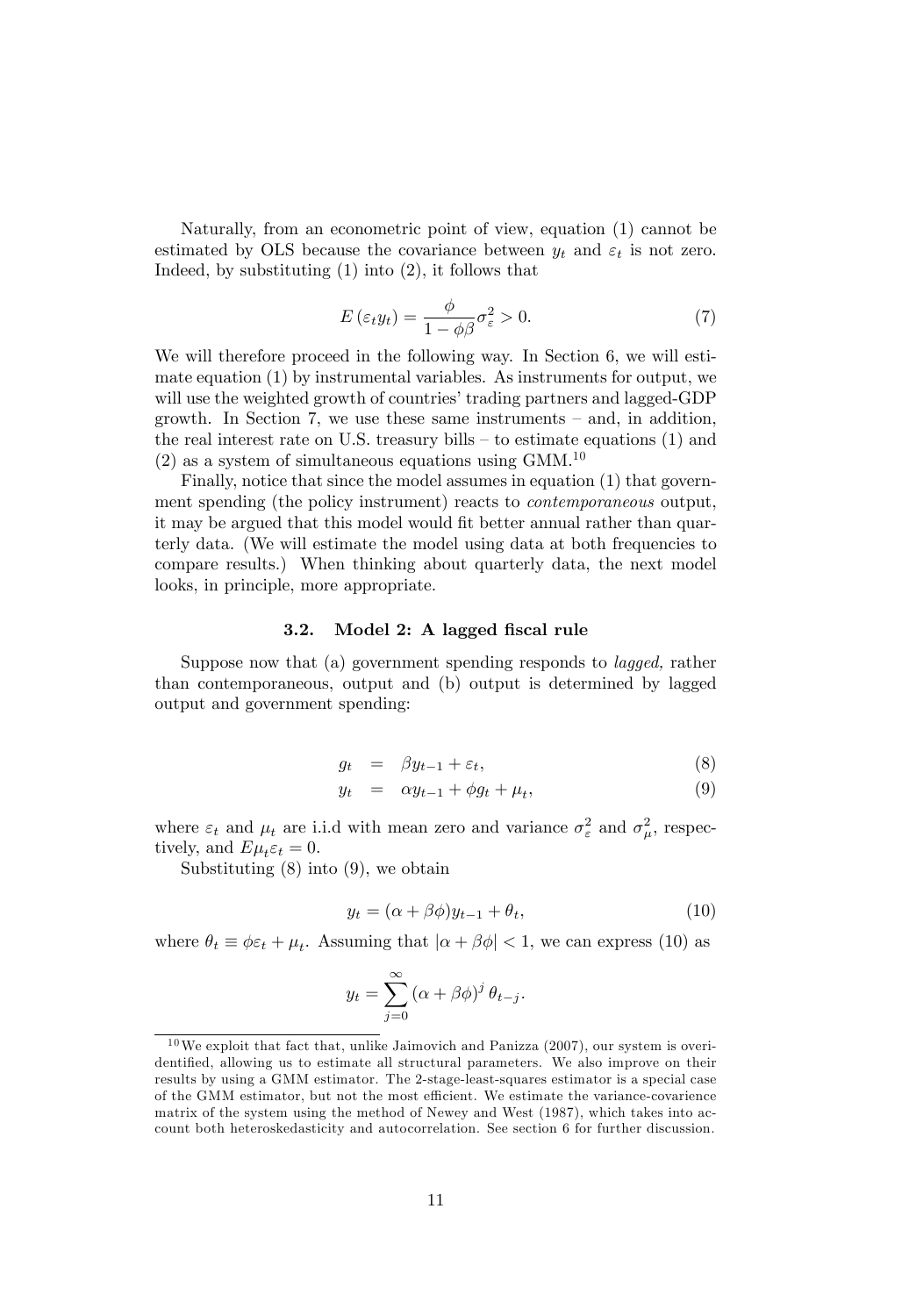Naturally, from an econometric point of view, equation (1) cannot be estimated by OLS because the covariance between  $y_t$  and  $\varepsilon_t$  is not zero. Indeed, by substituting (1) into (2), it follows that

$$
E\left(\varepsilon_t y_t\right) = \frac{\phi}{1 - \phi\beta} \sigma_\varepsilon^2 > 0. \tag{7}
$$

We will therefore proceed in the following way. In Section 6, we will estimate equation (1) by instrumental variables. As instruments for output, we will use the weighted growth of countries' trading partners and lagged-GDP growth. In Section 7, we use these same instruments  $-$  and, in addition, the real interest rate on U.S. treasury bills  $-$  to estimate equations (1) and  $(2)$  as a system of simultaneous equations using GMM.<sup>10</sup>

Finally, notice that since the model assumes in equation (1) that government spending (the policy instrument) reacts to contemporaneous output, it may be argued that this model would fit better annual rather than quarterly data. (We will estimate the model using data at both frequencies to compare results.) When thinking about quarterly data, the next model looks, in principle, more appropriate.

#### 3.2. Model 2: A lagged fiscal rule

Suppose now that (a) government spending responds to lagged, rather than contemporaneous, output and (b) output is determined by lagged output and government spending:

$$
g_t = \beta y_{t-1} + \varepsilon_t, \tag{8}
$$

$$
y_t = \alpha y_{t-1} + \phi g_t + \mu_t, \tag{9}
$$

where  $\varepsilon_t$  and  $\mu_t$  are i.i.d with mean zero and variance  $\sigma_{\varepsilon}^2$  and  $\sigma_{\mu}^2$ , respectively, and  $E\mu_t \varepsilon_t = 0$ .

Substituting (8) into (9), we obtain

$$
y_t = (\alpha + \beta \phi) y_{t-1} + \theta_t, \tag{10}
$$

where  $\theta_t \equiv \phi \varepsilon_t + \mu_t$ . Assuming that  $|\alpha + \beta \phi| < 1$ , we can express (10) as

$$
y_t = \sum_{j=0}^{\infty} (\alpha + \beta \phi)^j \,\theta_{t-j}.
$$

 $10$  We exploit that fact that, unlike Jaimovich and Panizza (2007), our system is overidentified, allowing us to estimate all structural parameters. We also improve on their results by using a GMM estimator. The 2-stage-least-squares estimator is a special case of the GMM estimator, but not the most efficient. We estimate the variance-covarience matrix of the system using the method of Newey and West (1987), which takes into account both heteroskedasticity and autocorrelation. See section 6 for further discussion.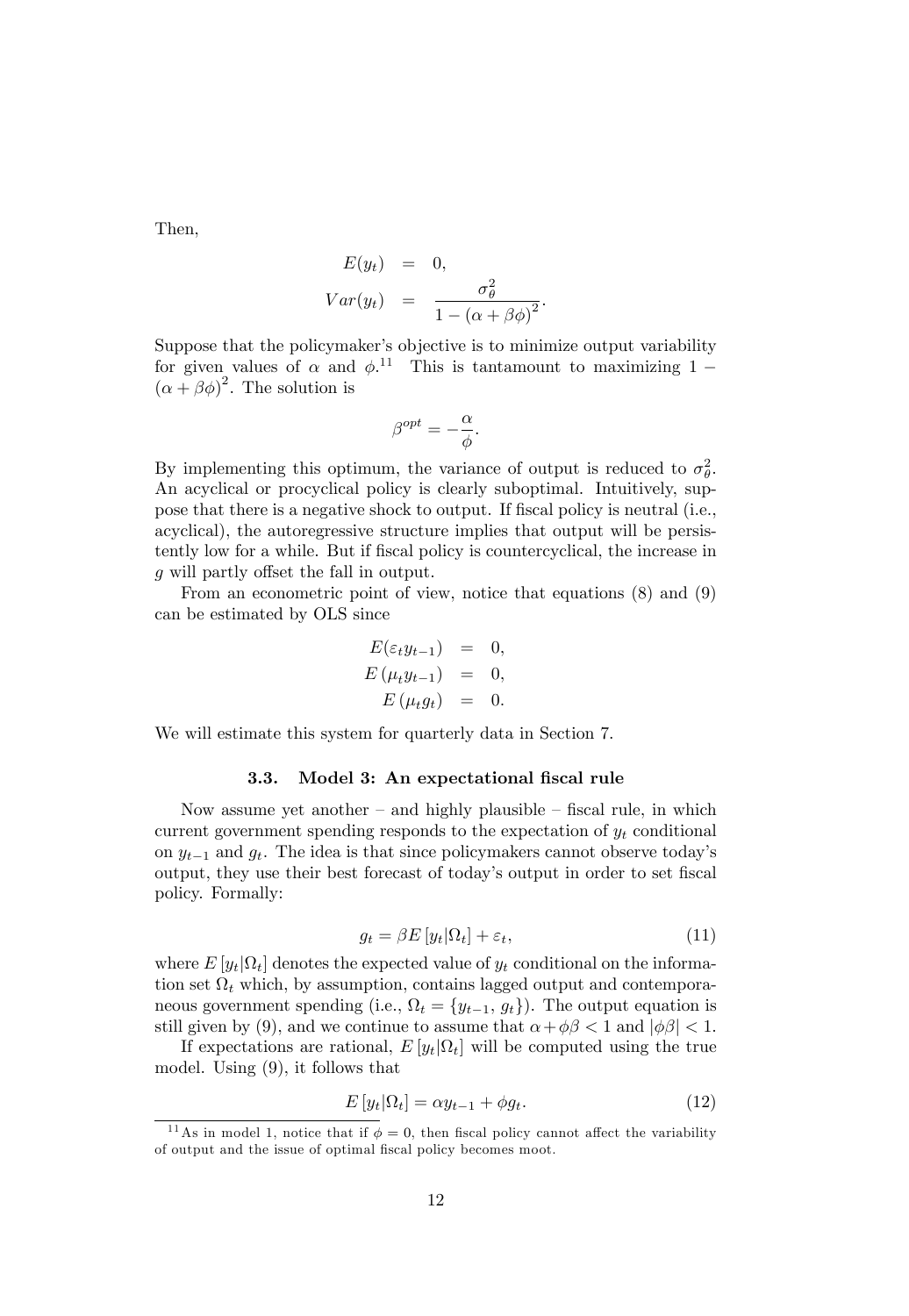Then,

$$
E(y_t) = 0,
$$
  
\n
$$
Var(y_t) = \frac{\sigma_{\theta}^2}{1 - (\alpha + \beta \phi)^2}.
$$

Suppose that the policymaker's objective is to minimize output variability for given values of  $\alpha$  and  $\phi$ <sup>11</sup>. This is tantamount to maximizing 1 –  $(\alpha + \beta \phi)^2$ . The solution is

$$
\beta^{opt} = -\frac{\alpha}{\phi}.
$$

By implementing this optimum, the variance of output is reduced to  $\sigma_{\theta}^2$ . An acyclical or procyclical policy is clearly suboptimal. Intuitively, suppose that there is a negative shock to output. If fiscal policy is neutral (i.e., acyclical), the autoregressive structure implies that output will be persistently low for a while. But if Öscal policy is countercyclical, the increase in  $g$  will partly offset the fall in output.

From an econometric point of view, notice that equations (8) and (9) can be estimated by OLS since

$$
E(\varepsilon_t y_{t-1}) = 0,
$$
  
\n
$$
E(\mu_t y_{t-1}) = 0,
$$
  
\n
$$
E(\mu_t g_t) = 0.
$$

We will estimate this system for quarterly data in Section 7.

#### 3.3. Model 3: An expectational fiscal rule

Now assume yet another  $-\text{ and highly plausible} - \text{fical rule},$  in which current government spending responds to the expectation of  $y_t$  conditional on  $y_{t-1}$  and  $g_t$ . The idea is that since policymakers cannot observe today's output, they use their best forecast of today's output in order to set fiscal policy. Formally:

$$
g_t = \beta E \left[ y_t | \Omega_t \right] + \varepsilon_t, \tag{11}
$$

where  $E[y_t|\Omega_t]$  denotes the expected value of  $y_t$  conditional on the information set  $\Omega_t$  which, by assumption, contains lagged output and contemporaneous government spending (i.e.,  $\Omega_t = \{y_{t-1}, g_t\}$ ). The output equation is still given by (9), and we continue to assume that  $\alpha + \phi \beta < 1$  and  $|\phi \beta| < 1$ .

If expectations are rational,  $E[y_t|\Omega_t]$  will be computed using the true model. Using (9), it follows that

$$
E[y_t|\Omega_t] = \alpha y_{t-1} + \phi g_t.
$$
\n(12)

<sup>&</sup>lt;sup>11</sup>As in model 1, notice that if  $\phi = 0$ , then fiscal policy cannot affect the variability of output and the issue of optimal fiscal policy becomes moot.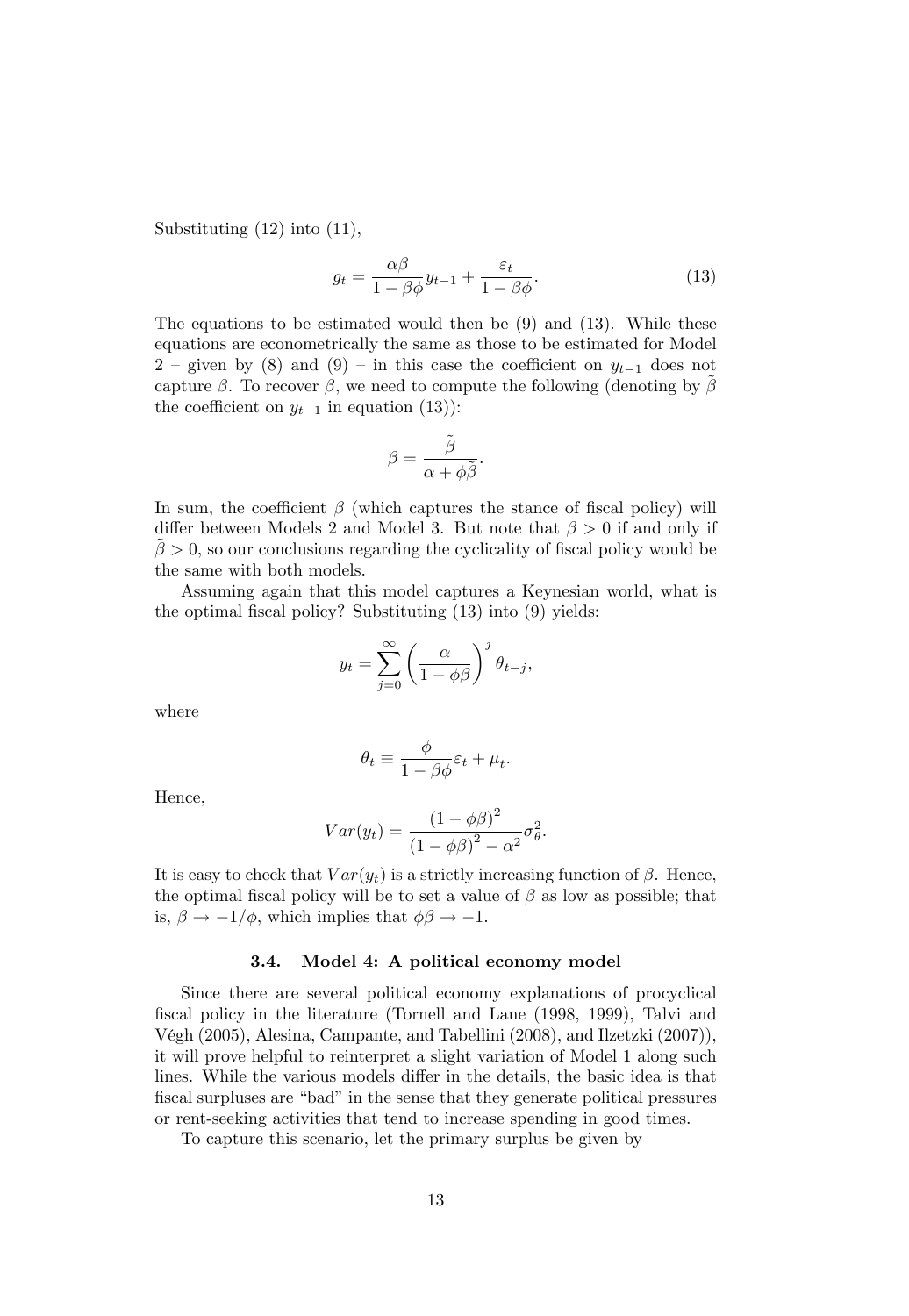Substituting (12) into (11),

$$
g_t = \frac{\alpha \beta}{1 - \beta \phi} y_{t-1} + \frac{\varepsilon_t}{1 - \beta \phi}.
$$
 (13)

The equations to be estimated would then be (9) and (13). While these equations are econometrically the same as those to be estimated for Model  $2$  – given by (8) and (9) – in this case the coefficient on  $y_{t-1}$  does not capture  $\beta$ . To recover  $\beta$ , we need to compute the following (denoting by  $\beta$ the coefficient on  $y_{t-1}$  in equation (13)):

$$
\beta = \frac{\tilde{\beta}}{\alpha + \phi \tilde{\beta}}.
$$

In sum, the coefficient  $\beta$  (which captures the stance of fiscal policy) will differ between Models 2 and Model 3. But note that  $\beta > 0$  if and only if  $\beta > 0$ , so our conclusions regarding the cyclicality of fiscal policy would be the same with both models.

Assuming again that this model captures a Keynesian world, what is the optimal fiscal policy? Substituting  $(13)$  into  $(9)$  yields:

$$
y_t = \sum_{j=0}^{\infty} \left(\frac{\alpha}{1 - \phi \beta}\right)^j \theta_{t-j},
$$

where

$$
\theta_t \equiv \frac{\phi}{1 - \beta \phi} \varepsilon_t + \mu_t.
$$

Hence,

$$
Var(y_t) = \frac{(1 - \phi \beta)^2}{(1 - \phi \beta)^2 - \alpha^2} \sigma_{\theta}^2.
$$

It is easy to check that  $Var(y_t)$  is a strictly increasing function of  $\beta$ . Hence, the optimal fiscal policy will be to set a value of  $\beta$  as low as possible; that is,  $\beta \rightarrow -1/\phi$ , which implies that  $\phi \beta \rightarrow -1$ .

#### 3.4. Model 4: A political economy model

Since there are several political economy explanations of procyclical fiscal policy in the literature (Tornell and Lane (1998, 1999), Talvi and Végh (2005), Alesina, Campante, and Tabellini (2008), and Ilzetzki (2007)), it will prove helpful to reinterpret a slight variation of Model 1 along such lines. While the various models differ in the details, the basic idea is that fiscal surpluses are "bad" in the sense that they generate political pressures or rent-seeking activities that tend to increase spending in good times.

To capture this scenario, let the primary surplus be given by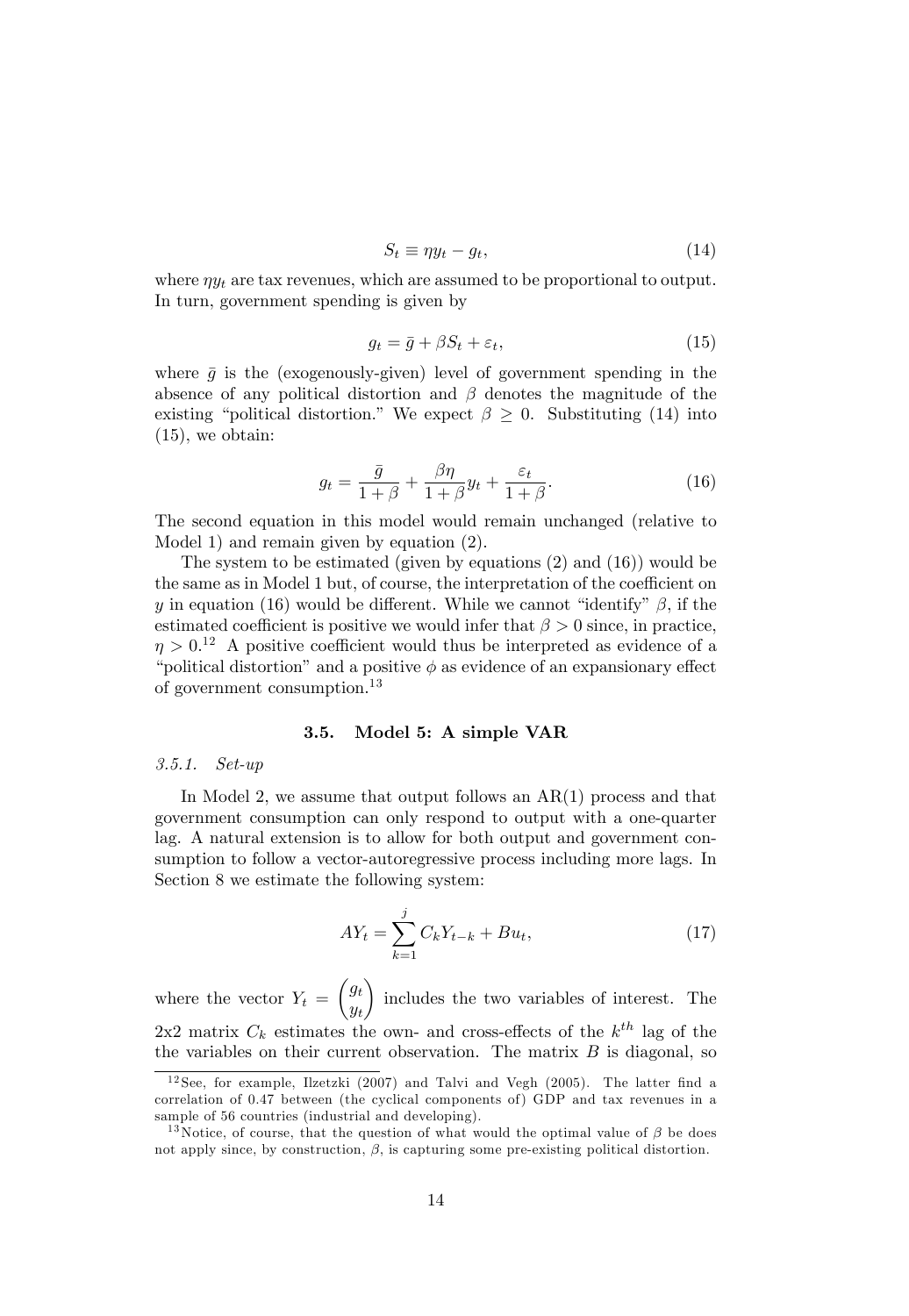$$
S_t \equiv \eta y_t - g_t,\tag{14}
$$

where  $\eta y_t$  are tax revenues, which are assumed to be proportional to output. In turn, government spending is given by

$$
g_t = \bar{g} + \beta S_t + \varepsilon_t,\tag{15}
$$

where  $\bar{g}$  is the (exogenously-given) level of government spending in the absence of any political distortion and  $\beta$  denotes the magnitude of the existing "political distortion." We expect  $\beta \geq 0$ . Substituting (14) into (15), we obtain:

$$
g_t = \frac{\bar{g}}{1+\beta} + \frac{\beta\eta}{1+\beta}y_t + \frac{\varepsilon_t}{1+\beta}.\tag{16}
$$

The second equation in this model would remain unchanged (relative to Model 1) and remain given by equation (2).

The system to be estimated (given by equations (2) and (16)) would be the same as in Model 1 but, of course, the interpretation of the coefficient on y in equation (16) would be different. While we cannot "identify"  $\beta$ , if the estimated coefficient is positive we would infer that  $\beta > 0$  since, in practice,  $\eta > 0$ <sup>12</sup> A positive coefficient would thus be interpreted as evidence of a "political distortion" and a positive  $\phi$  as evidence of an expansionary effect of government consumption.<sup>13</sup>

#### 3.5. Model 5: A simple VAR

#### 3.5.1. Set-up

In Model 2, we assume that output follows an  $AR(1)$  process and that government consumption can only respond to output with a one-quarter lag. A natural extension is to allow for both output and government consumption to follow a vector-autoregressive process including more lags. In Section 8 we estimate the following system:

$$
AY_t = \sum_{k=1}^{j} C_k Y_{t-k} + Bu_t,
$$
\n(17)

where the vector  $Y_t =$  $\int g_t$  $y_t$  $\overline{ }$ includes the two variables of interest. The 2x2 matrix  $C_k$  estimates the own- and cross-effects of the  $k^{th}$  lag of the the variables on their current observation. The matrix  $B$  is diagonal, so

 $12$  See, for example, Ilzetzki (2007) and Talvi and Vegh (2005). The latter find a correlation of 0.47 between (the cyclical components of ) GDP and tax revenues in a sample of 56 countries (industrial and developing).

<sup>&</sup>lt;sup>13</sup>Notice, of course, that the question of what would the optimal value of  $\beta$  be does not apply since, by construction,  $\beta$ , is capturing some pre-existing political distortion.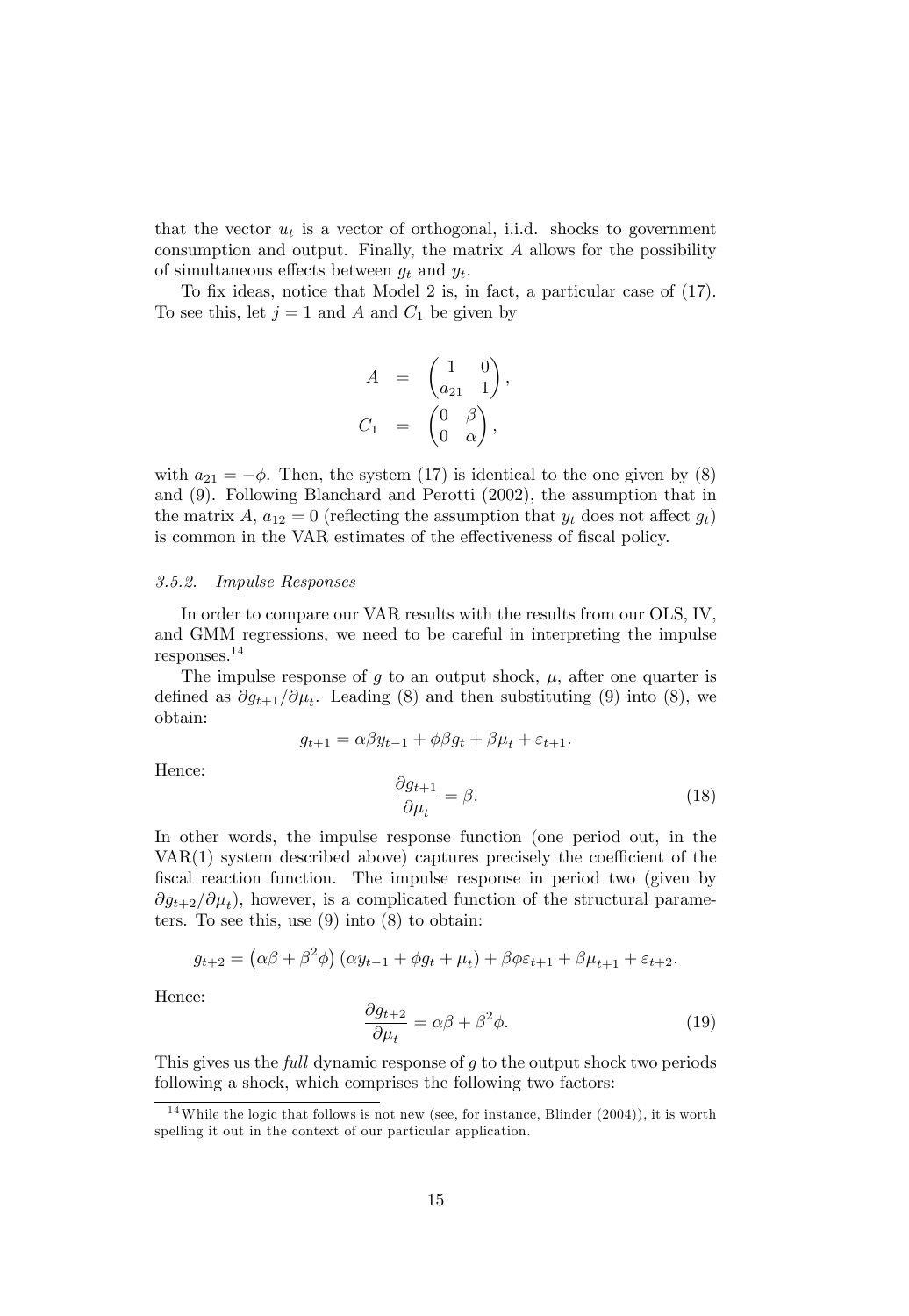that the vector  $u_t$  is a vector of orthogonal, i.i.d. shocks to government consumption and output. Finally, the matrix A allows for the possibility of simultaneous effects between  $g_t$  and  $y_t$ .

To fix ideas, notice that Model 2 is, in fact, a particular case of  $(17)$ . To see this, let  $j = 1$  and A and  $C_1$  be given by

$$
A = \begin{pmatrix} 1 & 0 \\ a_{21} & 1 \end{pmatrix},
$$
  

$$
C_1 = \begin{pmatrix} 0 & \beta \\ 0 & \alpha \end{pmatrix},
$$

with  $a_{21} = -\phi$ . Then, the system (17) is identical to the one given by (8) and (9). Following Blanchard and Perotti (2002), the assumption that in the matrix A,  $a_{12} = 0$  (reflecting the assumption that  $y_t$  does not affect  $g_t$ ) is common in the VAR estimates of the effectiveness of fiscal policy.

#### 3.5.2. Impulse Responses

In order to compare our VAR results with the results from our OLS, IV, and GMM regressions, we need to be careful in interpreting the impulse responses.<sup>14</sup>

The impulse response of g to an output shock,  $\mu$ , after one quarter is defined as  $\partial g_{t+1}/\partial \mu_t$ . Leading (8) and then substituting (9) into (8), we obtain:

$$
g_{t+1} = \alpha \beta y_{t-1} + \phi \beta g_t + \beta \mu_t + \varepsilon_{t+1}.
$$

Hence:

$$
\frac{\partial g_{t+1}}{\partial \mu_t} = \beta. \tag{18}
$$

In other words, the impulse response function (one period out, in the  $VAR(1)$  system described above) captures precisely the coefficient of the fiscal reaction function. The impulse response in period two (given by  $\partial g_{t+2}/\partial \mu_t$ , however, is a complicated function of the structural parameters. To see this, use  $(9)$  into  $(8)$  to obtain:

$$
g_{t+2} = (\alpha \beta + \beta^2 \phi) (\alpha y_{t-1} + \phi g_t + \mu_t) + \beta \phi \varepsilon_{t+1} + \beta \mu_{t+1} + \varepsilon_{t+2}.
$$

Hence:

$$
\frac{\partial g_{t+2}}{\partial \mu_t} = \alpha \beta + \beta^2 \phi.
$$
 (19)

This gives us the full dynamic response of g to the output shock two periods following a shock, which comprises the following two factors:

 $14$ While the logic that follows is not new (see, for instance, Blinder (2004)), it is worth spelling it out in the context of our particular application.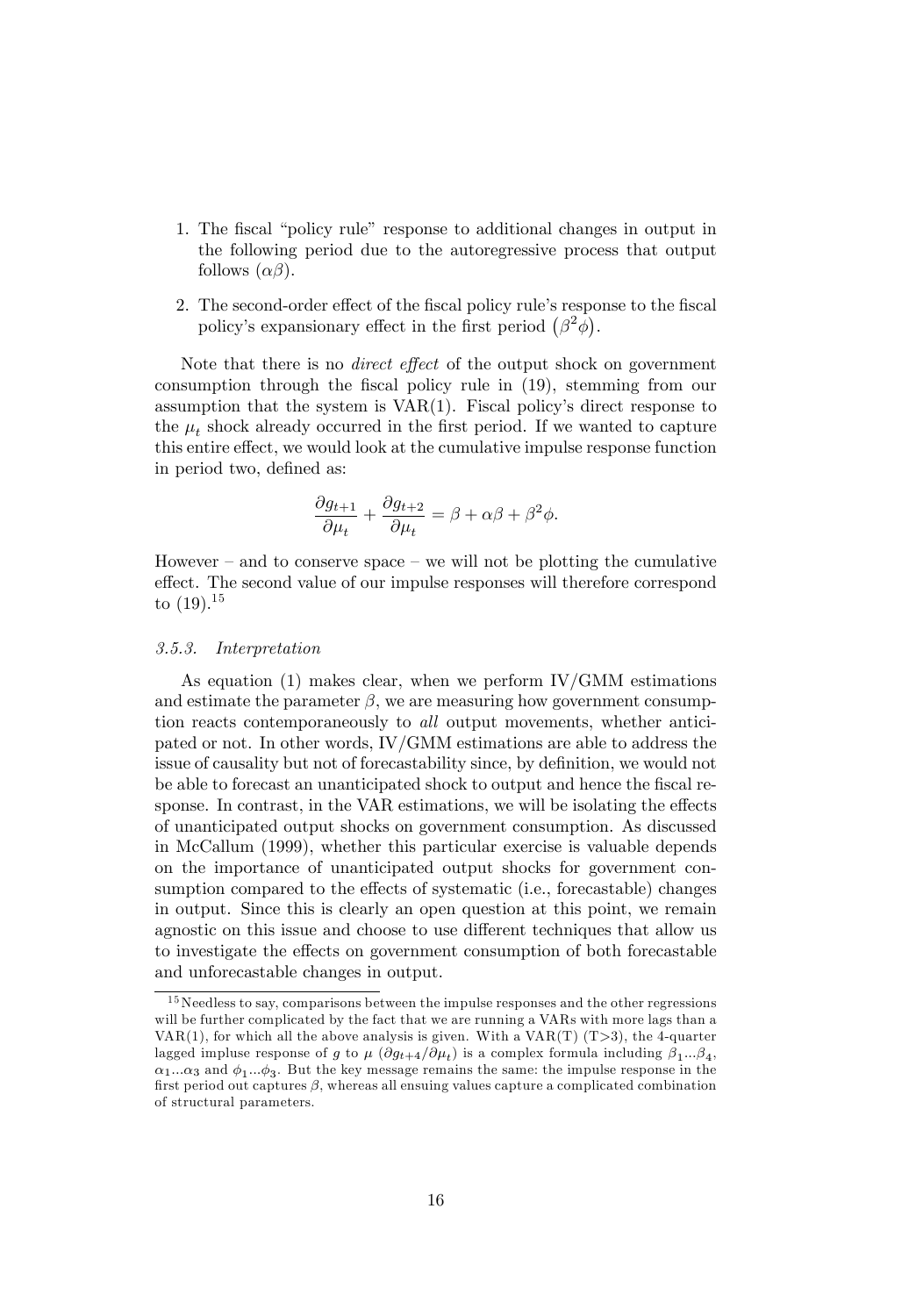- 1. The fiscal "policy rule" response to additional changes in output in the following period due to the autoregressive process that output follows  $(\alpha\beta)$ .
- 2. The second-order effect of the fiscal policy rule's response to the fiscal policy's expansionary effect in the first period  $(\beta^2 \phi)$ .

Note that there is no *direct effect* of the output shock on government consumption through the Öscal policy rule in (19), stemming from our assumption that the system is  $VAR(1)$ . Fiscal policy's direct response to the  $\mu_t$  shock already occurred in the first period. If we wanted to capture this entire effect, we would look at the cumulative impulse response function in period two, defined as:

$$
\frac{\partial g_{t+1}}{\partial \mu_t} + \frac{\partial g_{t+2}}{\partial \mu_t} = \beta + \alpha \beta + \beta^2 \phi.
$$

However  $-$  and to conserve space  $-$  we will not be plotting the cumulative effect. The second value of our impulse responses will therefore correspond to  $(19).^{15}$ 

#### 3.5.3. Interpretation

As equation  $(1)$  makes clear, when we perform IV/GMM estimations and estimate the parameter  $\beta$ , we are measuring how government consumption reacts contemporaneously to all output movements, whether anticipated or not. In other words, IV/GMM estimations are able to address the issue of causality but not of forecastability since, by definition, we would not be able to forecast an unanticipated shock to output and hence the fiscal response. In contrast, in the VAR estimations, we will be isolating the effects of unanticipated output shocks on government consumption. As discussed in McCallum (1999), whether this particular exercise is valuable depends on the importance of unanticipated output shocks for government consumption compared to the effects of systematic (i.e., forecastable) changes in output. Since this is clearly an open question at this point, we remain agnostic on this issue and choose to use different techniques that allow us to investigate the effects on government consumption of both forecastable and unforecastable changes in output.

 $15$ Needless to say, comparisons between the impulse responses and the other regressions will be further complicated by the fact that we are running a VARs with more lags than a VAR(1), for which all the above analysis is given. With a  $VAR(T)$  (T>3), the 4-quarter lagged impluse response of g to  $\mu$   $(\partial g_{t+4}/\partial \mu_t)$  is a complex formula including  $\beta_1...\beta_4$ ,  $\alpha_1...\alpha_3$  and  $\phi_1...\phi_3$ . But the key message remains the same: the impulse response in the first period out captures  $\beta$ , whereas all ensuing values capture a complicated combination of structural parameters.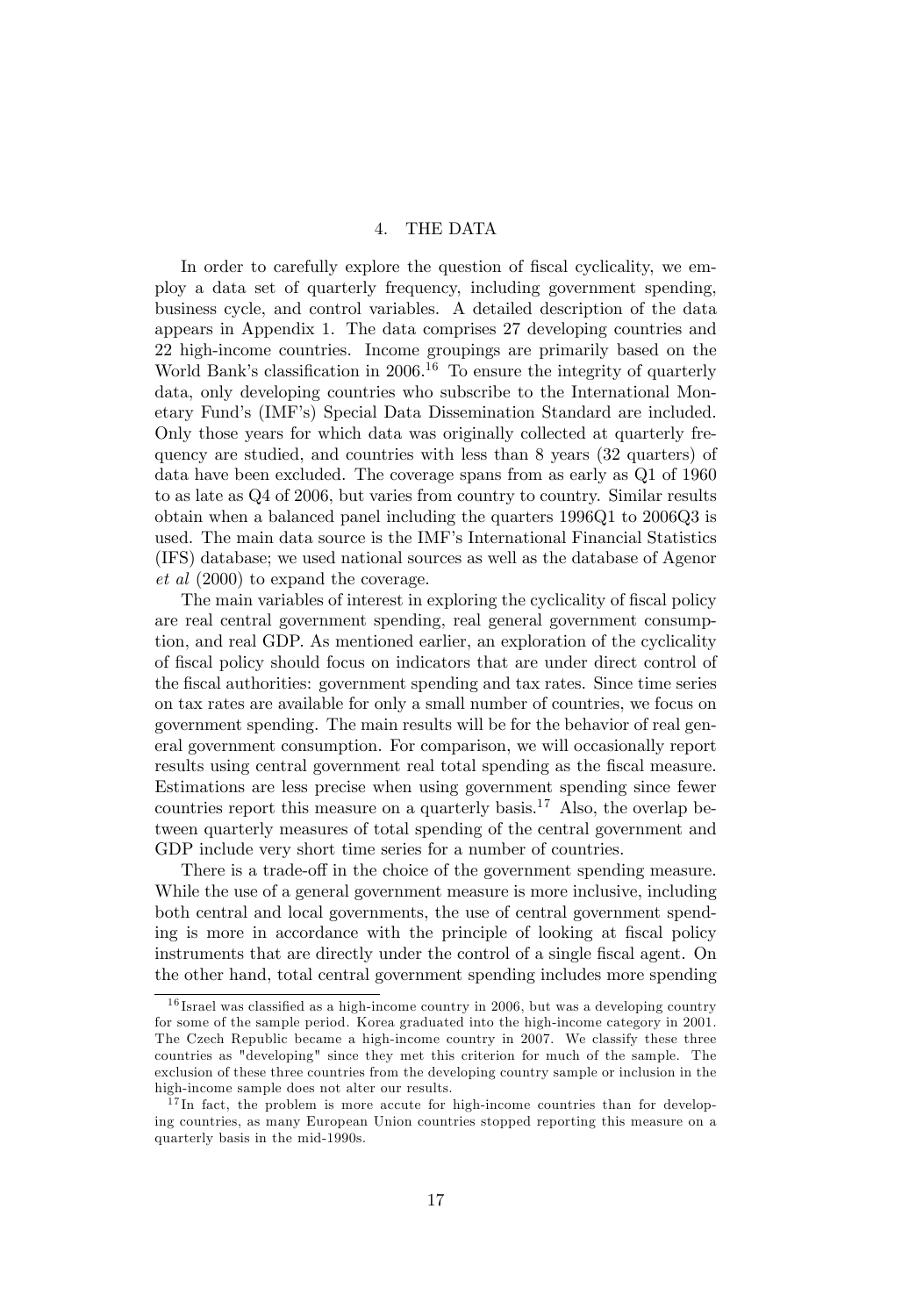#### 4. THE DATA

In order to carefully explore the question of fiscal cyclicality, we employ a data set of quarterly frequency, including government spending, business cycle, and control variables. A detailed description of the data appears in Appendix 1. The data comprises 27 developing countries and 22 high-income countries. Income groupings are primarily based on the World Bank's classification in  $2006<sup>16</sup>$  To ensure the integrity of quarterly data, only developing countries who subscribe to the International Monetary Fund's (IMF's) Special Data Dissemination Standard are included. Only those years for which data was originally collected at quarterly frequency are studied, and countries with less than 8 years (32 quarters) of data have been excluded. The coverage spans from as early as Q1 of 1960 to as late as Q4 of 2006, but varies from country to country. Similar results obtain when a balanced panel including the quarters 1996Q1 to 2006Q3 is used. The main data source is the IMF's International Financial Statistics (IFS) database; we used national sources as well as the database of Agenor et al (2000) to expand the coverage.

The main variables of interest in exploring the cyclicality of fiscal policy are real central government spending, real general government consumption, and real GDP. As mentioned earlier, an exploration of the cyclicality of Öscal policy should focus on indicators that are under direct control of the Öscal authorities: government spending and tax rates. Since time series on tax rates are available for only a small number of countries, we focus on government spending. The main results will be for the behavior of real general government consumption. For comparison, we will occasionally report results using central government real total spending as the fiscal measure. Estimations are less precise when using government spending since fewer countries report this measure on a quarterly basis.<sup>17</sup> Also, the overlap between quarterly measures of total spending of the central government and GDP include very short time series for a number of countries.

There is a trade-off in the choice of the government spending measure. While the use of a general government measure is more inclusive, including both central and local governments, the use of central government spending is more in accordance with the principle of looking at fiscal policy instruments that are directly under the control of a single fiscal agent. On the other hand, total central government spending includes more spending

 $16$  Israel was classified as a high-income country in 2006, but was a developing country for some of the sample period. Korea graduated into the high-income category in 2001. The Czech Republic became a high-income country in 2007. We classify these three countries as "developing" since they met this criterion for much of the sample. The exclusion of these three countries from the developing country sample or inclusion in the high-income sample does not alter our results.

 $17$ In fact, the problem is more accute for high-income countries than for developing countries, as many European Union countries stopped reporting this measure on a quarterly basis in the mid-1990s.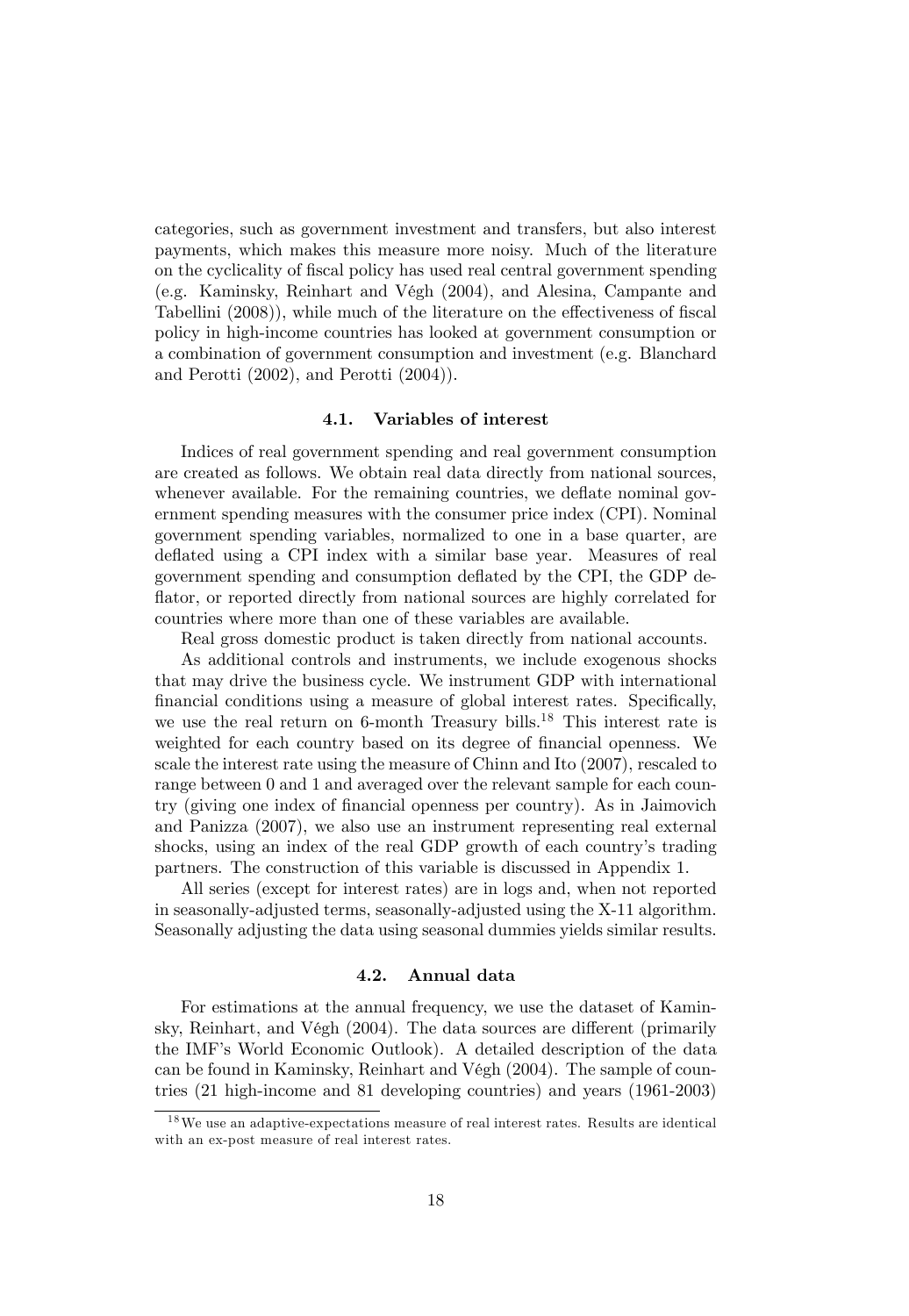categories, such as government investment and transfers, but also interest payments, which makes this measure more noisy. Much of the literature on the cyclicality of Öscal policy has used real central government spending (e.g. Kaminsky, Reinhart and VÈgh (2004), and Alesina, Campante and Tabellini  $(2008)$ , while much of the literature on the effectiveness of fiscal policy in high-income countries has looked at government consumption or a combination of government consumption and investment (e.g. Blanchard and Perotti (2002), and Perotti (2004)).

#### 4.1. Variables of interest

Indices of real government spending and real government consumption are created as follows. We obtain real data directly from national sources, whenever available. For the remaining countries, we deflate nominal government spending measures with the consumer price index (CPI). Nominal government spending variables, normalized to one in a base quarter, are deflated using a CPI index with a similar base year. Measures of real government spending and consumption deáated by the CPI, the GDP deflator, or reported directly from national sources are highly correlated for countries where more than one of these variables are available.

Real gross domestic product is taken directly from national accounts.

As additional controls and instruments, we include exogenous shocks that may drive the business cycle. We instrument GDP with international financial conditions using a measure of global interest rates. Specifically, we use the real return on 6-month Treasury bills.<sup>18</sup> This interest rate is weighted for each country based on its degree of financial openness. We scale the interest rate using the measure of Chinn and Ito (2007), rescaled to range between 0 and 1 and averaged over the relevant sample for each country (giving one index of Önancial openness per country). As in Jaimovich and Panizza (2007), we also use an instrument representing real external shocks, using an index of the real GDP growth of each countryís trading partners. The construction of this variable is discussed in Appendix 1.

All series (except for interest rates) are in logs and, when not reported in seasonally-adjusted terms, seasonally-adjusted using the X-11 algorithm. Seasonally adjusting the data using seasonal dummies yields similar results.

#### 4.2. Annual data

For estimations at the annual frequency, we use the dataset of Kaminsky, Reinhart, and Végh  $(2004)$ . The data sources are different (primarily the IMF's World Economic Outlook). A detailed description of the data can be found in Kaminsky, Reinhart and Végh (2004). The sample of countries (21 high-income and 81 developing countries) and years (1961-2003)

 $18$ We use an adaptive-expectations measure of real interest rates. Results are identical with an ex-post measure of real interest rates.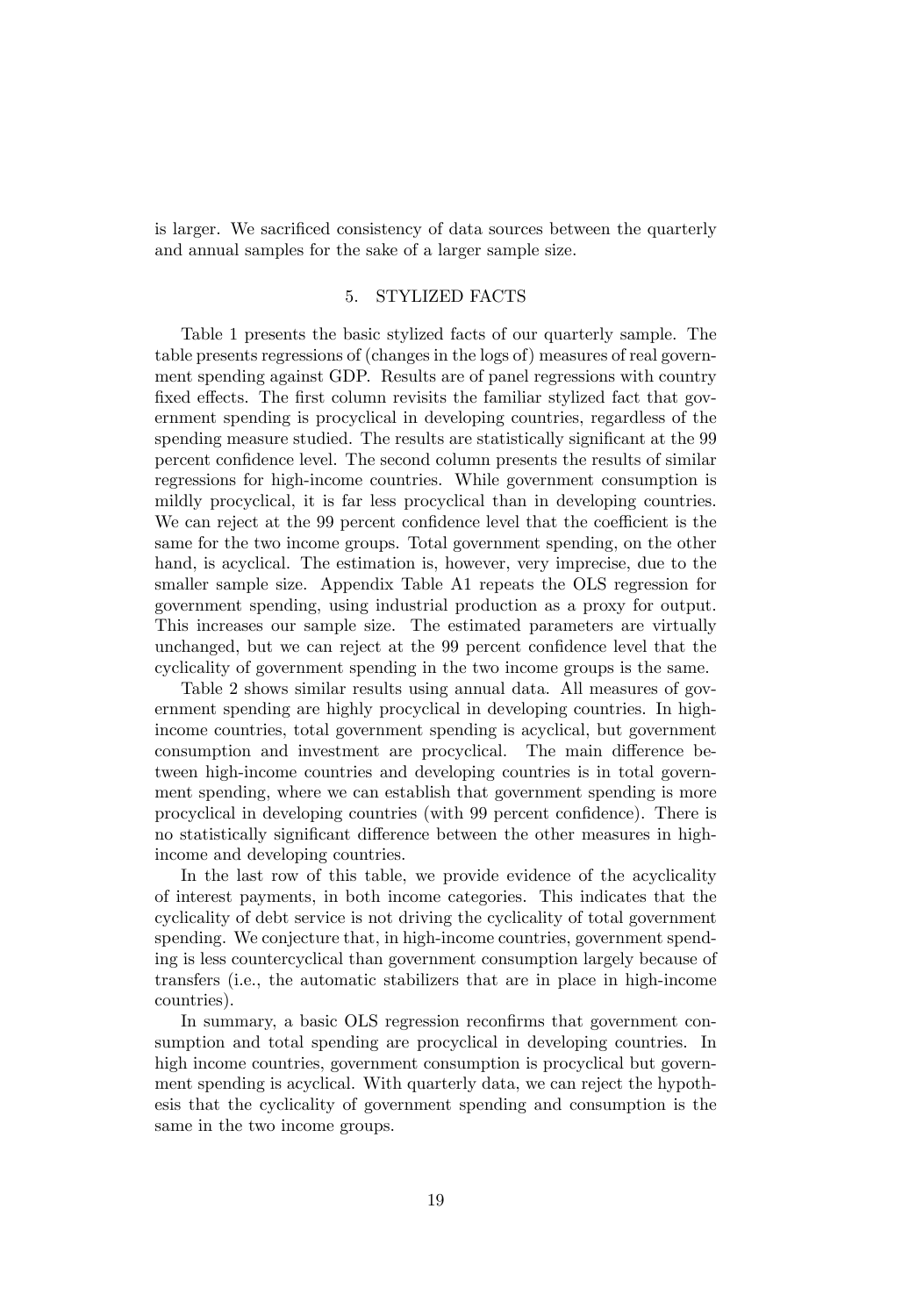is larger. We sacrificed consistency of data sources between the quarterly and annual samples for the sake of a larger sample size.

#### 5. STYLIZED FACTS

Table 1 presents the basic stylized facts of our quarterly sample. The table presents regressions of (changes in the logs of) measures of real government spending against GDP. Results are of panel regressions with country fixed effects. The first column revisits the familiar stylized fact that government spending is procyclical in developing countries, regardless of the spending measure studied. The results are statistically significant at the 99 percent confidence level. The second column presents the results of similar regressions for high-income countries. While government consumption is mildly procyclical, it is far less procyclical than in developing countries. We can reject at the 99 percent confidence level that the coefficient is the same for the two income groups. Total government spending, on the other hand, is acyclical. The estimation is, however, very imprecise, due to the smaller sample size. Appendix Table A1 repeats the OLS regression for government spending, using industrial production as a proxy for output. This increases our sample size. The estimated parameters are virtually unchanged, but we can reject at the 99 percent confidence level that the cyclicality of government spending in the two income groups is the same.

Table 2 shows similar results using annual data. All measures of government spending are highly procyclical in developing countries. In highincome countries, total government spending is acyclical, but government consumption and investment are procyclical. The main difference between high-income countries and developing countries is in total government spending, where we can establish that government spending is more procyclical in developing countries (with 99 percent confidence). There is no statistically significant difference between the other measures in highincome and developing countries.

In the last row of this table, we provide evidence of the acyclicality of interest payments, in both income categories. This indicates that the cyclicality of debt service is not driving the cyclicality of total government spending. We conjecture that, in high-income countries, government spending is less countercyclical than government consumption largely because of transfers (i.e., the automatic stabilizers that are in place in high-income countries).

In summary, a basic OLS regression reconfirms that government consumption and total spending are procyclical in developing countries. In high income countries, government consumption is procyclical but government spending is acyclical. With quarterly data, we can reject the hypothesis that the cyclicality of government spending and consumption is the same in the two income groups.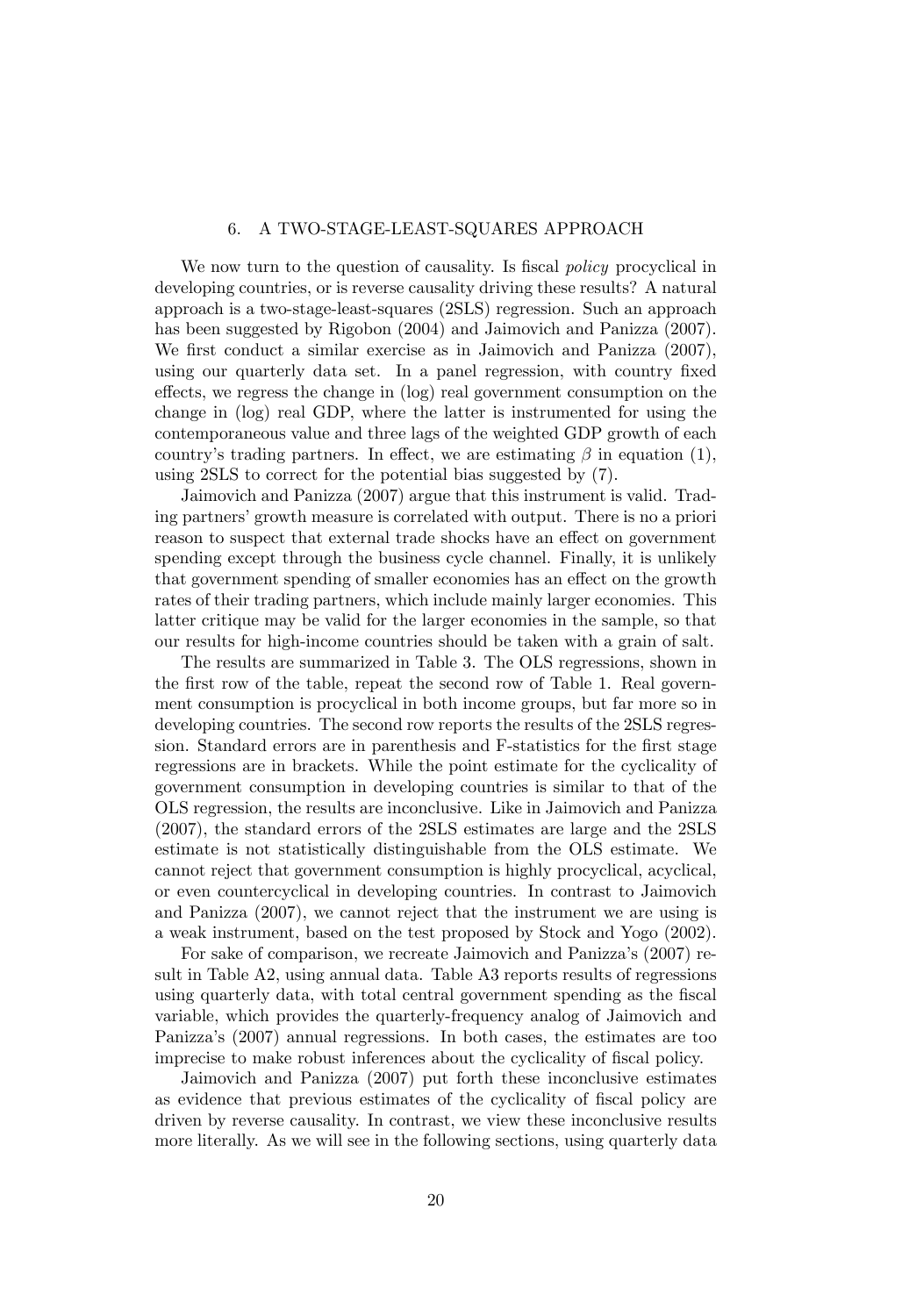#### 6. A TWO-STAGE-LEAST-SQUARES APPROACH

We now turn to the question of causality. Is fiscal *policy* procyclical in developing countries, or is reverse causality driving these results? A natural approach is a two-stage-least-squares (2SLS) regression. Such an approach has been suggested by Rigobon (2004) and Jaimovich and Panizza (2007). We first conduct a similar exercise as in Jaimovich and Panizza  $(2007)$ , using our quarterly data set. In a panel regression, with country fixed  $\theta$  effects, we regress the change in  $(\log)$  real government consumption on the change in (log) real GDP, where the latter is instrumented for using the contemporaneous value and three lags of the weighted GDP growth of each country's trading partners. In effect, we are estimating  $\beta$  in equation (1), using 2SLS to correct for the potential bias suggested by (7).

Jaimovich and Panizza (2007) argue that this instrument is valid. Trading partners' growth measure is correlated with output. There is no a priori reason to suspect that external trade shocks have an effect on government spending except through the business cycle channel. Finally, it is unlikely that government spending of smaller economies has an effect on the growth rates of their trading partners, which include mainly larger economies. This latter critique may be valid for the larger economies in the sample, so that our results for high-income countries should be taken with a grain of salt.

The results are summarized in Table 3. The OLS regressions, shown in the first row of the table, repeat the second row of Table 1. Real government consumption is procyclical in both income groups, but far more so in developing countries. The second row reports the results of the 2SLS regression. Standard errors are in parenthesis and F-statistics for the first stage regressions are in brackets. While the point estimate for the cyclicality of government consumption in developing countries is similar to that of the OLS regression, the results are inconclusive. Like in Jaimovich and Panizza (2007), the standard errors of the 2SLS estimates are large and the 2SLS estimate is not statistically distinguishable from the OLS estimate. We cannot reject that government consumption is highly procyclical, acyclical, or even countercyclical in developing countries. In contrast to Jaimovich and Panizza (2007), we cannot reject that the instrument we are using is a weak instrument, based on the test proposed by Stock and Yogo (2002).

For sake of comparison, we recreate Jaimovich and Panizza's (2007) result in Table A2, using annual data. Table A3 reports results of regressions using quarterly data, with total central government spending as the fiscal variable, which provides the quarterly-frequency analog of Jaimovich and Panizzaís (2007) annual regressions. In both cases, the estimates are too imprecise to make robust inferences about the cyclicality of fiscal policy.

Jaimovich and Panizza (2007) put forth these inconclusive estimates as evidence that previous estimates of the cyclicality of fiscal policy are driven by reverse causality. In contrast, we view these inconclusive results more literally. As we will see in the following sections, using quarterly data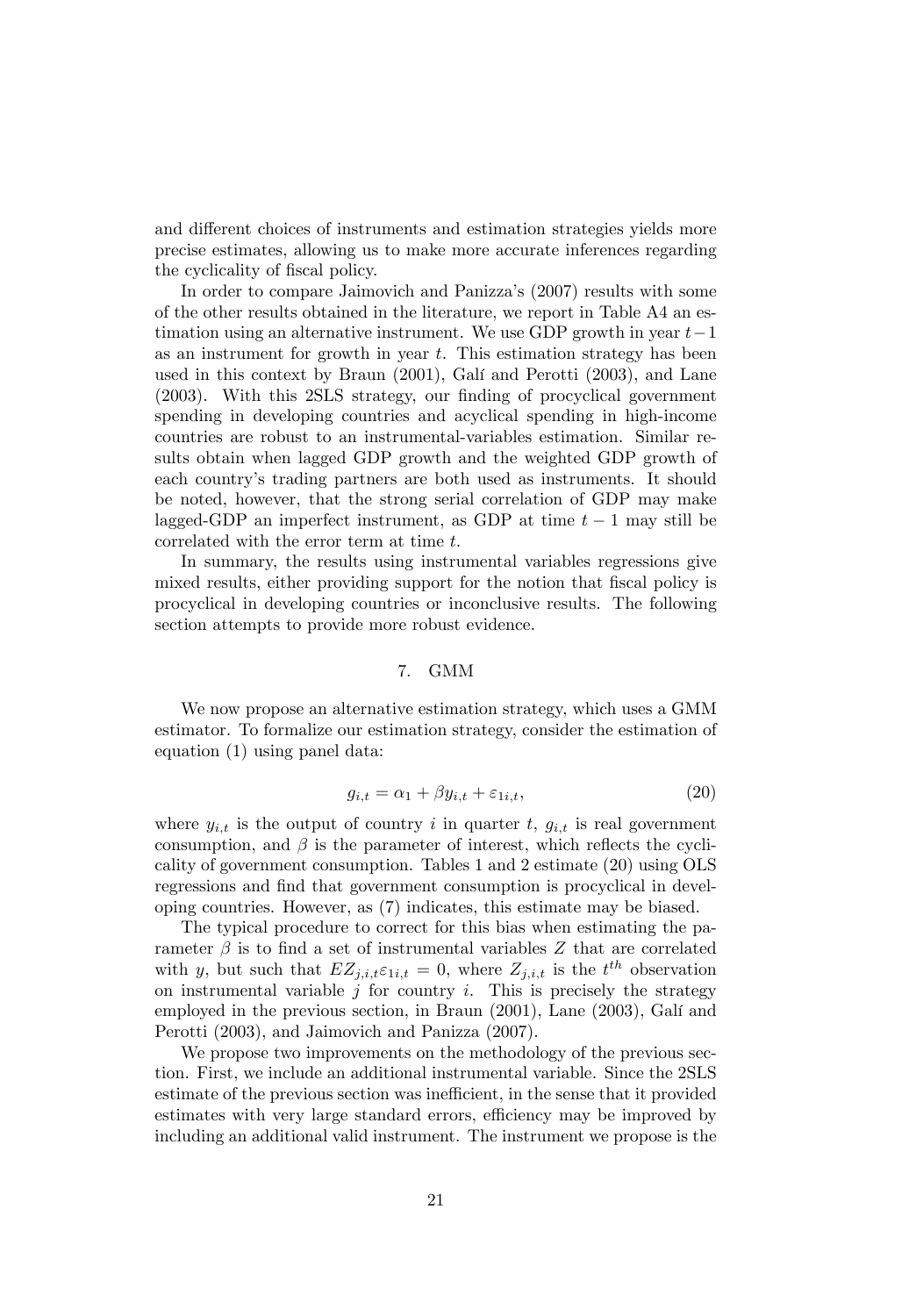and different choices of instruments and estimation strategies yields more precise estimates, allowing us to make more accurate inferences regarding the cyclicality of fiscal policy.

In order to compare Jaimovich and Panizza's (2007) results with some of the other results obtained in the literature, we report in Table A4 an estimation using an alternative instrument. We use GDP growth in year  $t-1$ as an instrument for growth in year  $t$ . This estimation strategy has been used in this context by Braun (2001), Galí and Perotti (2003), and Lane (2003). With this 2SLS strategy, our finding of procyclical government spending in developing countries and acyclical spending in high-income countries are robust to an instrumental-variables estimation. Similar results obtain when lagged GDP growth and the weighted GDP growth of each countryís trading partners are both used as instruments. It should be noted, however, that the strong serial correlation of GDP may make lagged-GDP an imperfect instrument, as GDP at time  $t-1$  may still be correlated with the error term at time t.

In summary, the results using instrumental variables regressions give mixed results, either providing support for the notion that fiscal policy is procyclical in developing countries or inconclusive results. The following section attempts to provide more robust evidence.

#### 7. GMM

We now propose an alternative estimation strategy, which uses a GMM estimator. To formalize our estimation strategy, consider the estimation of equation (1) using panel data:

$$
g_{i,t} = \alpha_1 + \beta y_{i,t} + \varepsilon_{1i,t},\tag{20}
$$

where  $y_{i,t}$  is the output of country i in quarter t,  $g_{i,t}$  is real government consumption, and  $\beta$  is the parameter of interest, which reflects the cyclicality of government consumption. Tables 1 and 2 estimate (20) using OLS regressions and find that government consumption is procyclical in developing countries. However, as (7) indicates, this estimate may be biased.

The typical procedure to correct for this bias when estimating the parameter  $\beta$  is to find a set of instrumental variables Z that are correlated with y, but such that  $EZ_{j,i,t} \varepsilon_{1i,t} = 0$ , where  $Z_{j,i,t}$  is the  $t^{th}$  observation on instrumental variable  $j$  for country  $i$ . This is precisely the strategy employed in the previous section, in Braun (2001), Lane (2003), Galí and Perotti (2003), and Jaimovich and Panizza (2007).

We propose two improvements on the methodology of the previous section. First, we include an additional instrumental variable. Since the 2SLS estimate of the previous section was inefficient, in the sense that it provided estimates with very large standard errors, efficiency may be improved by including an additional valid instrument. The instrument we propose is the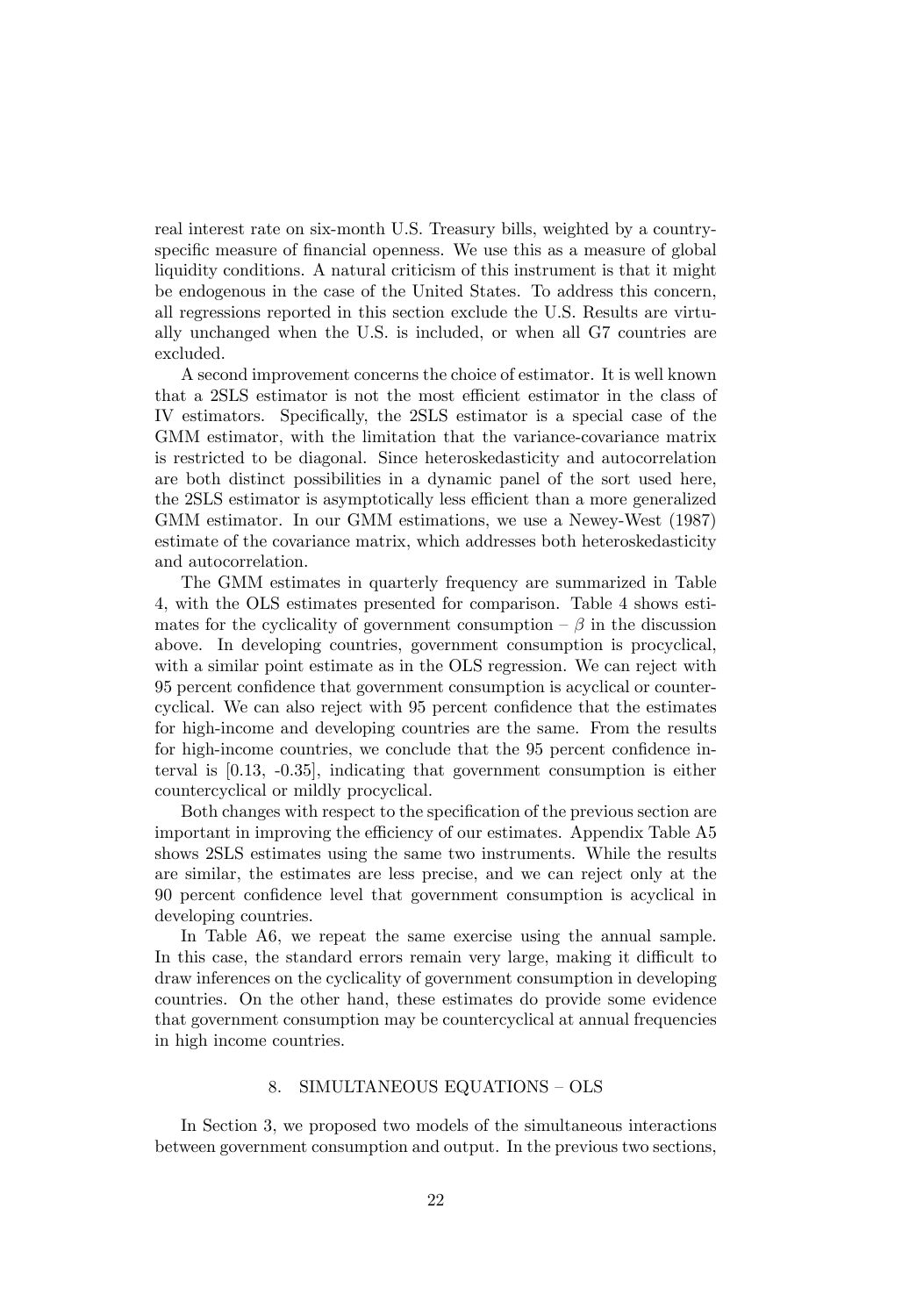real interest rate on six-month U.S. Treasury bills, weighted by a countryspecific measure of financial openness. We use this as a measure of global liquidity conditions. A natural criticism of this instrument is that it might be endogenous in the case of the United States. To address this concern, all regressions reported in this section exclude the U.S. Results are virtually unchanged when the U.S. is included, or when all G7 countries are excluded.

A second improvement concerns the choice of estimator. It is well known that a 2SLS estimator is not the most efficient estimator in the class of IV estimators. Specifically, the 2SLS estimator is a special case of the GMM estimator, with the limitation that the variance-covariance matrix is restricted to be diagonal. Since heteroskedasticity and autocorrelation are both distinct possibilities in a dynamic panel of the sort used here, the 2SLS estimator is asymptotically less efficient than a more generalized GMM estimator. In our GMM estimations, we use a Newey-West (1987) estimate of the covariance matrix, which addresses both heteroskedasticity and autocorrelation.

The GMM estimates in quarterly frequency are summarized in Table 4, with the OLS estimates presented for comparison. Table 4 shows estimates for the cyclicality of government consumption  $-\beta$  in the discussion above. In developing countries, government consumption is procyclical, with a similar point estimate as in the OLS regression. We can reject with 95 percent confidence that government consumption is acyclical or countercyclical. We can also reject with 95 percent confidence that the estimates for high-income and developing countries are the same. From the results for high-income countries, we conclude that the 95 percent confidence interval is [0.13, -0.35], indicating that government consumption is either countercyclical or mildly procyclical.

Both changes with respect to the specification of the previous section are important in improving the efficiency of our estimates. Appendix Table A5 shows 2SLS estimates using the same two instruments. While the results are similar, the estimates are less precise, and we can reject only at the 90 percent confidence level that government consumption is acyclical in developing countries.

In Table A6, we repeat the same exercise using the annual sample. In this case, the standard errors remain very large, making it difficult to draw inferences on the cyclicality of government consumption in developing countries. On the other hand, these estimates do provide some evidence that government consumption may be countercyclical at annual frequencies in high income countries.

#### 8. SIMULTANEOUS EQUATIONS - OLS

In Section 3, we proposed two models of the simultaneous interactions between government consumption and output. In the previous two sections,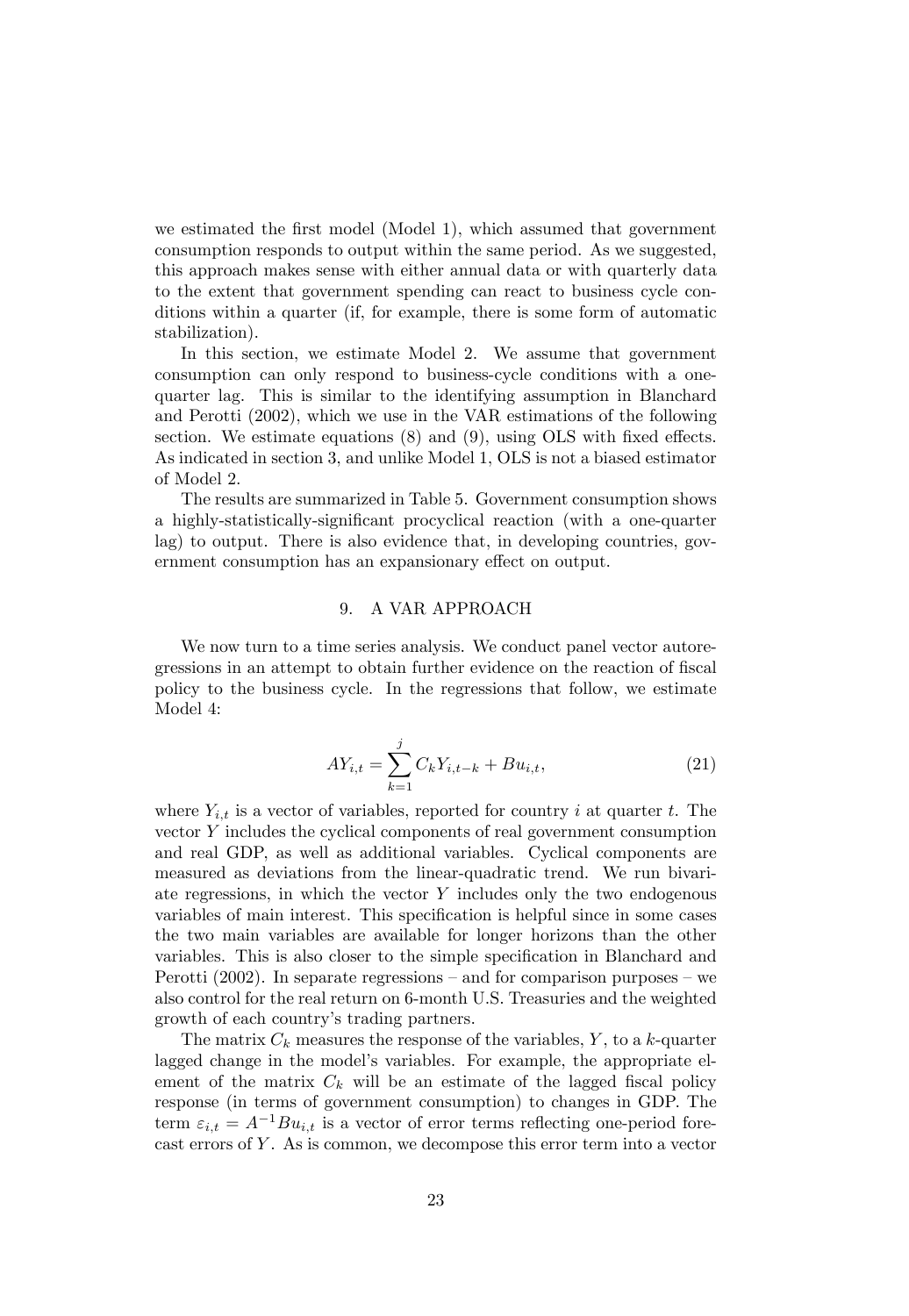we estimated the first model (Model 1), which assumed that government consumption responds to output within the same period. As we suggested, this approach makes sense with either annual data or with quarterly data to the extent that government spending can react to business cycle conditions within a quarter (if, for example, there is some form of automatic stabilization).

In this section, we estimate Model 2. We assume that government consumption can only respond to business-cycle conditions with a onequarter lag. This is similar to the identifying assumption in Blanchard and Perotti (2002), which we use in the VAR estimations of the following section. We estimate equations  $(8)$  and  $(9)$ , using OLS with fixed effects. As indicated in section 3, and unlike Model 1, OLS is not a biased estimator of Model 2.

The results are summarized in Table 5. Government consumption shows a highly-statistically-significant procyclical reaction (with a one-quarter lag) to output. There is also evidence that, in developing countries, government consumption has an expansionary effect on output.

#### 9. A VAR APPROACH

We now turn to a time series analysis. We conduct panel vector autoregressions in an attempt to obtain further evidence on the reaction of fiscal policy to the business cycle. In the regressions that follow, we estimate Model 4:

$$
AY_{i,t} = \sum_{k=1}^{j} C_k Y_{i,t-k} + Bu_{i,t},
$$
\n(21)

where  $Y_{i,t}$  is a vector of variables, reported for country i at quarter t. The vector Y includes the cyclical components of real government consumption and real GDP, as well as additional variables. Cyclical components are measured as deviations from the linear-quadratic trend. We run bivariate regressions, in which the vector  $Y$  includes only the two endogenous variables of main interest. This specification is helpful since in some cases the two main variables are available for longer horizons than the other variables. This is also closer to the simple specification in Blanchard and Perotti  $(2002)$ . In separate regressions  $-$  and for comparison purposes  $-$  we also control for the real return on 6-month U.S. Treasuries and the weighted growth of each country's trading partners.

The matrix  $C_k$  measures the response of the variables, Y, to a k-quarter lagged change in the model's variables. For example, the appropriate element of the matrix  $C_k$  will be an estimate of the lagged fiscal policy response (in terms of government consumption) to changes in GDP. The term  $\varepsilon_{i,t} = A^{-1}Bu_{i,t}$  is a vector of error terms reflecting one-period forecast errors of  $Y$ . As is common, we decompose this error term into a vector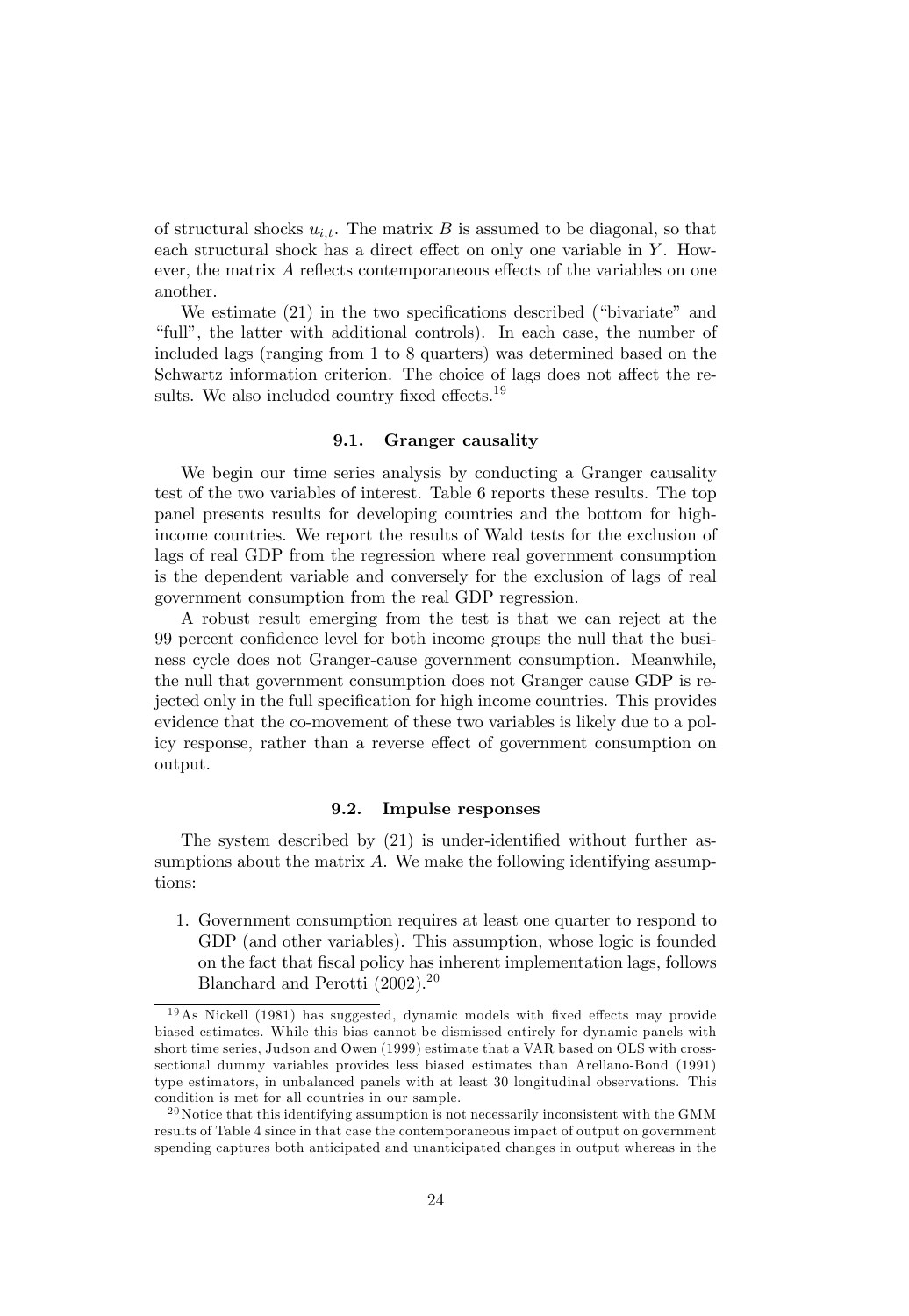of structural shocks  $u_{i,t}$ . The matrix B is assumed to be diagonal, so that each structural shock has a direct effect on only one variable in  $Y$ . However, the matrix  $\vec{A}$  reflects contemporaneous effects of the variables on one another.

We estimate  $(21)$  in the two specifications described ("bivariate" and ìfullî, the latter with additional controls). In each case, the number of included lags (ranging from 1 to 8 quarters) was determined based on the Schwartz information criterion. The choice of lags does not affect the results. We also included country fixed effects.<sup>19</sup>

#### 9.1. Granger causality

We begin our time series analysis by conducting a Granger causality test of the two variables of interest. Table 6 reports these results. The top panel presents results for developing countries and the bottom for highincome countries. We report the results of Wald tests for the exclusion of lags of real GDP from the regression where real government consumption is the dependent variable and conversely for the exclusion of lags of real government consumption from the real GDP regression.

A robust result emerging from the test is that we can reject at the 99 percent conÖdence level for both income groups the null that the business cycle does not Granger-cause government consumption. Meanwhile, the null that government consumption does not Granger cause GDP is rejected only in the full specification for high income countries. This provides evidence that the co-movement of these two variables is likely due to a policy response, rather than a reverse effect of government consumption on output.

#### 9.2. Impulse responses

The system described by  $(21)$  is under-identified without further assumptions about the matrix  $A$ . We make the following identifying assumptions:

1. Government consumption requires at least one quarter to respond to GDP (and other variables). This assumption, whose logic is founded on the fact that Öscal policy has inherent implementation lags, follows Blanchard and Perotti  $(2002).^{20}$ 

 $19As$  Nickell (1981) has suggested, dynamic models with fixed effects may provide biased estimates. While this bias cannot be dismissed entirely for dynamic panels with short time series, Judson and Owen (1999) estimate that a VAR based on OLS with crosssectional dummy variables provides less biased estimates than Arellano-Bond (1991) type estimators, in unbalanced panels with at least 30 longitudinal observations. This condition is met for all countries in our sample.

 $^{20}$  Notice that this identifying assumption is not necessarily inconsistent with the GMM results of Table 4 since in that case the contemporaneous impact of output on government spending captures both anticipated and unanticipated changes in output whereas in the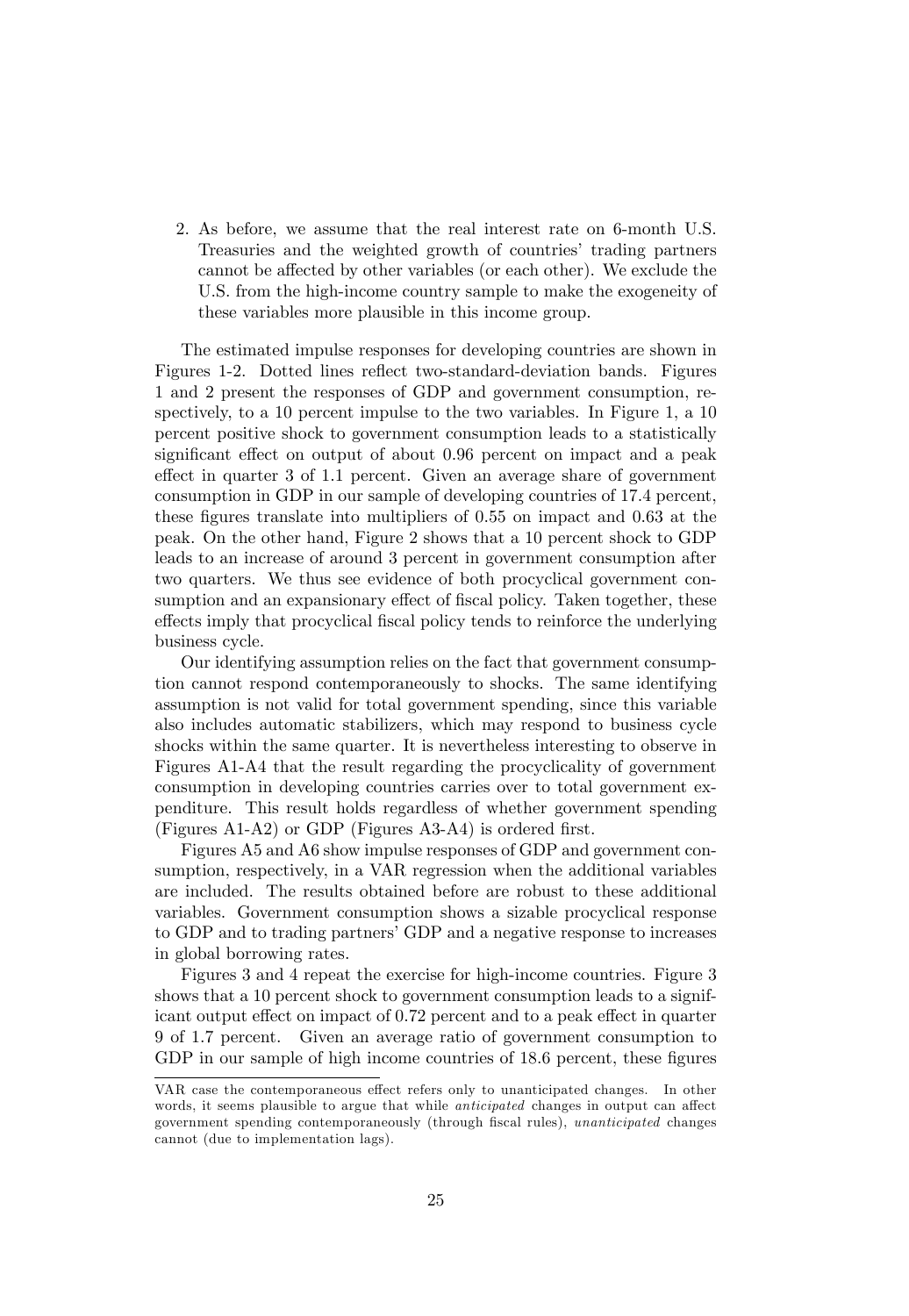2. As before, we assume that the real interest rate on 6-month U.S. Treasuries and the weighted growth of countries' trading partners cannot be affected by other variables (or each other). We exclude the U.S. from the high-income country sample to make the exogeneity of these variables more plausible in this income group.

The estimated impulse responses for developing countries are shown in Figures 1-2. Dotted lines reflect two-standard-deviation bands. Figures 1 and 2 present the responses of GDP and government consumption, respectively, to a 10 percent impulse to the two variables. In Figure 1, a 10 percent positive shock to government consumption leads to a statistically significant effect on output of about 0.96 percent on impact and a peak effect in quarter 3 of 1.1 percent. Given an average share of government consumption in GDP in our sample of developing countries of 17.4 percent, these figures translate into multipliers of 0.55 on impact and 0.63 at the peak. On the other hand, Figure 2 shows that a 10 percent shock to GDP leads to an increase of around 3 percent in government consumption after two quarters. We thus see evidence of both procyclical government consumption and an expansionary effect of fiscal policy. Taken together, these effects imply that procyclical fiscal policy tends to reinforce the underlying business cycle.

Our identifying assumption relies on the fact that government consumption cannot respond contemporaneously to shocks. The same identifying assumption is not valid for total government spending, since this variable also includes automatic stabilizers, which may respond to business cycle shocks within the same quarter. It is nevertheless interesting to observe in Figures A1-A4 that the result regarding the procyclicality of government consumption in developing countries carries over to total government expenditure. This result holds regardless of whether government spending (Figures A1-A2) or GDP (Figures A3-A4) is ordered first.

Figures A5 and A6 show impulse responses of GDP and government consumption, respectively, in a VAR regression when the additional variables are included. The results obtained before are robust to these additional variables. Government consumption shows a sizable procyclical response to GDP and to trading partners' GDP and a negative response to increases in global borrowing rates.

Figures 3 and 4 repeat the exercise for high-income countries. Figure 3 shows that a 10 percent shock to government consumption leads to a significant output effect on impact of 0.72 percent and to a peak effect in quarter 9 of 1.7 percent. Given an average ratio of government consumption to GDP in our sample of high income countries of 18.6 percent, these figures

VAR case the contemporaneous effect refers only to unanticipated changes. In other words, it seems plausible to argue that while *anticipated* changes in output can affect government spending contemporaneously (through fiscal rules), unanticipated changes cannot (due to implementation lags).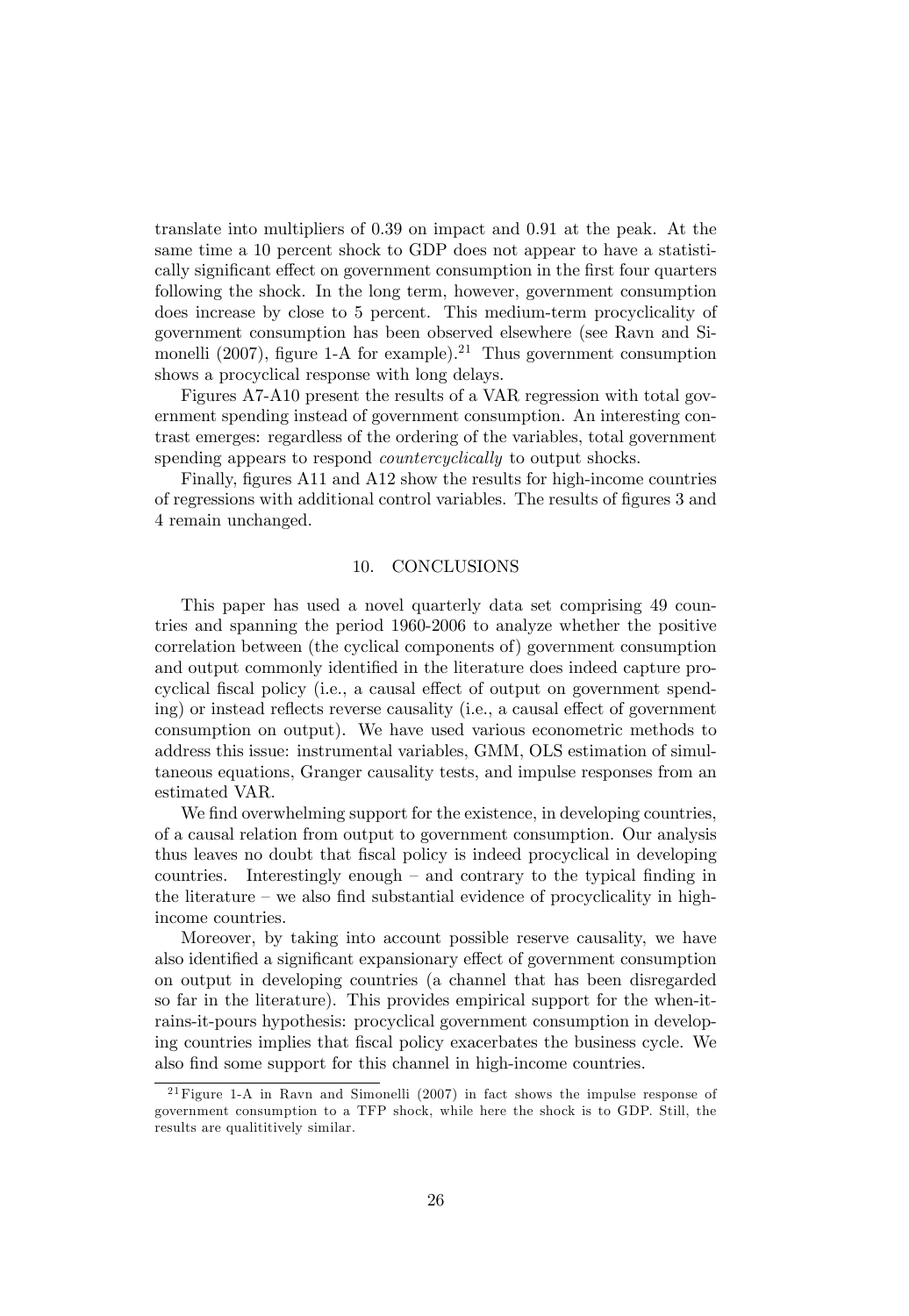translate into multipliers of 0.39 on impact and 0.91 at the peak. At the same time a 10 percent shock to GDP does not appear to have a statistically significant effect on government consumption in the first four quarters following the shock. In the long term, however, government consumption does increase by close to 5 percent. This medium-term procyclicality of government consumption has been observed elsewhere (see Ravn and Simonelli (2007), figure 1-A for example).<sup>21</sup> Thus government consumption shows a procyclical response with long delays.

Figures A7-A10 present the results of a VAR regression with total government spending instead of government consumption. An interesting contrast emerges: regardless of the ordering of the variables, total government spending appears to respond *countercyclically* to output shocks.

Finally, figures A11 and A12 show the results for high-income countries of regressions with additional control variables. The results of figures 3 and 4 remain unchanged.

#### 10. CONCLUSIONS

This paper has used a novel quarterly data set comprising 49 countries and spanning the period 1960-2006 to analyze whether the positive correlation between (the cyclical components of) government consumption and output commonly identified in the literature does indeed capture procyclical fiscal policy (i.e., a causal effect of output on government spending) or instead reflects reverse causality (i.e., a causal effect of government consumption on output). We have used various econometric methods to address this issue: instrumental variables, GMM, OLS estimation of simultaneous equations, Granger causality tests, and impulse responses from an estimated VAR.

We find overwhelming support for the existence, in developing countries, of a causal relation from output to government consumption. Our analysis thus leaves no doubt that Öscal policy is indeed procyclical in developing countries. Interestingly enough  $-$  and contrary to the typical finding in the literature  $-\omega$  also find substantial evidence of procyclicality in highincome countries.

Moreover, by taking into account possible reserve causality, we have also identified a significant expansionary effect of government consumption on output in developing countries (a channel that has been disregarded so far in the literature). This provides empirical support for the when-itrains-it-pours hypothesis: procyclical government consumption in developing countries implies that Öscal policy exacerbates the business cycle. We also find some support for this channel in high-income countries.

 $21$  Figure 1-A in Ravn and Simonelli (2007) in fact shows the impulse response of government consumption to a TFP shock, while here the shock is to GDP. Still, the results are qualititively similar.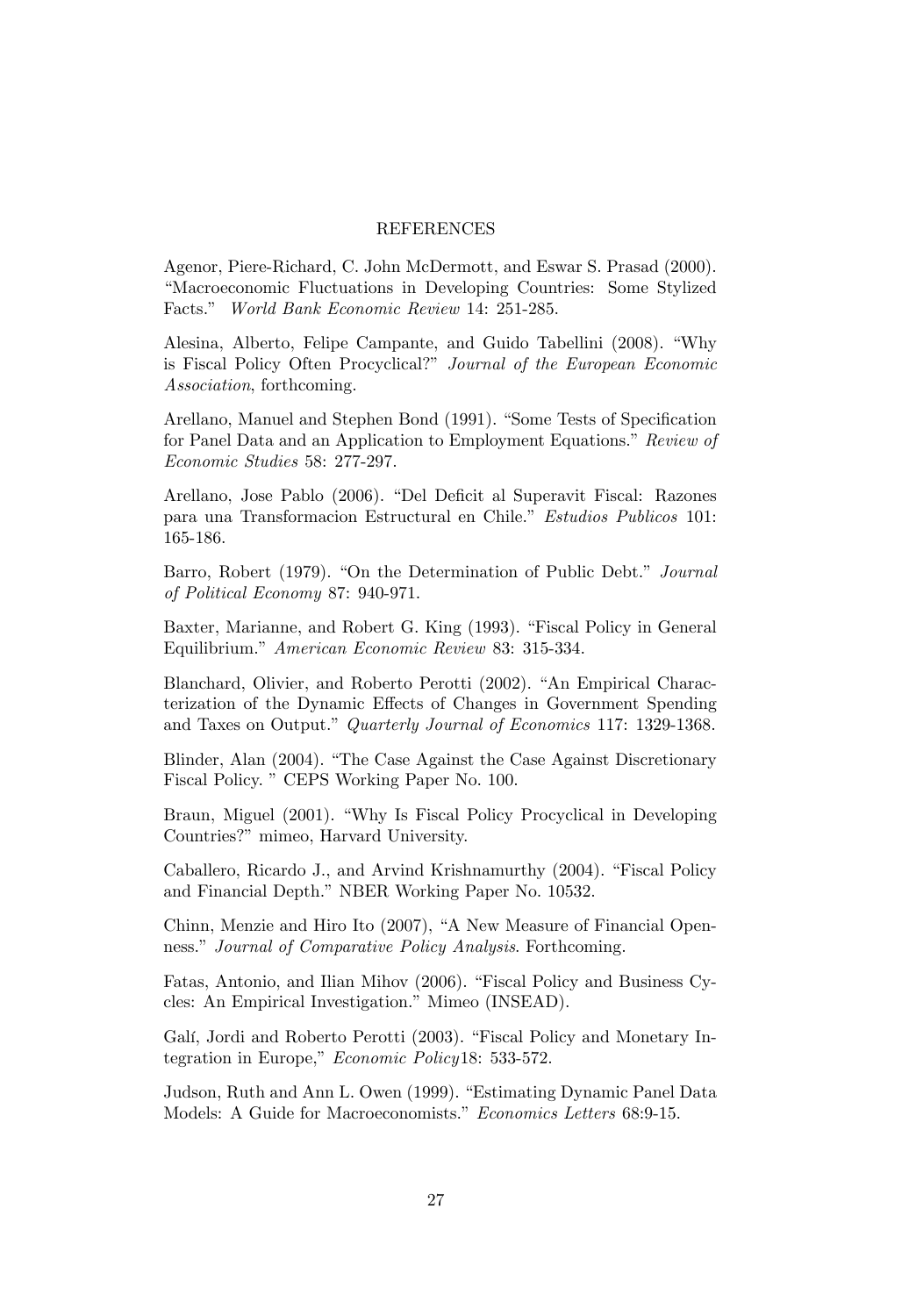#### REFERENCES

Agenor, Piere-Richard, C. John McDermott, and Eswar S. Prasad (2000). ìMacroeconomic Fluctuations in Developing Countries: Some Stylized Facts." World Bank Economic Review 14: 251-285.

Alesina, Alberto, Felipe Campante, and Guido Tabellini (2008). "Why is Fiscal Policy Often Procyclical?" Journal of the European Economic Association, forthcoming.

Arellano, Manuel and Stephen Bond (1991). "Some Tests of Specification for Panel Data and an Application to Employment Equations." Review of Economic Studies 58: 277-297.

Arellano, Jose Pablo (2006). "Del Deficit al Superavit Fiscal: Razones para una Transformacion Estructural en Chile.<sup>n</sup> Estudios Publicos 101: 165-186.

Barro, Robert (1979). "On the Determination of Public Debt." Journal of Political Economy 87: 940-971.

Baxter, Marianne, and Robert G. King (1993). "Fiscal Policy in General Equilibrium." American Economic Review 83: 315-334.

Blanchard, Olivier, and Roberto Perotti (2002). "An Empirical Characterization of the Dynamic Effects of Changes in Government Spending and Taxes on Output." Quarterly Journal of Economics 117: 1329-1368.

Blinder, Alan (2004). "The Case Against the Case Against Discretionary Fiscal Policy. " CEPS Working Paper No. 100.

Braun, Miguel (2001). "Why Is Fiscal Policy Procyclical in Developing Countries?" mimeo, Harvard University.

Caballero, Ricardo J., and Arvind Krishnamurthy (2004). "Fiscal Policy and Financial Depth." NBER Working Paper No. 10532.

Chinn, Menzie and Hiro Ito (2007), "A New Measure of Financial Openness." Journal of Comparative Policy Analysis. Forthcoming.

Fatas, Antonio, and Ilian Mihov (2006). "Fiscal Policy and Business Cycles: An Empirical Investigation." Mimeo (INSEAD).

Galí, Jordi and Roberto Perotti (2003). "Fiscal Policy and Monetary Integration in Europe," Economic Policy18: 533-572.

Judson, Ruth and Ann L. Owen (1999). "Estimating Dynamic Panel Data Models: A Guide for Macroeconomists." Economics Letters 68:9-15.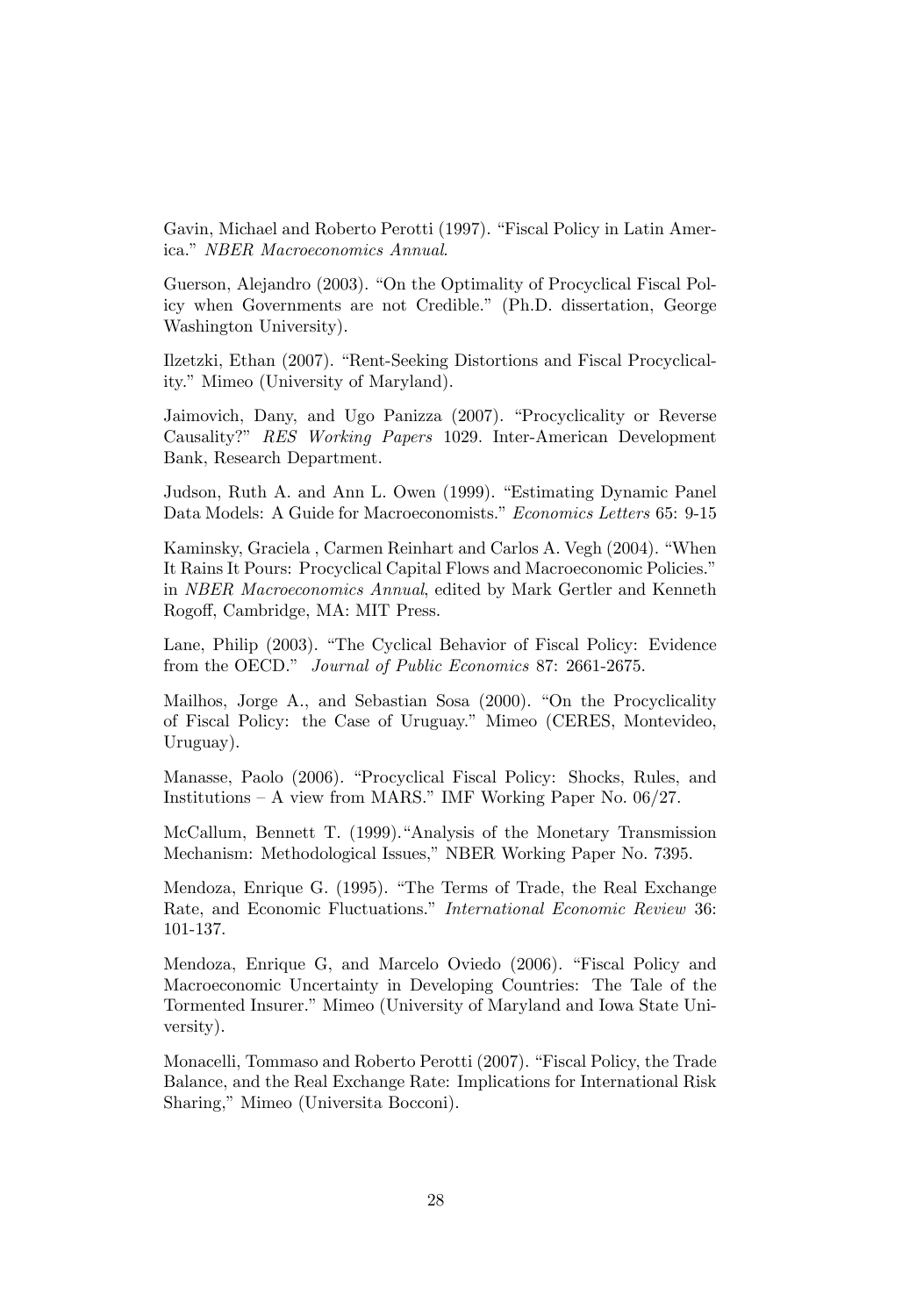Gavin, Michael and Roberto Perotti (1997). "Fiscal Policy in Latin America." NBER Macroeconomics Annual.

Guerson, Alejandro (2003). "On the Optimality of Procyclical Fiscal Policy when Governments are not Credible." (Ph.D. dissertation, George Washington University).

Ilzetzki, Ethan (2007). "Rent-Seeking Distortions and Fiscal Procyclicality." Mimeo (University of Maryland).

Jaimovich, Dany, and Ugo Panizza (2007). "Procyclicality or Reverse Causality?î RES Working Papers 1029. Inter-American Development Bank, Research Department.

Judson, Ruth A. and Ann L. Owen (1999). "Estimating Dynamic Panel Data Models: A Guide for Macroeconomists." Economics Letters 65: 9-15

Kaminsky, Graciela, Carmen Reinhart and Carlos A. Vegh (2004). "When It Rains It Pours: Procyclical Capital Flows and Macroeconomic Policies." in NBER Macroeconomics Annual, edited by Mark Gertler and Kenneth Rogoff, Cambridge, MA: MIT Press.

Lane, Philip (2003). "The Cyclical Behavior of Fiscal Policy: Evidence from the OECD." Journal of Public Economics 87: 2661-2675.

Mailhos, Jorge A., and Sebastian Sosa (2000). "On the Procyclicality of Fiscal Policy: the Case of Uruguay.î Mimeo (CERES, Montevideo, Uruguay).

Manasse, Paolo (2006). "Procyclical Fiscal Policy: Shocks, Rules, and Institutions  $- A$  view from MARS." IMF Working Paper No. 06/27.

McCallum, Bennett T. (1999)."Analysis of the Monetary Transmission Mechanism: Methodological Issues," NBER Working Paper No. 7395.

Mendoza, Enrique G. (1995). "The Terms of Trade, the Real Exchange Rate, and Economic Fluctuations." International Economic Review 36: 101-137.

Mendoza, Enrique G, and Marcelo Oviedo (2006). "Fiscal Policy and Macroeconomic Uncertainty in Developing Countries: The Tale of the Tormented Insurer." Mimeo (University of Maryland and Iowa State University).

Monacelli, Tommaso and Roberto Perotti (2007). "Fiscal Policy, the Trade Balance, and the Real Exchange Rate: Implications for International Risk Sharing," Mimeo (Universita Bocconi).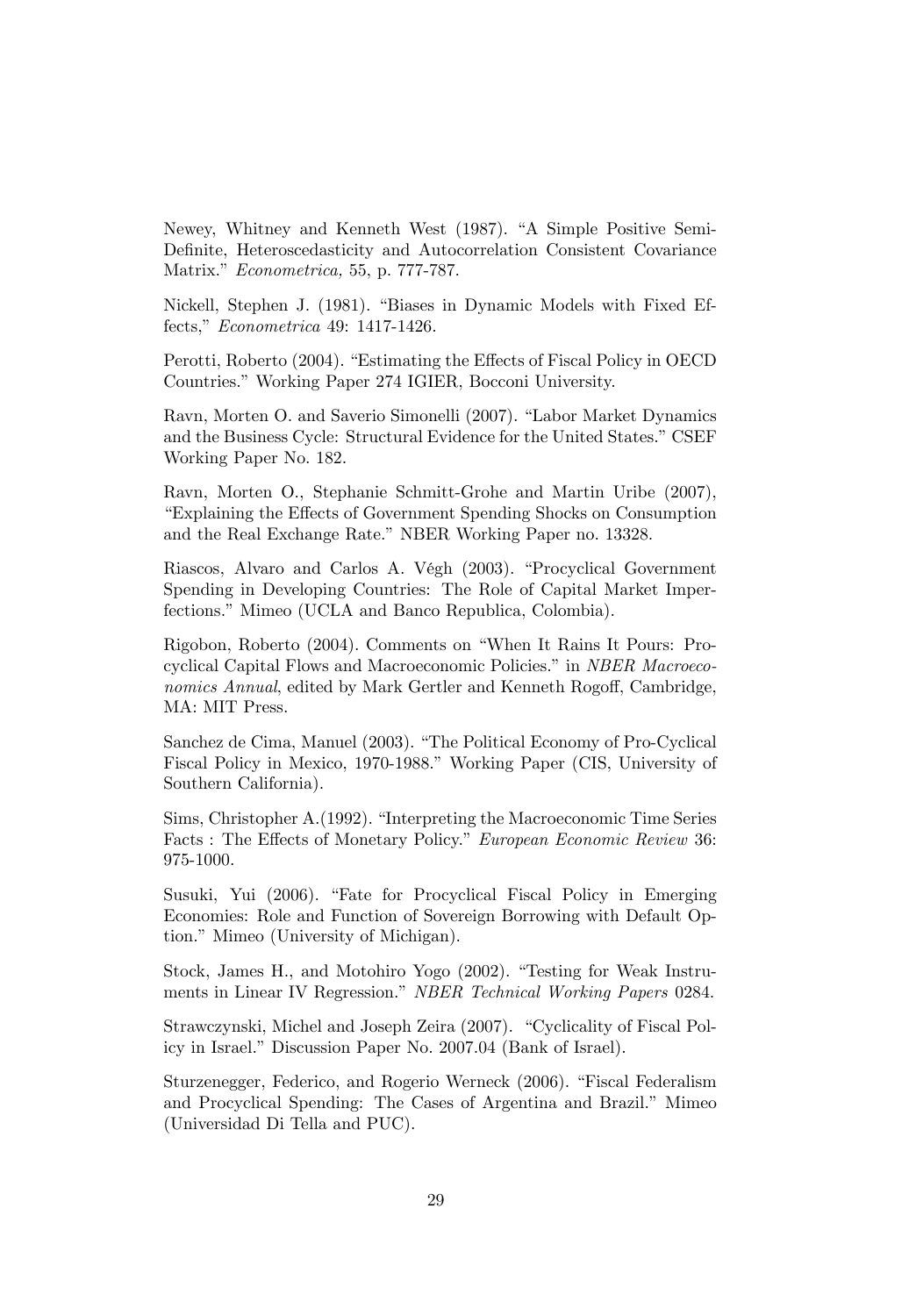Newey, Whitney and Kenneth West (1987). "A Simple Positive Semi-Definite, Heteroscedasticity and Autocorrelation Consistent Covariance Matrix." *Econometrica*, 55, p. 777-787.

Nickell, Stephen J. (1981). "Biases in Dynamic Models with Fixed Effects," Econometrica 49: 1417-1426.

Perotti, Roberto (2004). "Estimating the Effects of Fiscal Policy in OECD Countries." Working Paper 274 IGIER, Bocconi University.

Ravn, Morten O. and Saverio Simonelli (2007). "Labor Market Dynamics and the Business Cycle: Structural Evidence for the United States." CSEF Working Paper No. 182.

Ravn, Morten O., Stephanie Schmitt-Grohe and Martin Uribe (2007), ìExplaining the E§ects of Government Spending Shocks on Consumption and the Real Exchange Rate." NBER Working Paper no. 13328.

Riascos, Alvaro and Carlos A. Végh (2003). "Procyclical Government Spending in Developing Countries: The Role of Capital Market Imperfections." Mimeo (UCLA and Banco Republica, Colombia).

Rigobon, Roberto (2004). Comments on "When It Rains It Pours: Procyclical Capital Flows and Macroeconomic Policies." in NBER Macroeconomics Annual, edited by Mark Gertler and Kenneth Rogoff, Cambridge, MA: MIT Press.

Sanchez de Cima, Manuel (2003). "The Political Economy of Pro-Cyclical Fiscal Policy in Mexico, 1970-1988." Working Paper (CIS, University of Southern California).

Sims, Christopher A.(1992). "Interpreting the Macroeconomic Time Series Facts : The Effects of Monetary Policy." European Economic Review 36: 975-1000.

Susuki, Yui (2006). "Fate for Procyclical Fiscal Policy in Emerging Economies: Role and Function of Sovereign Borrowing with Default Option." Mimeo (University of Michigan).

Stock, James H., and Motohiro Yogo (2002). "Testing for Weak Instruments in Linear IV Regression." NBER Technical Working Papers 0284.

Strawczynski, Michel and Joseph Zeira (2007). "Cyclicality of Fiscal Policy in Israel." Discussion Paper No. 2007.04 (Bank of Israel).

Sturzenegger, Federico, and Rogerio Werneck (2006). "Fiscal Federalism and Procyclical Spending: The Cases of Argentina and Brazil." Mimeo (Universidad Di Tella and PUC).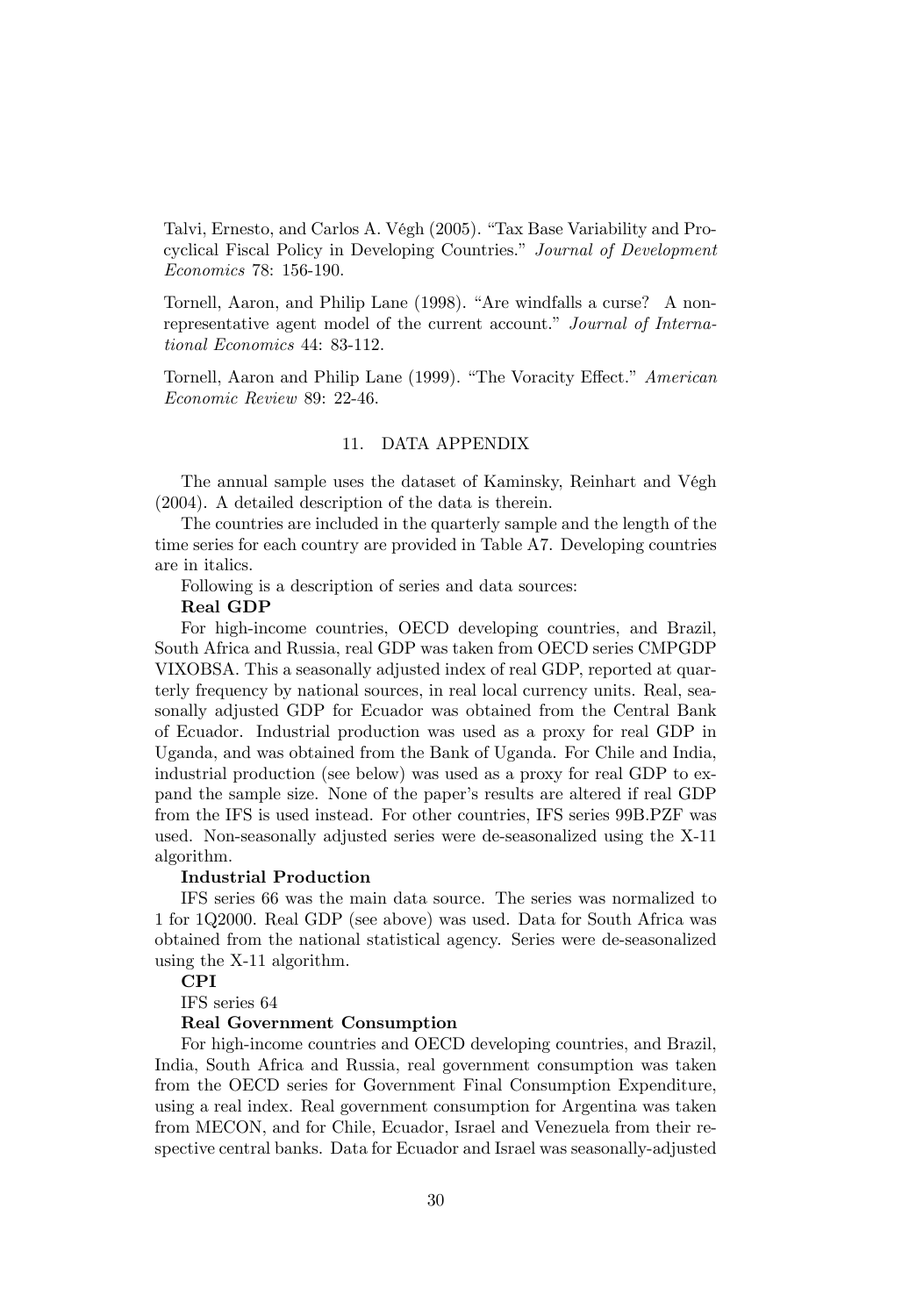Talvi, Ernesto, and Carlos A. Végh (2005). "Tax Base Variability and Procyclical Fiscal Policy in Developing Countries." Journal of Development Economics 78: 156-190.

Tornell, Aaron, and Philip Lane (1998). "Are windfalls a curse? A nonrepresentative agent model of the current account." Journal of International Economics 44: 83-112.

Tornell, Aaron and Philip Lane (1999). "The Voracity Effect." American Economic Review 89: 22-46.

#### 11. DATA APPENDIX

The annual sample uses the dataset of Kaminsky, Reinhart and Végh (2004). A detailed description of the data is therein.

The countries are included in the quarterly sample and the length of the time series for each country are provided in Table A7. Developing countries are in italics.

Following is a description of series and data sources:

Real GDP

For high-income countries, OECD developing countries, and Brazil, South Africa and Russia, real GDP was taken from OECD series CMPGDP VIXOBSA. This a seasonally adjusted index of real GDP, reported at quarterly frequency by national sources, in real local currency units. Real, seasonally adjusted GDP for Ecuador was obtained from the Central Bank of Ecuador. Industrial production was used as a proxy for real GDP in Uganda, and was obtained from the Bank of Uganda. For Chile and India, industrial production (see below) was used as a proxy for real GDP to expand the sample size. None of the paper's results are altered if real GDP from the IFS is used instead. For other countries, IFS series 99B.PZF was used. Non-seasonally adjusted series were de-seasonalized using the X-11 algorithm.

#### Industrial Production

IFS series 66 was the main data source. The series was normalized to 1 for 1Q2000. Real GDP (see above) was used. Data for South Africa was obtained from the national statistical agency. Series were de-seasonalized using the X-11 algorithm.

#### CPI

IFS series 64

#### Real Government Consumption

For high-income countries and OECD developing countries, and Brazil, India, South Africa and Russia, real government consumption was taken from the OECD series for Government Final Consumption Expenditure, using a real index. Real government consumption for Argentina was taken from MECON, and for Chile, Ecuador, Israel and Venezuela from their respective central banks. Data for Ecuador and Israel was seasonally-adjusted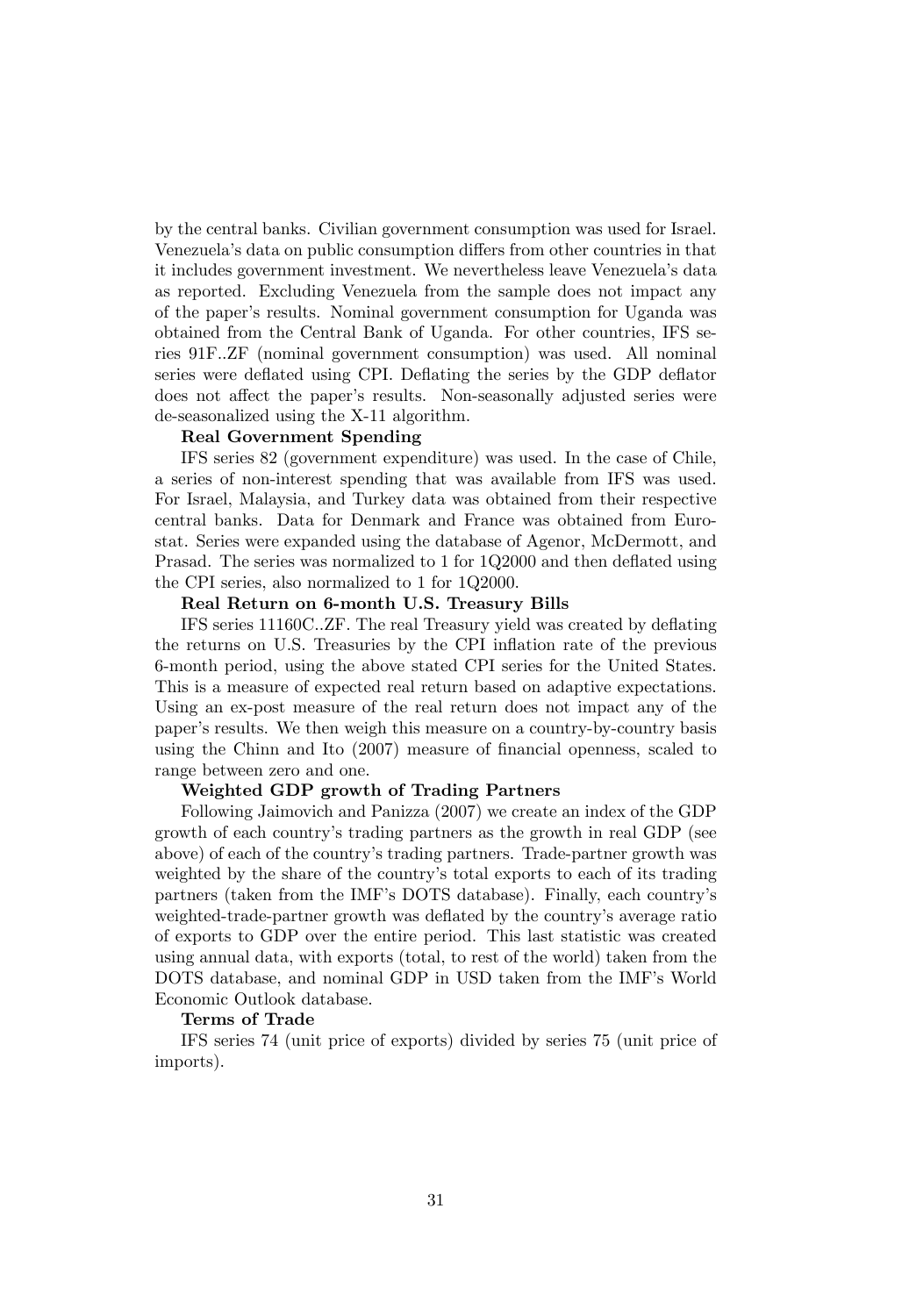by the central banks. Civilian government consumption was used for Israel. Venezuela's data on public consumption differs from other countries in that it includes government investment. We nevertheless leave Venezuelaís data as reported. Excluding Venezuela from the sample does not impact any of the paper's results. Nominal government consumption for Uganda was obtained from the Central Bank of Uganda. For other countries, IFS series 91F..ZF (nominal government consumption) was used. All nominal series were deflated using CPI. Deflating the series by the GDP deflator does not affect the paper's results. Non-seasonally adjusted series were de-seasonalized using the X-11 algorithm.

#### Real Government Spending

IFS series 82 (government expenditure) was used. In the case of Chile, a series of non-interest spending that was available from IFS was used. For Israel, Malaysia, and Turkey data was obtained from their respective central banks. Data for Denmark and France was obtained from Eurostat. Series were expanded using the database of Agenor, McDermott, and Prasad. The series was normalized to 1 for 1Q2000 and then deflated using the CPI series, also normalized to 1 for 1Q2000.

#### Real Return on 6-month U.S. Treasury Bills

IFS series 11160C..ZF. The real Treasury yield was created by deáating the returns on U.S. Treasuries by the CPI inflation rate of the previous 6-month period, using the above stated CPI series for the United States. This is a measure of expected real return based on adaptive expectations. Using an ex-post measure of the real return does not impact any of the paper's results. We then weigh this measure on a country-by-country basis using the Chinn and Ito  $(2007)$  measure of financial openness, scaled to range between zero and one.

#### Weighted GDP growth of Trading Partners

Following Jaimovich and Panizza (2007) we create an index of the GDP growth of each countryís trading partners as the growth in real GDP (see above) of each of the countryís trading partners. Trade-partner growth was weighted by the share of the country's total exports to each of its trading partners (taken from the IMF's DOTS database). Finally, each country's weighted-trade-partner growth was deflated by the country's average ratio of exports to GDP over the entire period. This last statistic was created using annual data, with exports (total, to rest of the world) taken from the DOTS database, and nominal GDP in USD taken from the IMF's World Economic Outlook database.

#### Terms of Trade

IFS series 74 (unit price of exports) divided by series 75 (unit price of imports).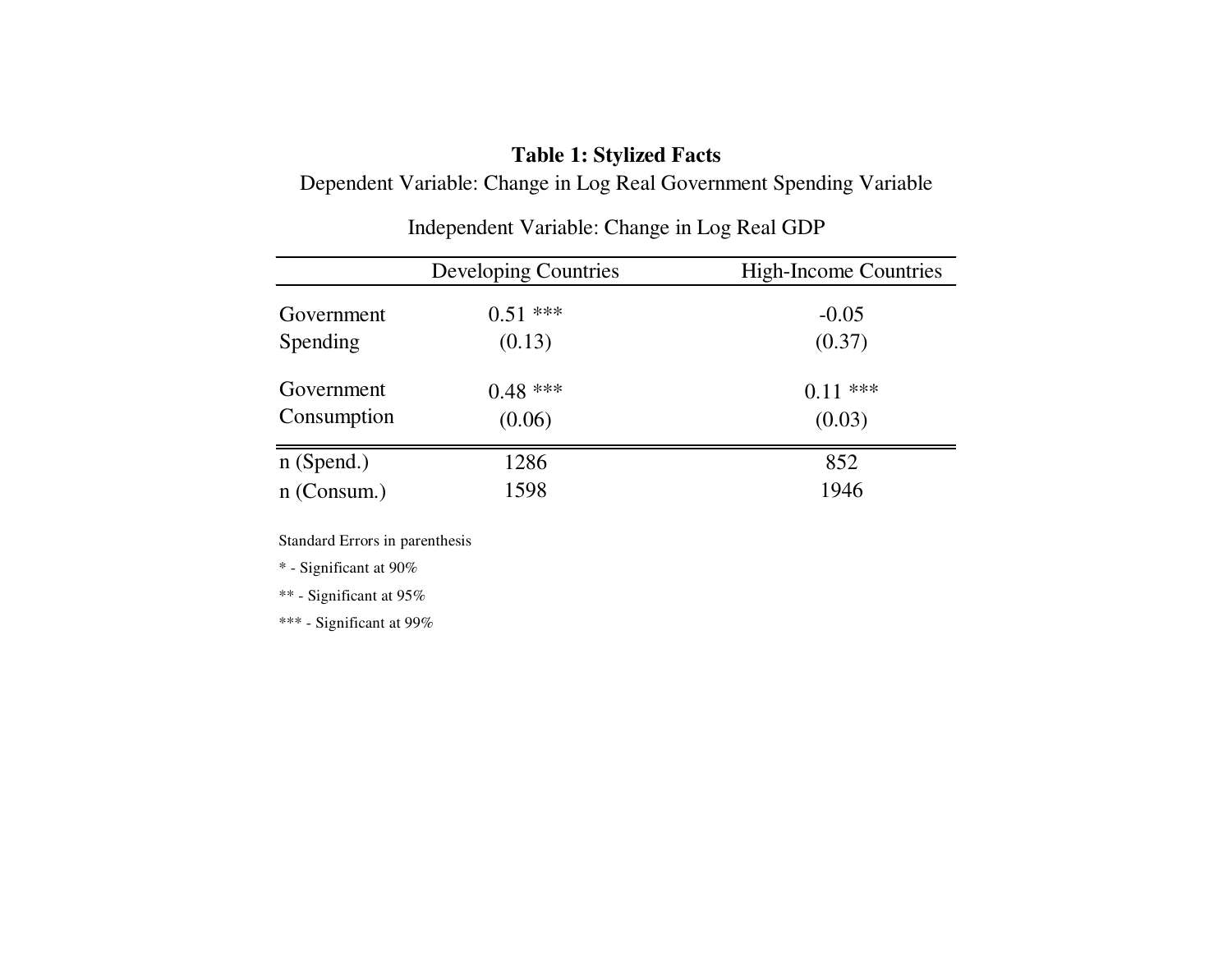# **Table 1: Stylized Facts**

Dependent Variable: Change in Log Real Government Spending Variable

|               | <b>Developing Countries</b> | <b>High-Income Countries</b> |
|---------------|-----------------------------|------------------------------|
| Government    | $0.51$ ***                  | $-0.05$                      |
| Spending      | (0.13)                      | (0.37)                       |
| Government    | $0.48***$                   | $0.11$ ***                   |
| Consumption   | (0.06)                      | (0.03)                       |
| $n$ (Spend.)  | 1286                        | 852                          |
| $n$ (Consum.) | 1598                        | 1946                         |

Independent Variable: Change in Log Real GDP

Standard Errors in parenthesis

\* - Significant at 90%

\*\* - Significant at 95%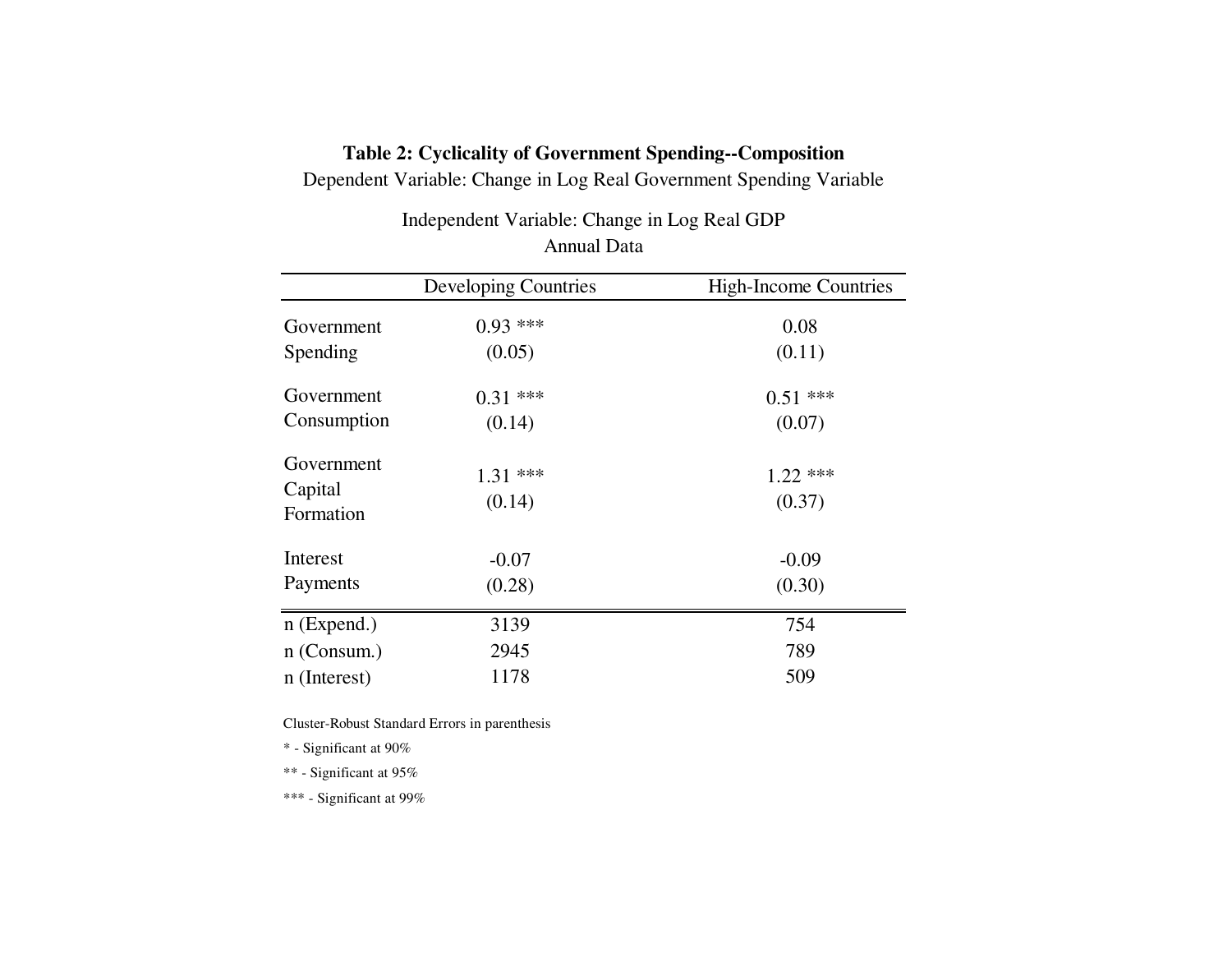# **Table 2: Cyclicality of Government Spending--Composition**

Dependent Variable: Change in Log Real Government Spending Variable

Annual DataIndependent Variable: Change in Log Real GDP

|                                    | Developing Countries | <b>High-Income Countries</b> |
|------------------------------------|----------------------|------------------------------|
| Government                         | $0.93$ ***           | 0.08                         |
| Spending                           | (0.05)               | (0.11)                       |
| Government                         | $0.31***$            | $0.51$ ***                   |
| Consumption                        | (0.14)               | (0.07)                       |
| Government<br>Capital<br>Formation | $1.31***$<br>(0.14)  | $1.22$ ***<br>(0.37)         |
| Interest                           | $-0.07$              | $-0.09$                      |
| Payments                           | (0.28)               | (0.30)                       |
| $n$ (Expend.)                      | 3139                 | 754                          |
| $n$ (Consum.)                      | 2945                 | 789                          |
| n (Interest)                       | 1178                 | 509                          |

Cluster-Robust Standard Errors in parenthesis

\* - Significant at 90%

\*\* - Significant at 95%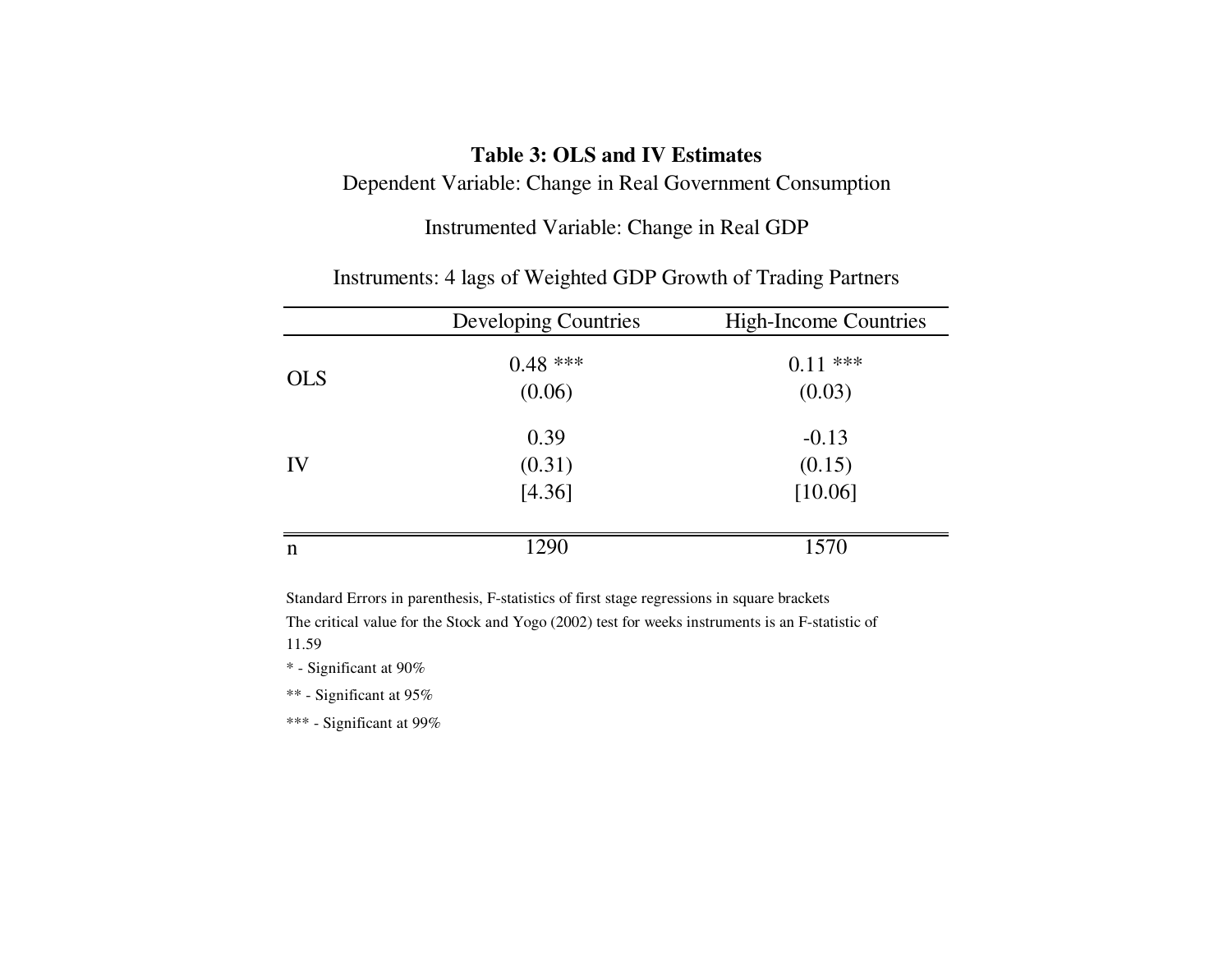# **Table 3: OLS and IV Estimates**

Dependent Variable: Change in Real Government Consumption

Instrumented Variable: Change in Real GDP

|            | <b>Developing Countries</b> | <b>High-Income Countries</b> |
|------------|-----------------------------|------------------------------|
| <b>OLS</b> | $0.48$ ***                  | $0.11***$                    |
|            | (0.06)                      | (0.03)                       |
|            | 0.39                        | $-0.13$                      |
| IV         | (0.31)                      | (0.15)                       |
|            | [4.36]                      | [10.06]                      |
|            |                             |                              |
| n          | 1290                        | 1570                         |

Instruments: 4 lags of Weighted GDP Growth of Trading Partners

Standard Errors in parenthesis, F-statistics of first stage regressions in square brackets

The critical value for the Stock and Yogo (2002) test for weeks instruments is an F-statistic of11.59

\* - Significant at 90%

\*\* - Significant at 95%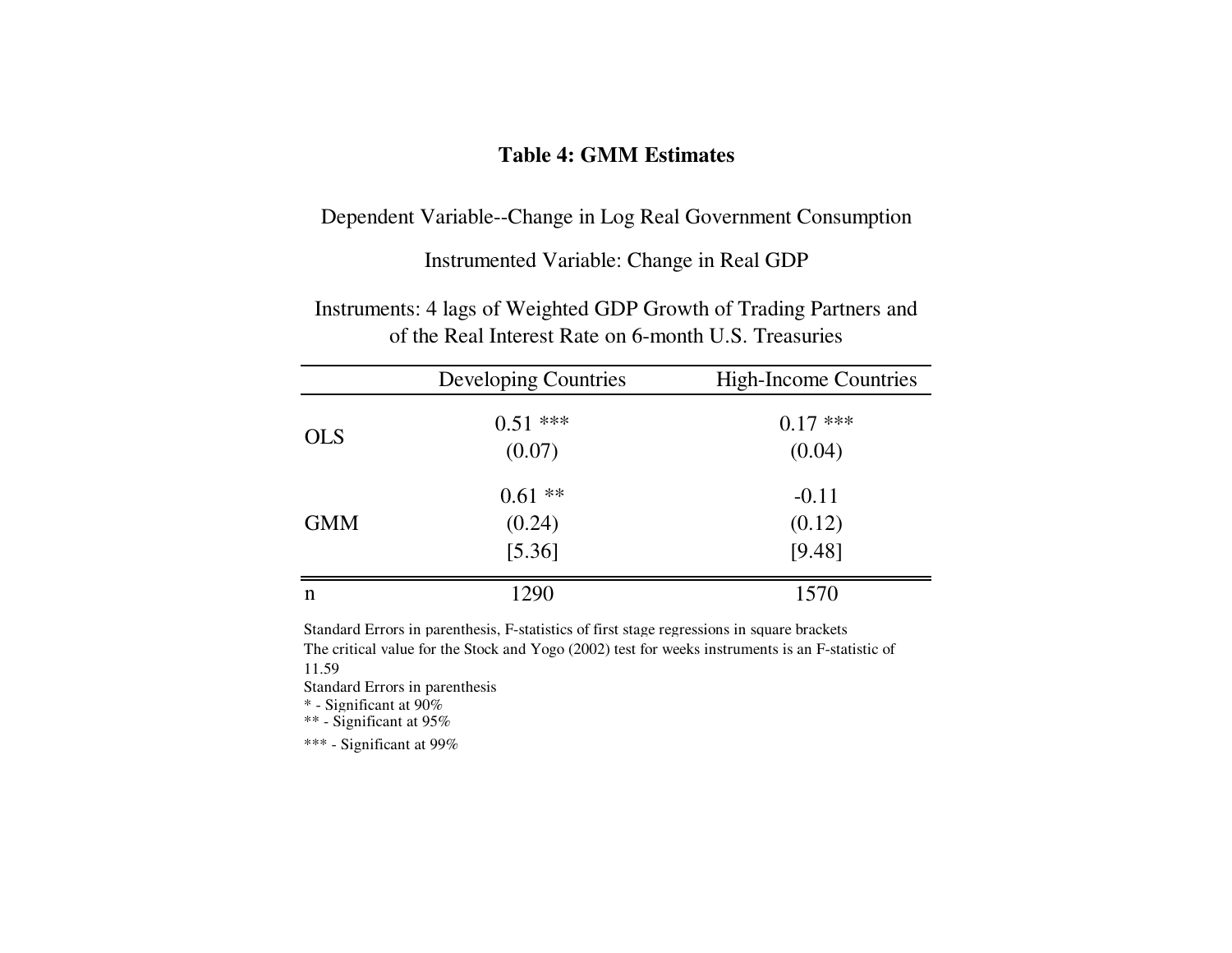### **Table 4: GMM Estimates**

Dependent Variable--Change in Log Real Government Consumption

## Instrumented Variable: Change in Real GDP

Instruments: 4 lags of Weighted GDP Growth of Trading Partners and of the Real Interest Rate on 6-month U.S. Treasuries

|            | <b>Developing Countries</b> | <b>High-Income Countries</b> |
|------------|-----------------------------|------------------------------|
| <b>OLS</b> | $0.51***$                   | $0.17***$                    |
|            | (0.07)                      | (0.04)                       |
|            | $0.61$ **                   | $-0.11$                      |
| <b>GMM</b> | (0.24)                      | (0.12)                       |
|            | [5.36]                      | [9.48]                       |
| n          | 1290                        | 1570                         |

Standard Errors in parenthesis, F-statistics of first stage regressions in square brackets The critical value for the Stock and Yogo (2002) test for weeks instruments is an F-statistic of11.59

Standard Errors in parenthesis

\* - Significant at 90%

 $^{**}$  - Significant at 95%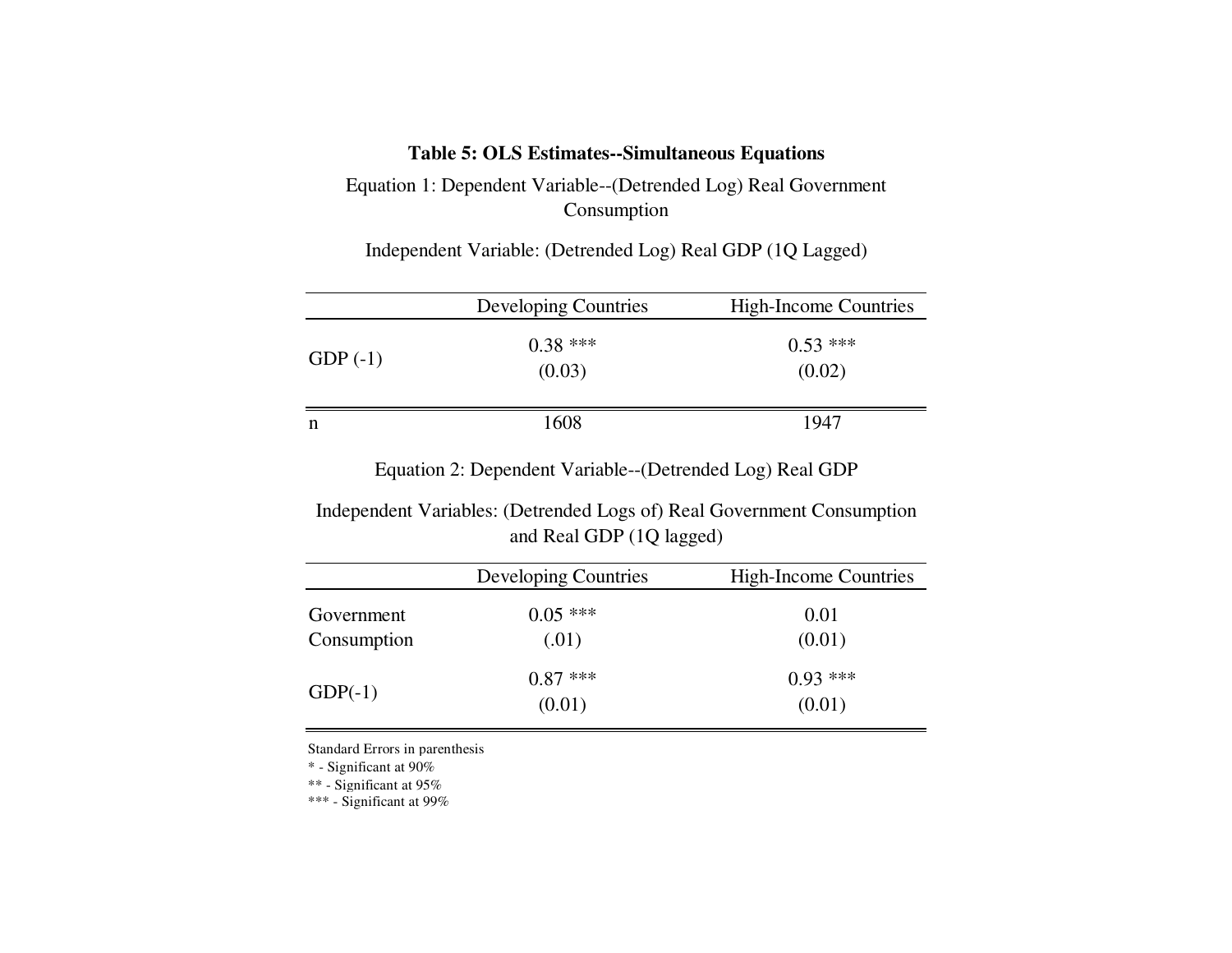### **Table 5: OLS Estimates--Simultaneous Equations**

Equation 1: Dependent Variable--(Detrended Log) Real Government Consumption

Independent Variable: (Detrended Log) Real GDP (1Q Lagged)

|            | Developing Countries | <b>High-Income Countries</b> |
|------------|----------------------|------------------------------|
| GDP $(-1)$ | $0.38***$<br>(0.03)  | $0.53***$<br>(0.02)          |
| n          | 1608                 | 1947                         |

Equation 2: Dependent Variable--(Detrended Log) Real GDP

Independent Variables: (Detrended Logs of) Real Government Consumption and Real GDP (1Q lagged)

|                           | <b>Developing Countries</b> | <b>High-Income Countries</b> |
|---------------------------|-----------------------------|------------------------------|
| Government<br>Consumption | $0.05$ ***<br>(.01)         | 0.01<br>(0.01)               |
| $GDP(-1)$                 | $0.87$ ***<br>(0.01)        | $0.93***$<br>(0.01)          |

Standard Errors in parenthesis

\* - Significant at 90%

\*\* - Significant at 95%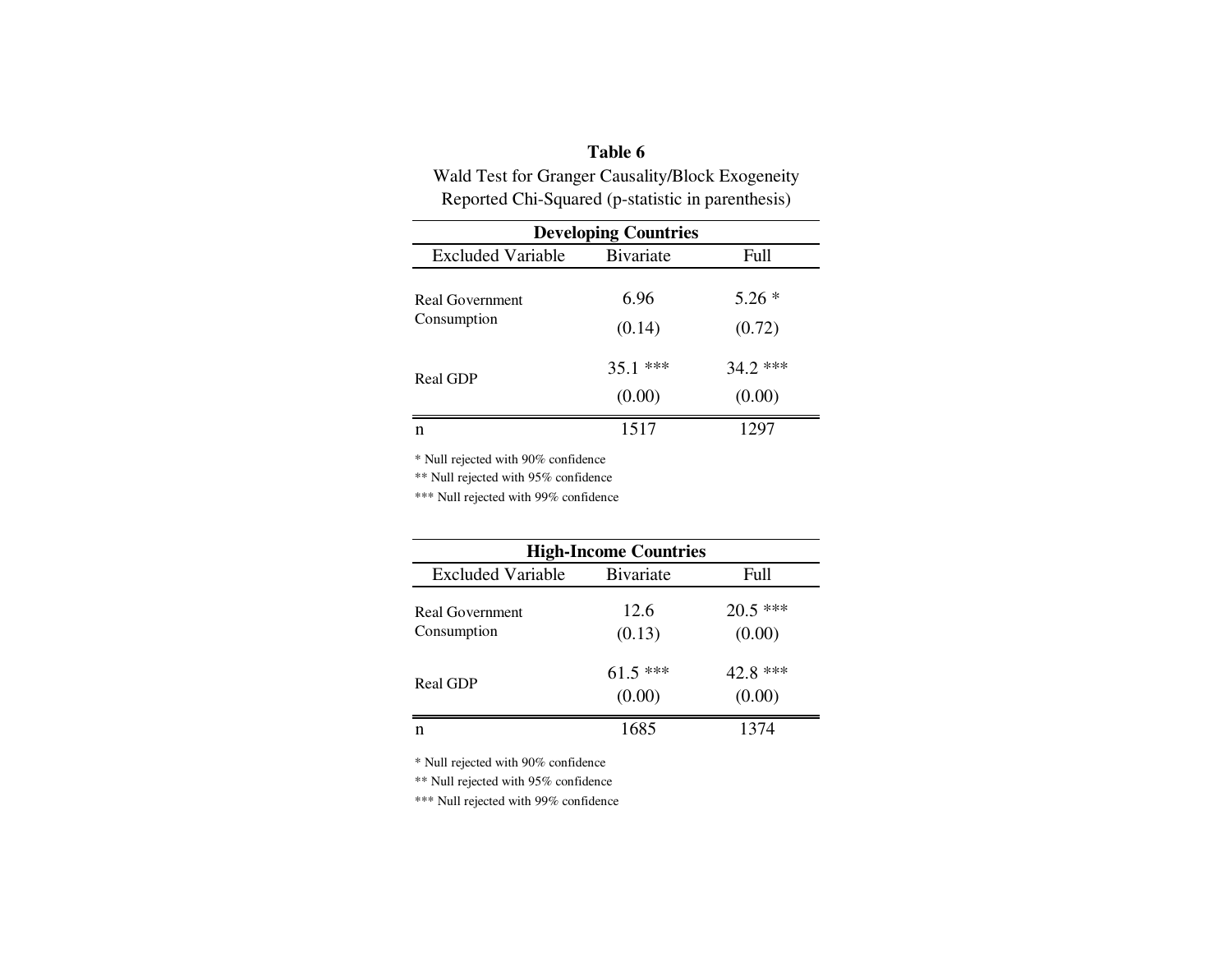## **Table 6**

 Wald Test for Granger Causality/Block ExogeneityReported Chi-Squared (p-statistic in parenthesis)

| <b>Developing Countries</b>    |                     |                      |  |  |
|--------------------------------|---------------------|----------------------|--|--|
| <b>Excluded Variable</b>       | <b>B</b> ivariate   | <b>Full</b>          |  |  |
| Real Government<br>Consumption | 6.96<br>(0.14)      | $5.26*$<br>(0.72)    |  |  |
| Real GDP                       | $35.1***$<br>(0.00) | $34.2$ ***<br>(0.00) |  |  |
| n                              | 1517                | 1297                 |  |  |

\* Null rejected with 90% confidence

\*\* Null rejected with 95% confidence

\*\*\* Null rejected with 99% confidence

| <b>High-Income Countries</b> |                   |            |  |
|------------------------------|-------------------|------------|--|
| <b>Excluded Variable</b>     | <b>B</b> ivariate | Full       |  |
| Real Government              | 12.6              | $20.5$ *** |  |
| Consumption                  | (0.13)            | (0.00)     |  |
|                              | $61.5***$         | $42.8$ *** |  |
| <b>Real GDP</b>              | (0.00)            | (0.00)     |  |
| n                            | 1685              | 1374       |  |

\* Null rejected with 90% confidence

\*\* Null rejected with 95% confidence

\*\*\* Null rejected with 99% confidence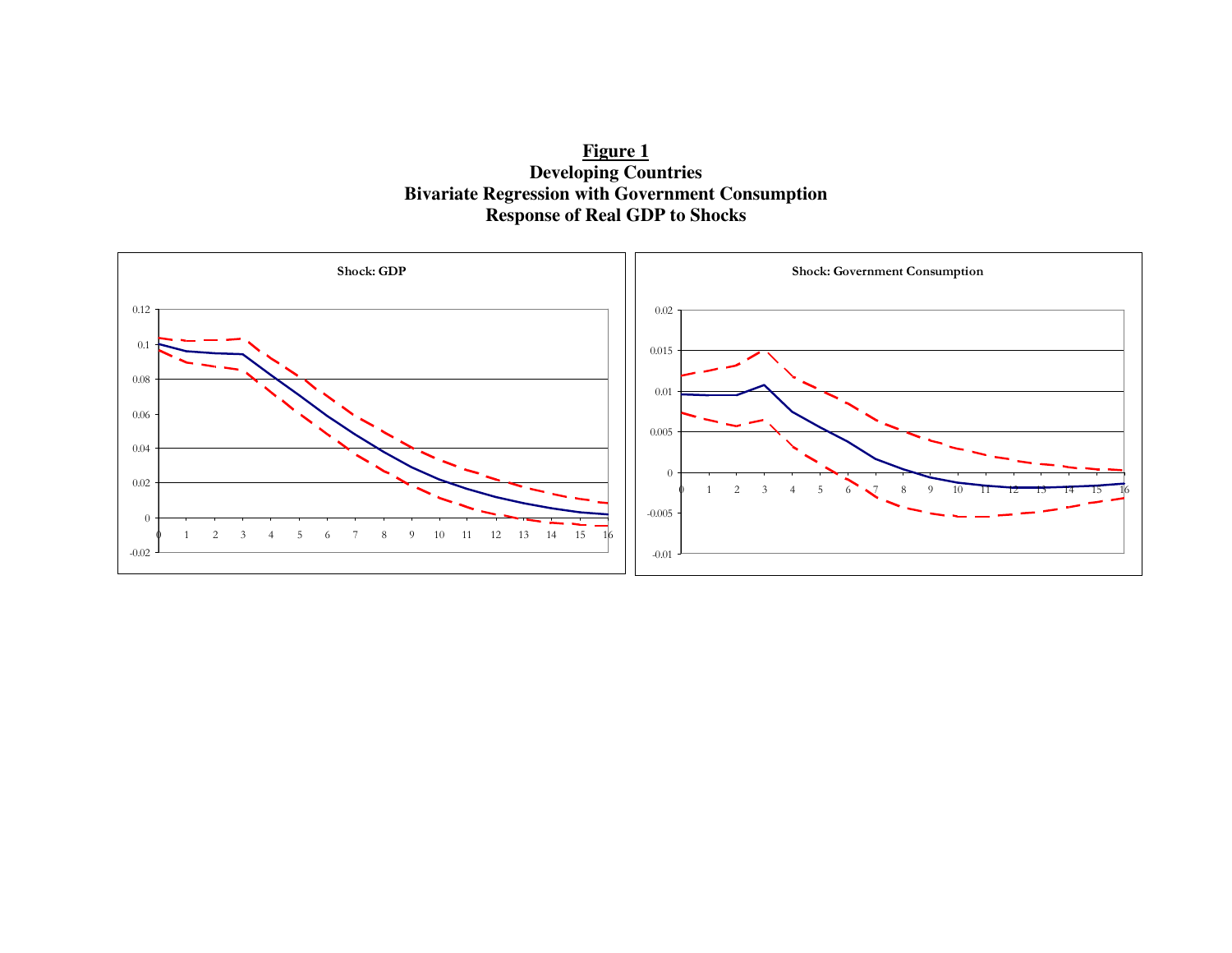**Figure 1 Developing Countries Bivariate Regression with Government Consumption Response of Real GDP to Shocks** 

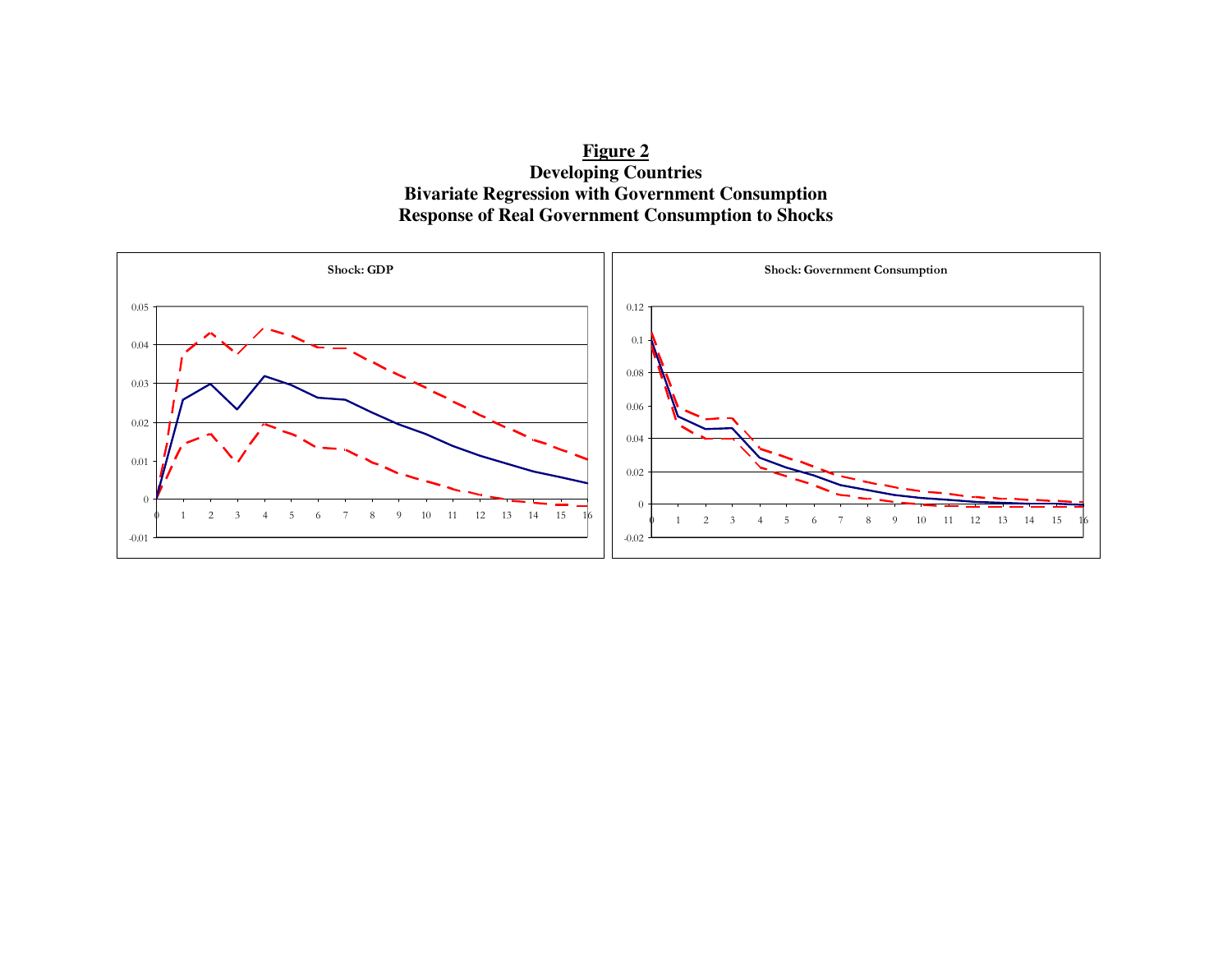**Figure 2 Developing Countries Bivariate Regression with Government Consumption Response of Real Government Consumption to Shocks** 

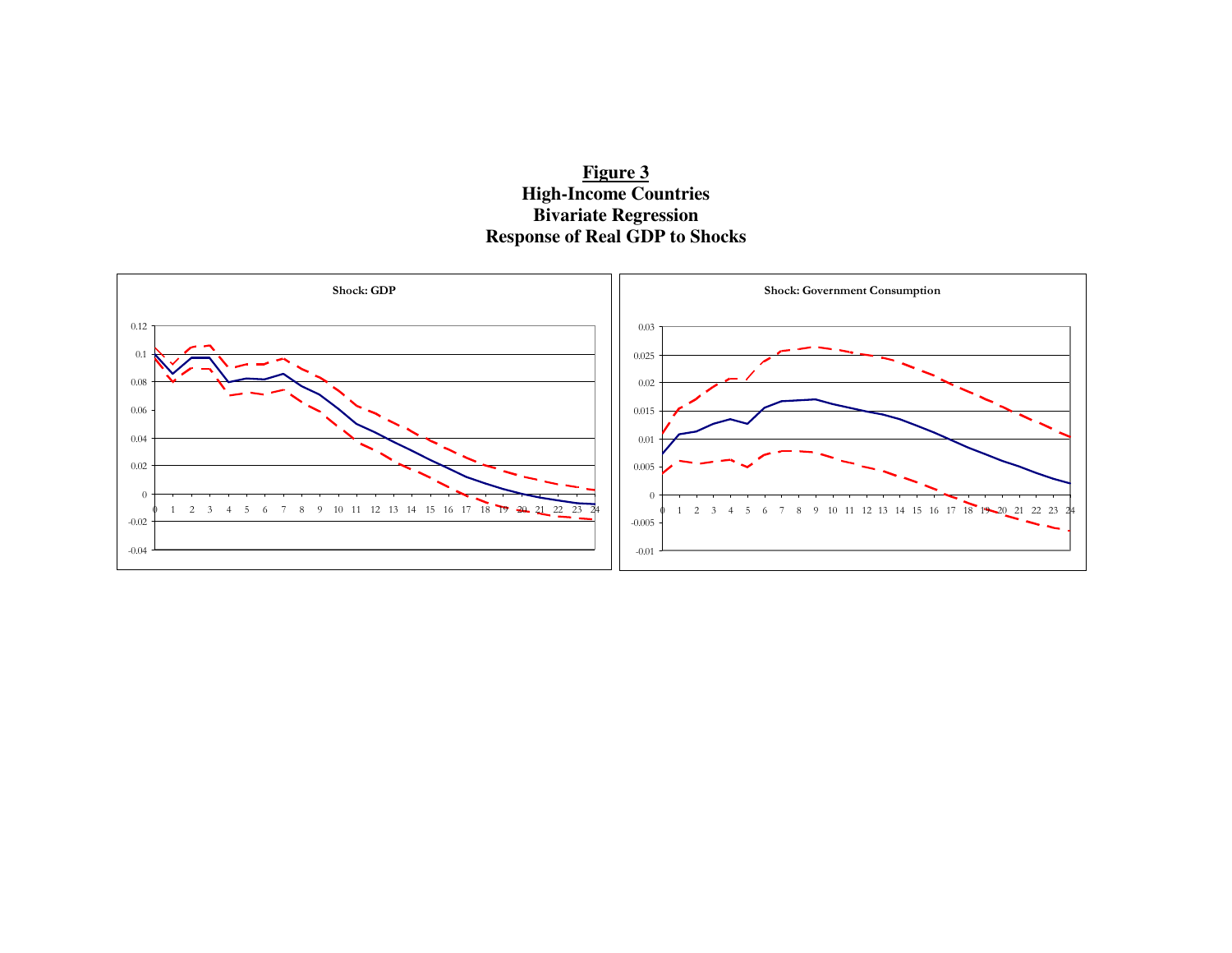

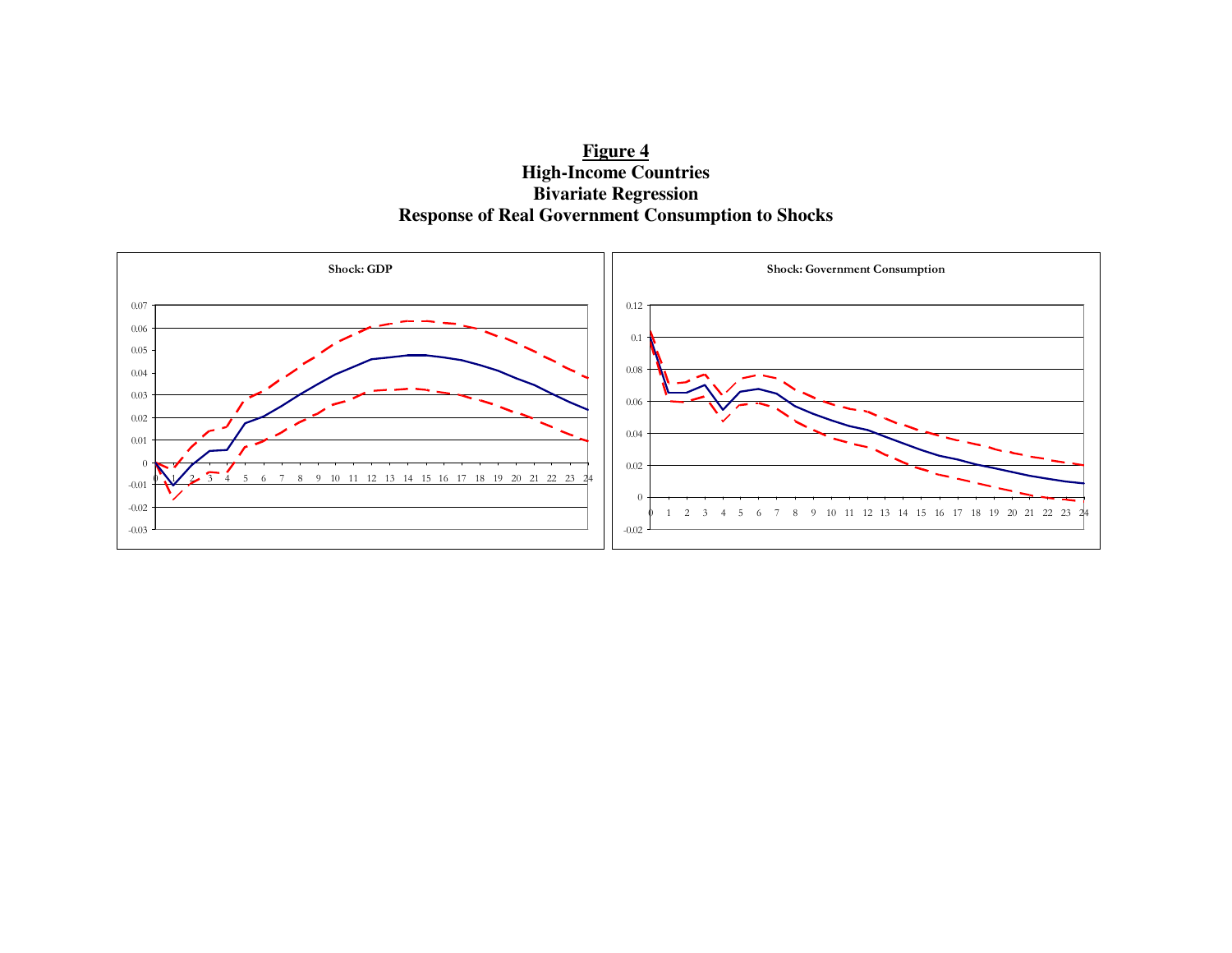

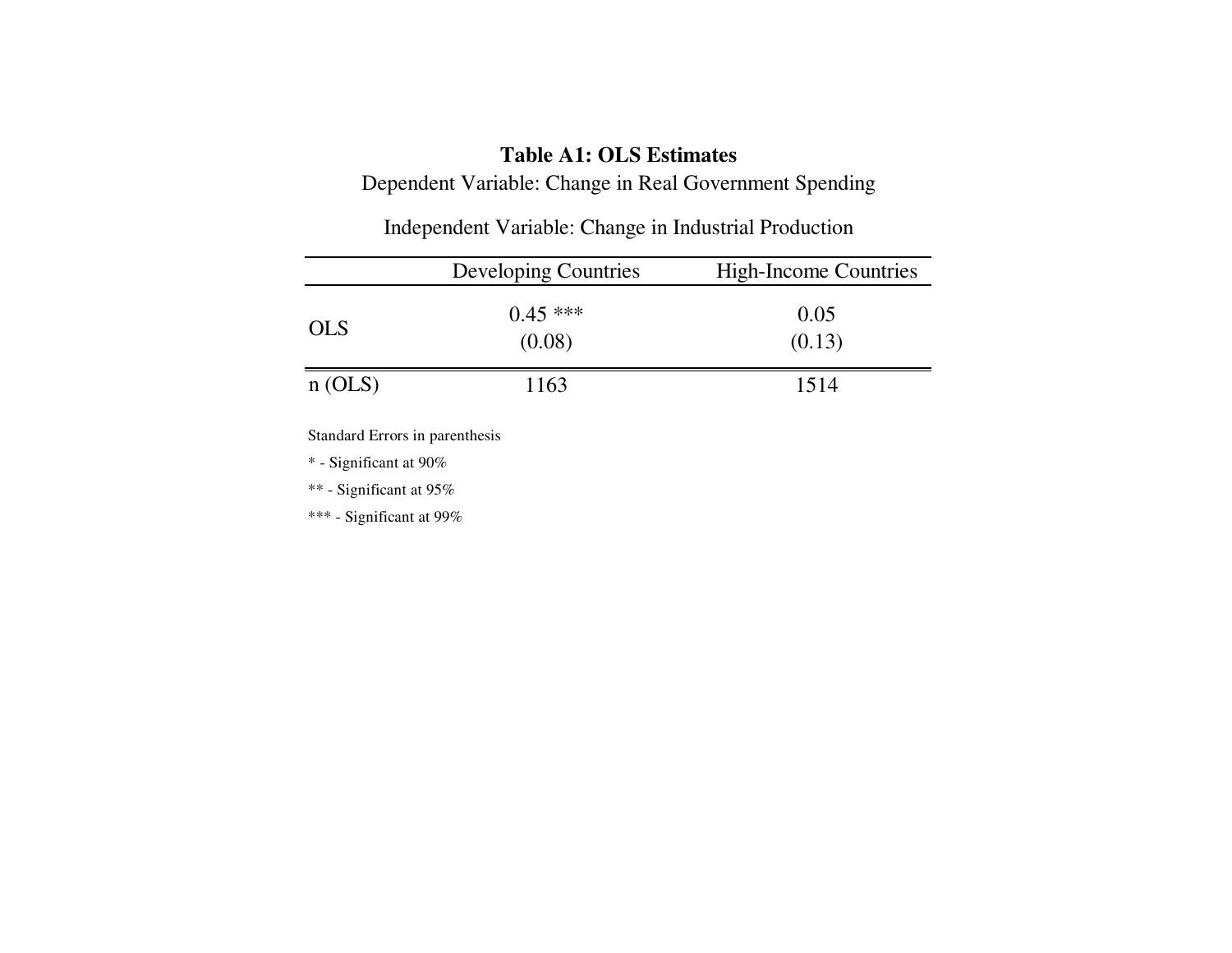### **Table A1: OLS Estimates**

Dependent Variable: Change in Real Government Spending

|            | <b>Developing Countries</b> | <b>High-Income Countries</b> |
|------------|-----------------------------|------------------------------|
| <b>OLS</b> | $0.45$ ***<br>(0.08)        | 0.05<br>(0.13)               |
| n(OLS)     | 1163                        | 1514                         |

Independent Variable: Change in Industrial Production

Standard Errors in parenthesis

\* - Significant at 90%

\*\* - Significant at 95%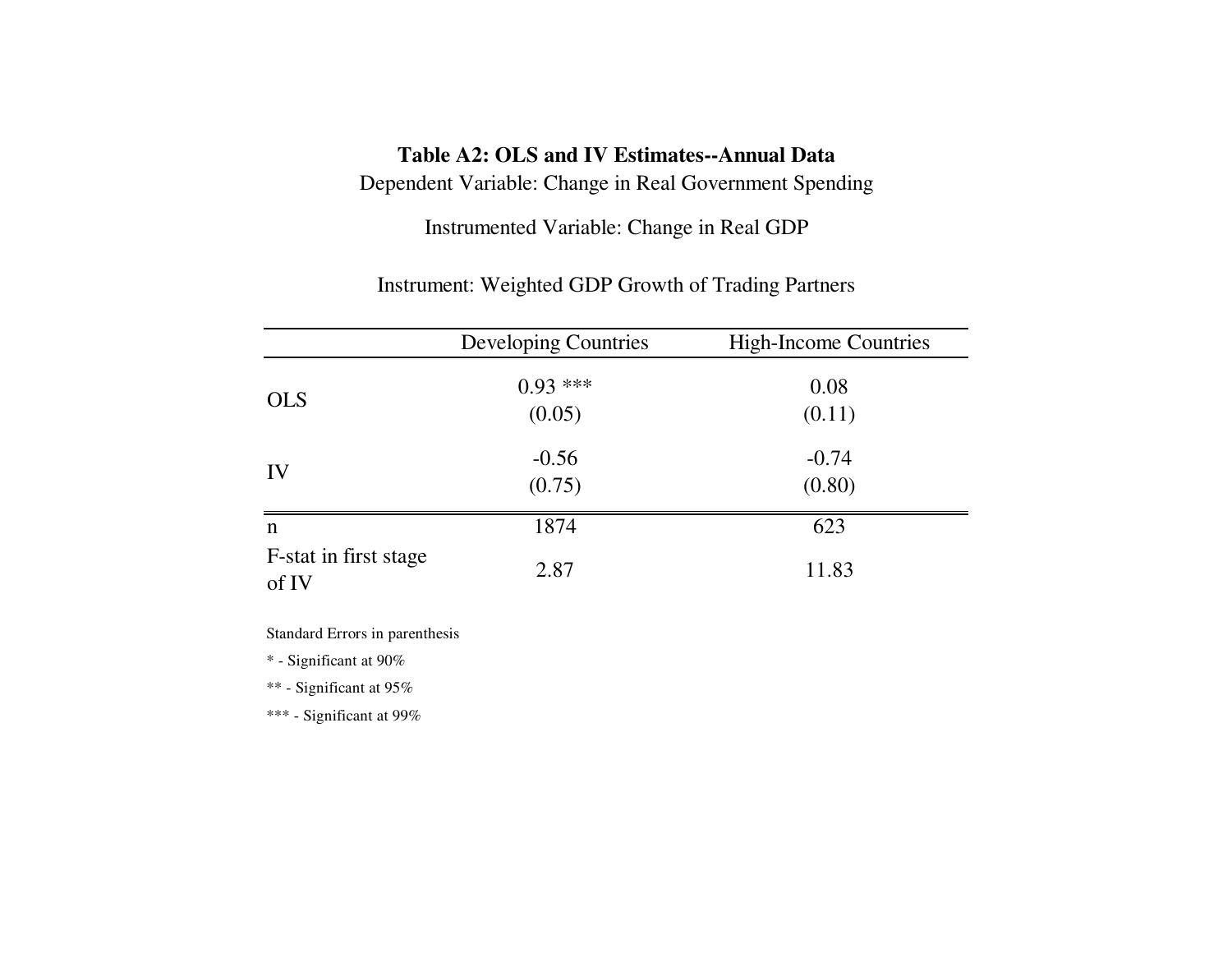## **Table A2: OLS and IV Estimates--Annual Data**

Dependent Variable: Change in Real Government Spending

Instrumented Variable: Change in Real GDP

Instrument: Weighted GDP Growth of Trading Partners

|                                | <b>Developing Countries</b> | <b>High-Income Countries</b> |
|--------------------------------|-----------------------------|------------------------------|
| <b>OLS</b>                     | $0.93***$<br>(0.05)         | 0.08<br>(0.11)               |
| IV                             | $-0.56$<br>(0.75)           | $-0.74$<br>(0.80)            |
| n                              | 1874                        | 623                          |
| F-stat in first stage<br>of IV | 2.87                        | 11.83                        |

Standard Errors in parenthesis

\* - Significant at 90%

\*\* - Significant at 95%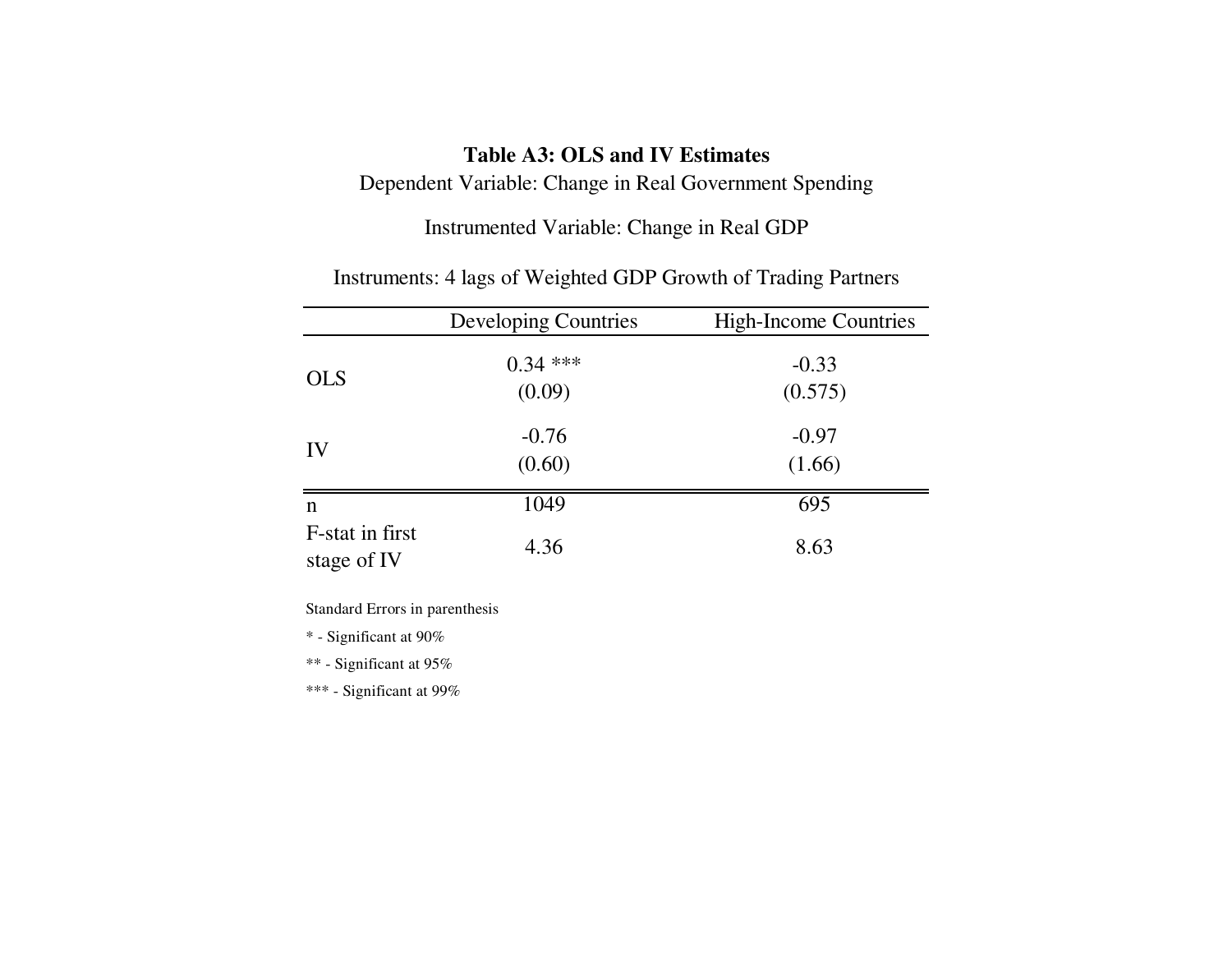# **Table A3: OLS and IV Estimates**

Dependent Variable: Change in Real Government Spending

Instrumented Variable: Change in Real GDP

|                                | <b>Developing Countries</b> | <b>High-Income Countries</b> |
|--------------------------------|-----------------------------|------------------------------|
| <b>OLS</b>                     | $0.34$ ***<br>(0.09)        | $-0.33$<br>(0.575)           |
| IV                             | $-0.76$<br>(0.60)           | $-0.97$<br>(1.66)            |
| n                              | 1049                        | 695                          |
| F-stat in first<br>stage of IV | 4.36                        | 8.63                         |

Instruments: 4 lags of Weighted GDP Growth of Trading Partners

Standard Errors in parenthesis

\* - Significant at 90%

\*\* - Significant at 95%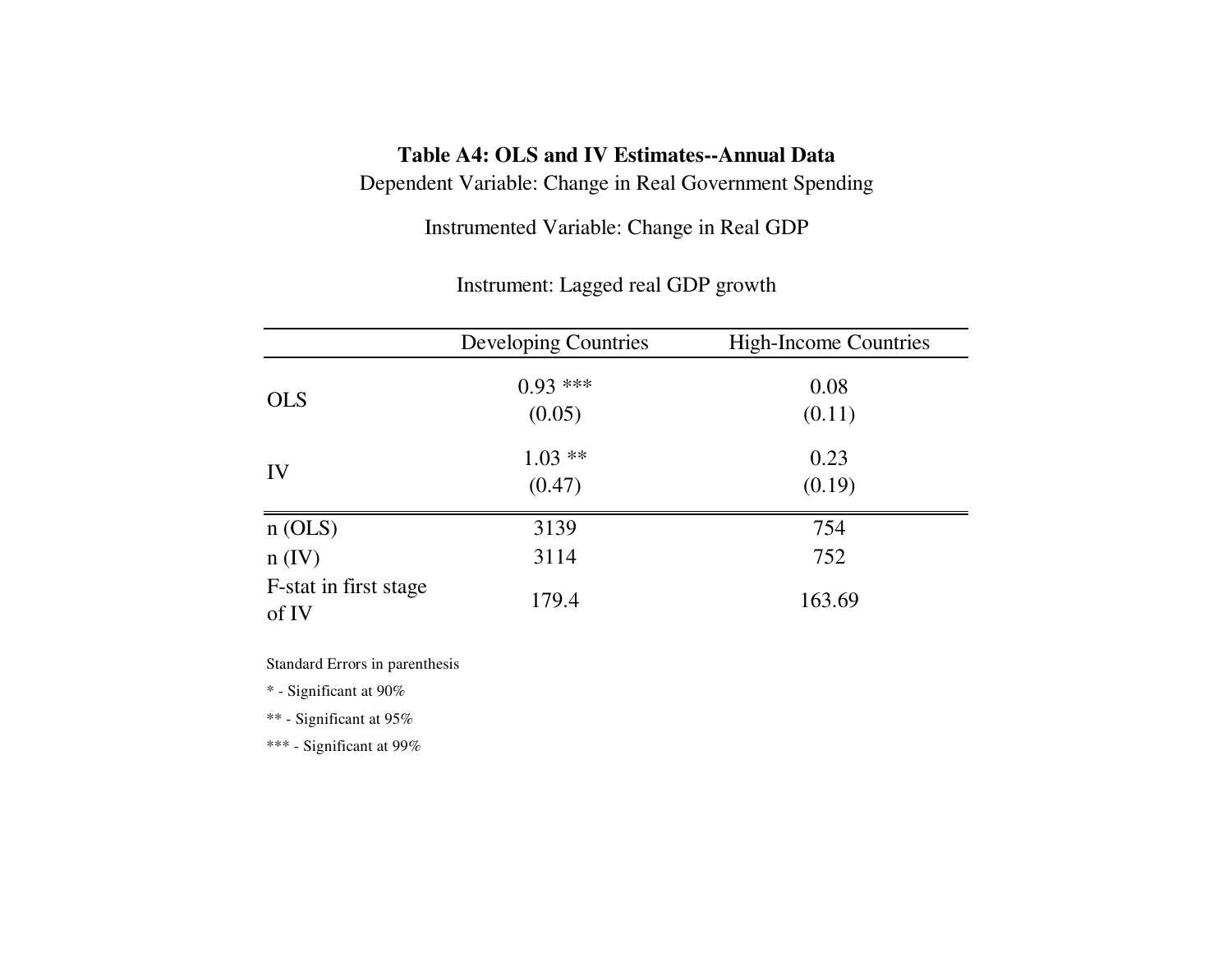# **Table A4: OLS and IV Estimates--Annual Data**

Dependent Variable: Change in Real Government Spending

Instrumented Variable: Change in Real GDP

| Instrument: Lagged real GDP growth |  |  |  |  |  |
|------------------------------------|--|--|--|--|--|
|------------------------------------|--|--|--|--|--|

|                                | <b>Developing Countries</b> | <b>High-Income Countries</b> |
|--------------------------------|-----------------------------|------------------------------|
| <b>OLS</b>                     | $0.93***$                   | 0.08                         |
|                                | (0.05)                      | (0.11)                       |
| IV                             | $1.03**$                    | 0.23                         |
|                                | (0.47)                      | (0.19)                       |
| n(OLS)                         | 3139                        | 754                          |
| $n$ (IV)                       | 3114                        | 752                          |
| F-stat in first stage<br>of IV | 179.4                       | 163.69                       |

Standard Errors in parenthesis

\* - Significant at 90%

\*\* - Significant at 95%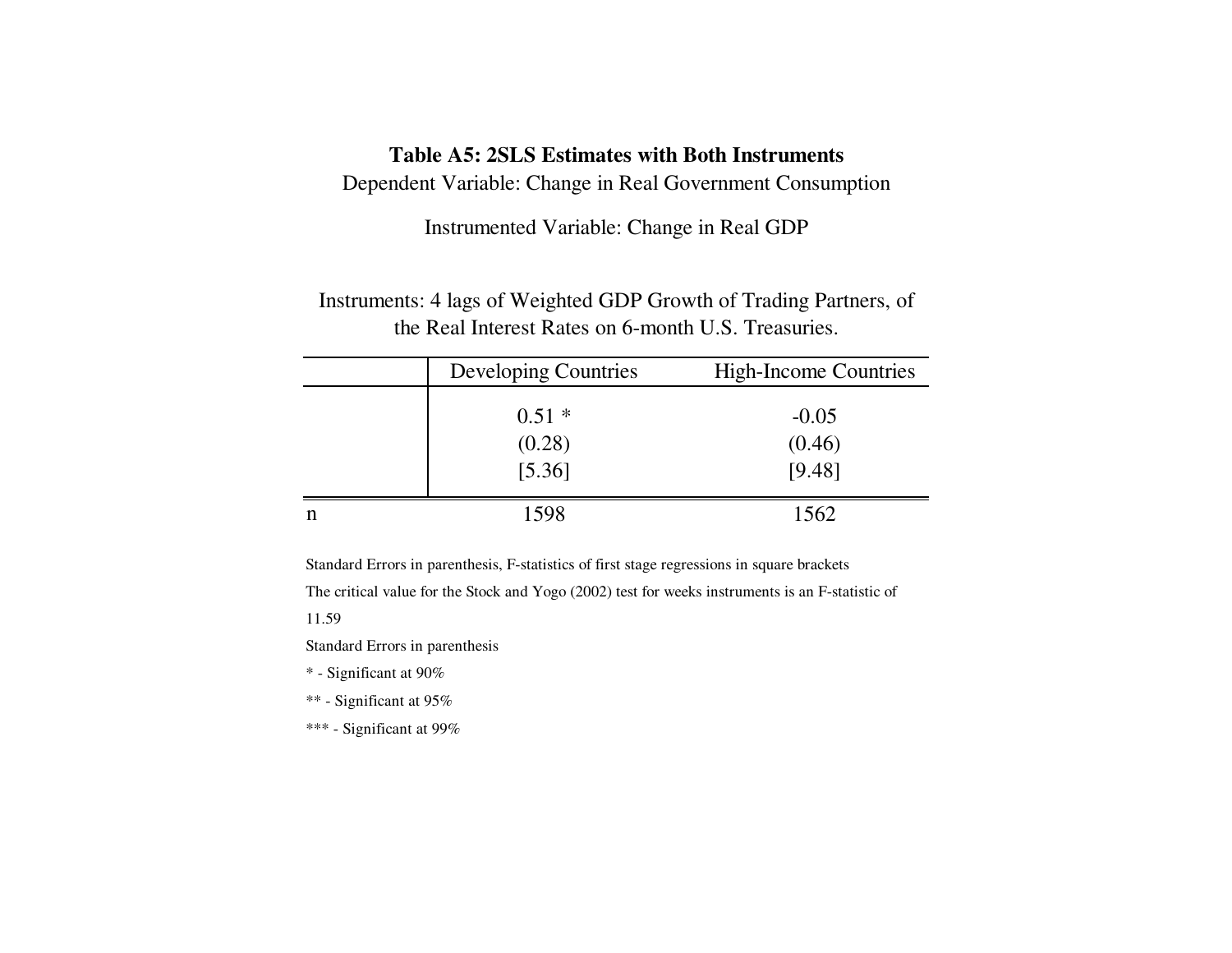### **Table A5: 2SLS Estimates with Both Instruments**

Dependent Variable: Change in Real Government Consumption

Instrumented Variable: Change in Real GDP

Instruments: 4 lags of Weighted GDP Growth of Trading Partners, of the Real Interest Rates on 6-month U.S. Treasuries.

| <b>Developing Countries</b> | <b>High-Income Countries</b> |
|-----------------------------|------------------------------|
| $0.51*$                     | $-0.05$                      |
| (0.28)                      | (0.46)                       |
| [5.36]                      | [9.48]                       |
| 1598                        | 1562                         |

Standard Errors in parenthesis, F-statistics of first stage regressions in square brackets

The critical value for the Stock and Yogo (2002) test for weeks instruments is an F-statistic of

11.59

Standard Errors in parenthesis

- \* Significant at 90%
- \*\* Significant at 95%
- \*\*\* Significant at 99%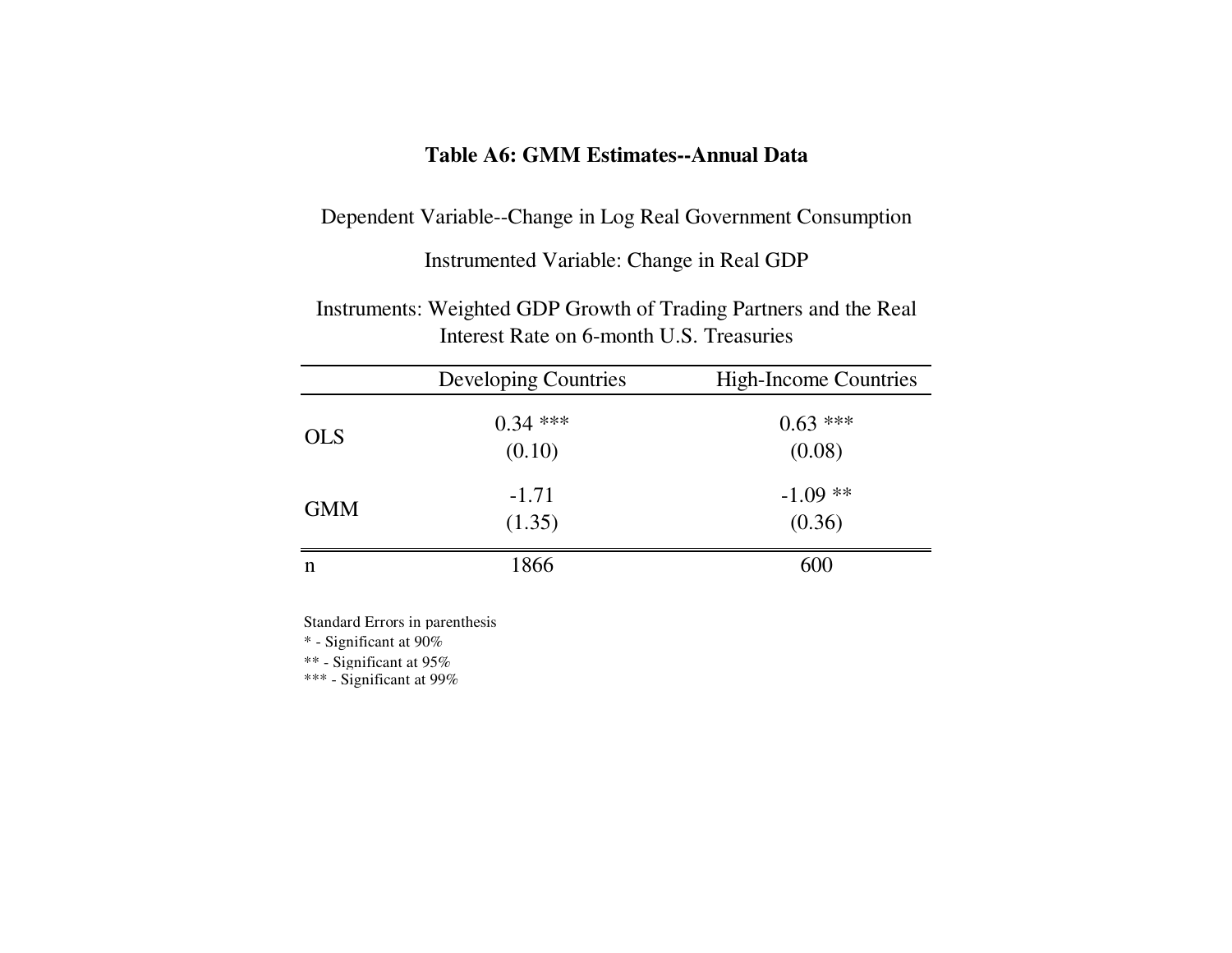# **Table A6: GMM Estimates--Annual Data**

Dependent Variable--Change in Log Real Government Consumption

Instrumented Variable: Change in Real GDP

Instruments: Weighted GDP Growth of Trading Partners and the Real Interest Rate on 6-month U.S. Treasuries

|            | <b>Developing Countries</b> | <b>High-Income Countries</b> |
|------------|-----------------------------|------------------------------|
| <b>OLS</b> | $0.34$ ***<br>(0.10)        | $0.63$ ***<br>(0.08)         |
| <b>GMM</b> | $-1.71$<br>(1.35)           | $-1.09**$<br>(0.36)          |
| n          | 1866                        | 600                          |

Standard Errors in parenthesis

\* - Significant at 90%

 $^{**}$  - Significant at 95%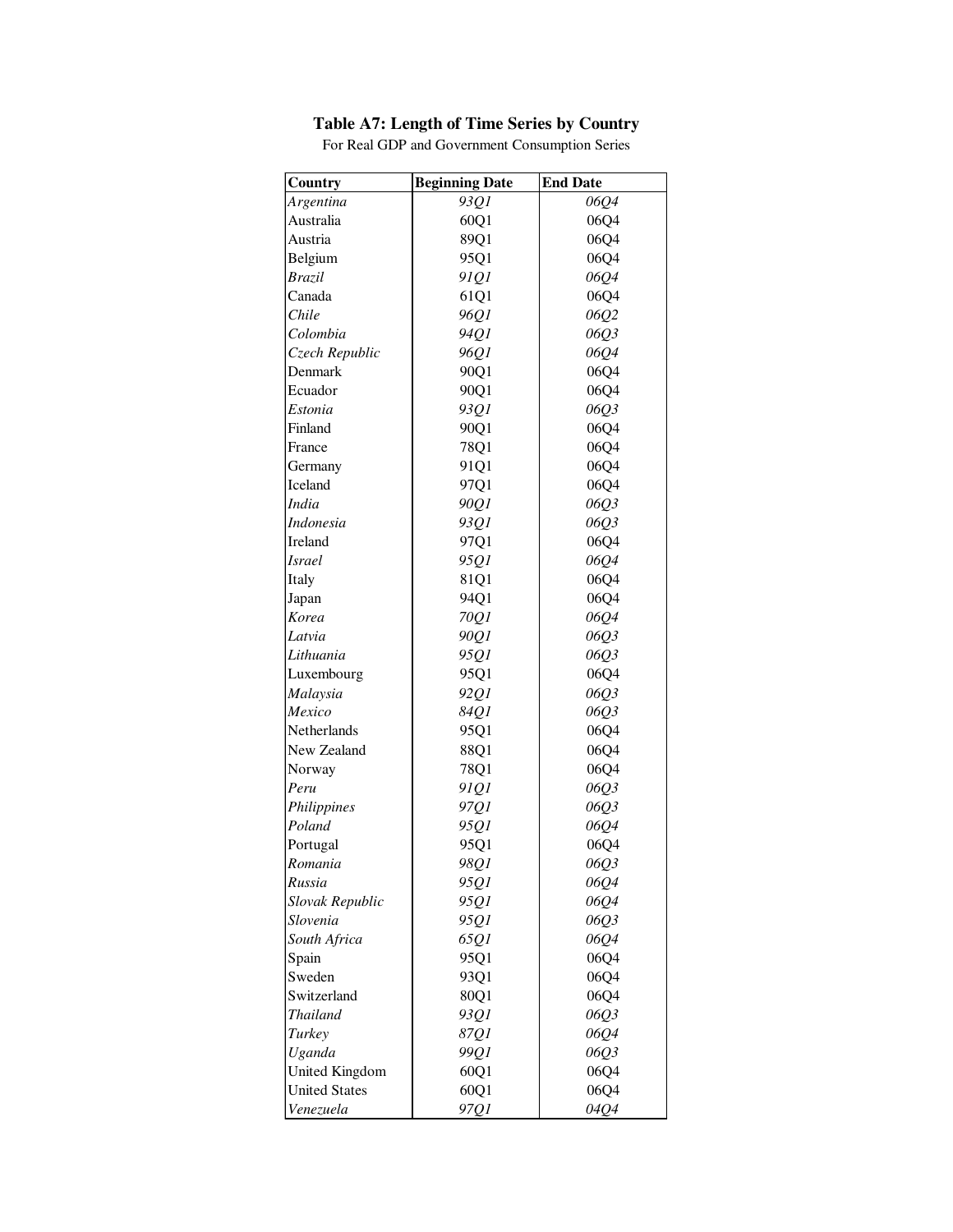### **Table A7: Length of Time Series by Country**

**Country Beginning Date End Date** *Argentina 93Q1 06Q4* Australia 160Q1 06Q4 Austria 19901 06Q4 Belgium 1 95Q1 06Q4 *Brazil 91Q1 06Q4* Canada 1 61Q1 06Q4 *Chile 96Q1 06Q2 Colombia 94Q1 06Q3 Czech Republic 96Q1 06Q4* Denmark 90Q1 06Q4 Ecuador 1 90Q1 06Q4 *Estonia 93Q1 06Q3* Finland 90Q1 06Q4 France 78Q1 06Q4 Germany 91Q1 06Q4 Iceland 1 97Q1 06Q4 *India 90Q1 06Q3 Indonesia 93Q1 06Q3* Ireland 97Q1 06Q4 *Israel 95Q1 06Q4* Italy 81Q1 06Q4 Japan 94Q1 06Q4 *Korea 70Q1 06Q4 Latvia 90Q1 06Q3 Lithuania 95Q1 06Q3* Luxembourg 1 95Q1 06Q4 *Malaysia 92Q1 06Q3 Mexico 84Q1 06Q3* Netherlands 95Q1 06Q4 New Zealand 88Q1 06Q4 Norway 78Q1 06Q4 *Peru 91Q1 06Q3 Philippines 97Q1 06Q3 Poland 95Q1 06Q4* Portugal 95Q1 06Q4 *Romania 98Q1 06Q3 Russia 95Q1 06Q4 Slovak Republic 95Q1 06Q4 Slovenia 95Q1 06Q3 South Africa 65Q1 06Q4* Spain 95Q1 06Q4 Sweden 1 93Q1 06Q4 Switzerland 80Q1 06Q4 *Thailand 93Q1 06Q3 Turkey 87Q1 06Q4 Uganda 99Q1 06Q3* United Kingdom 60Q1 06Q4 United States  $60Q1$  06Q4 *Venezuela 97Q1 04Q4*

For Real GDP and Government Consumption Series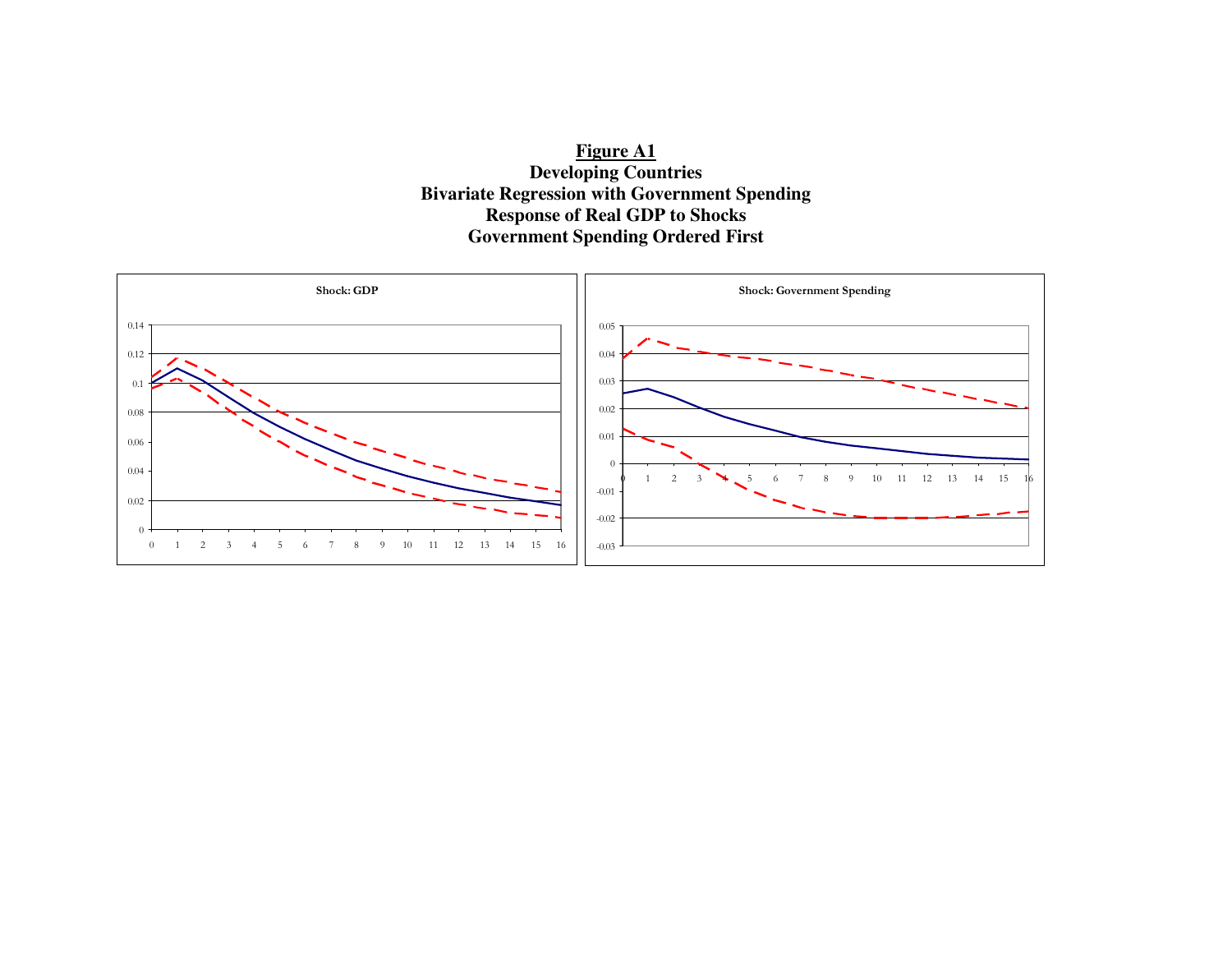**Figure A1 Developing Countries Bivariate Regression with Government Spending Response of Real GDP to Shocks Government Spending Ordered First** 

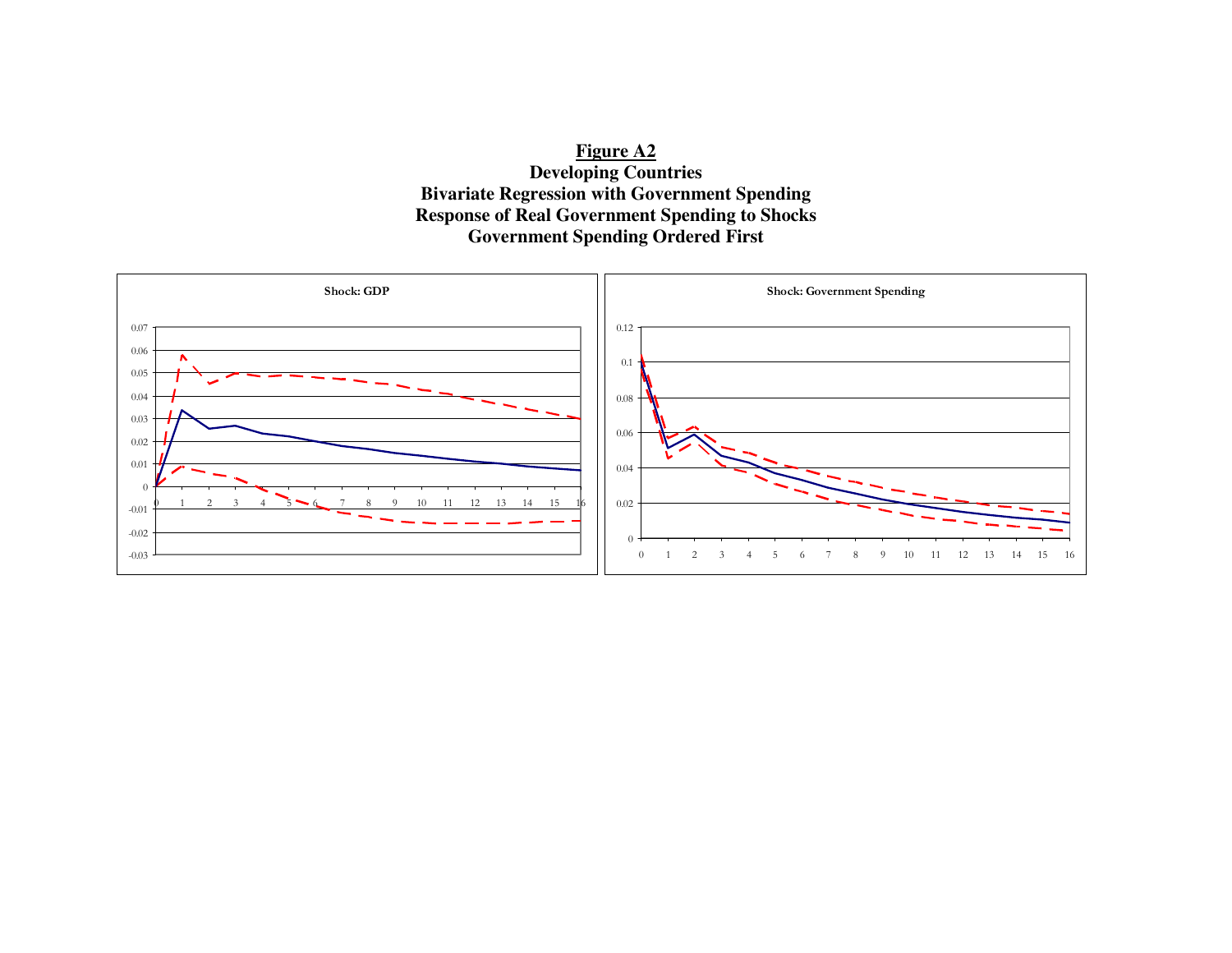**Figure A2 Developing Countries Bivariate Regression with Government Spending Response of Real Government Spending to Shocks Government Spending Ordered First** 

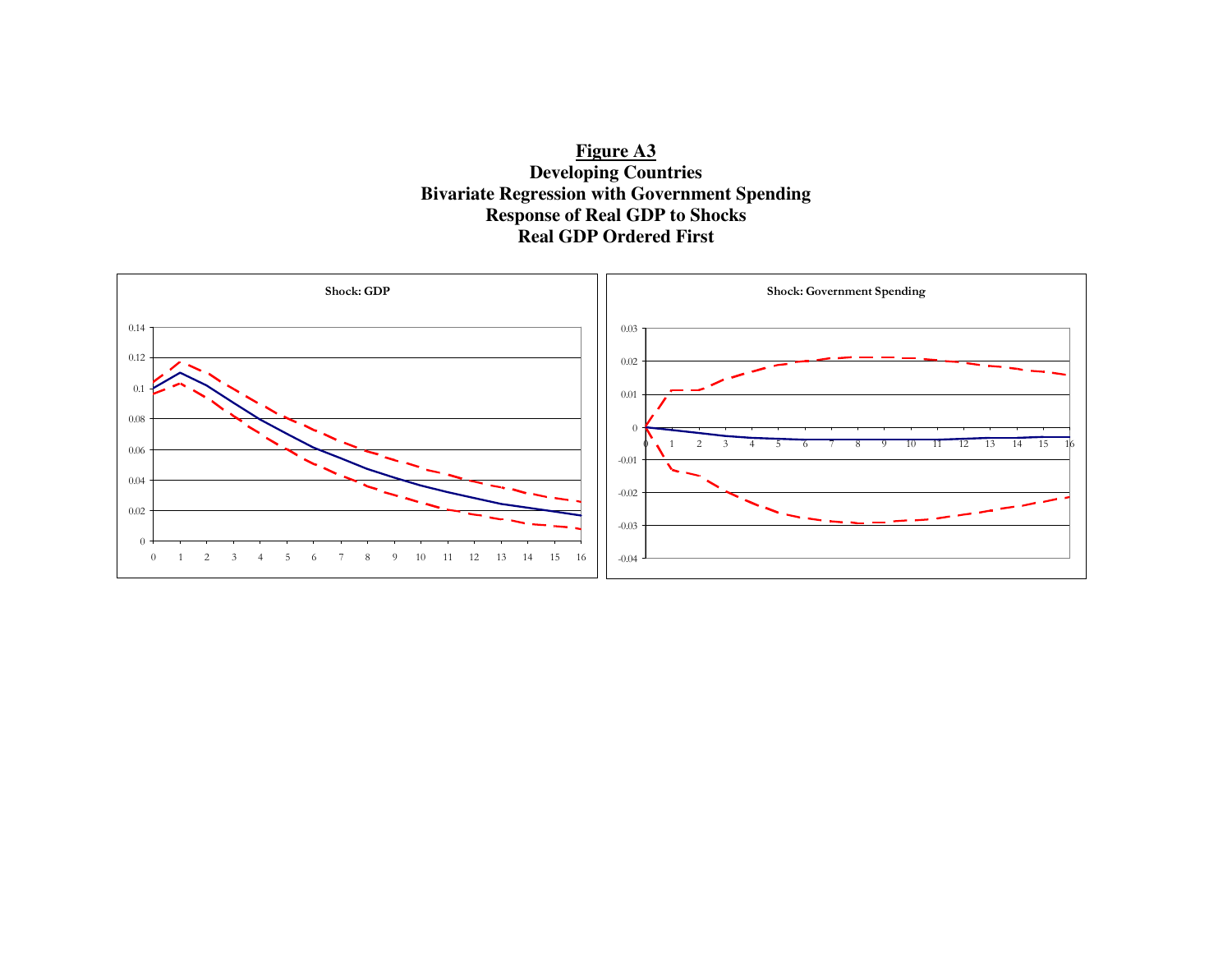

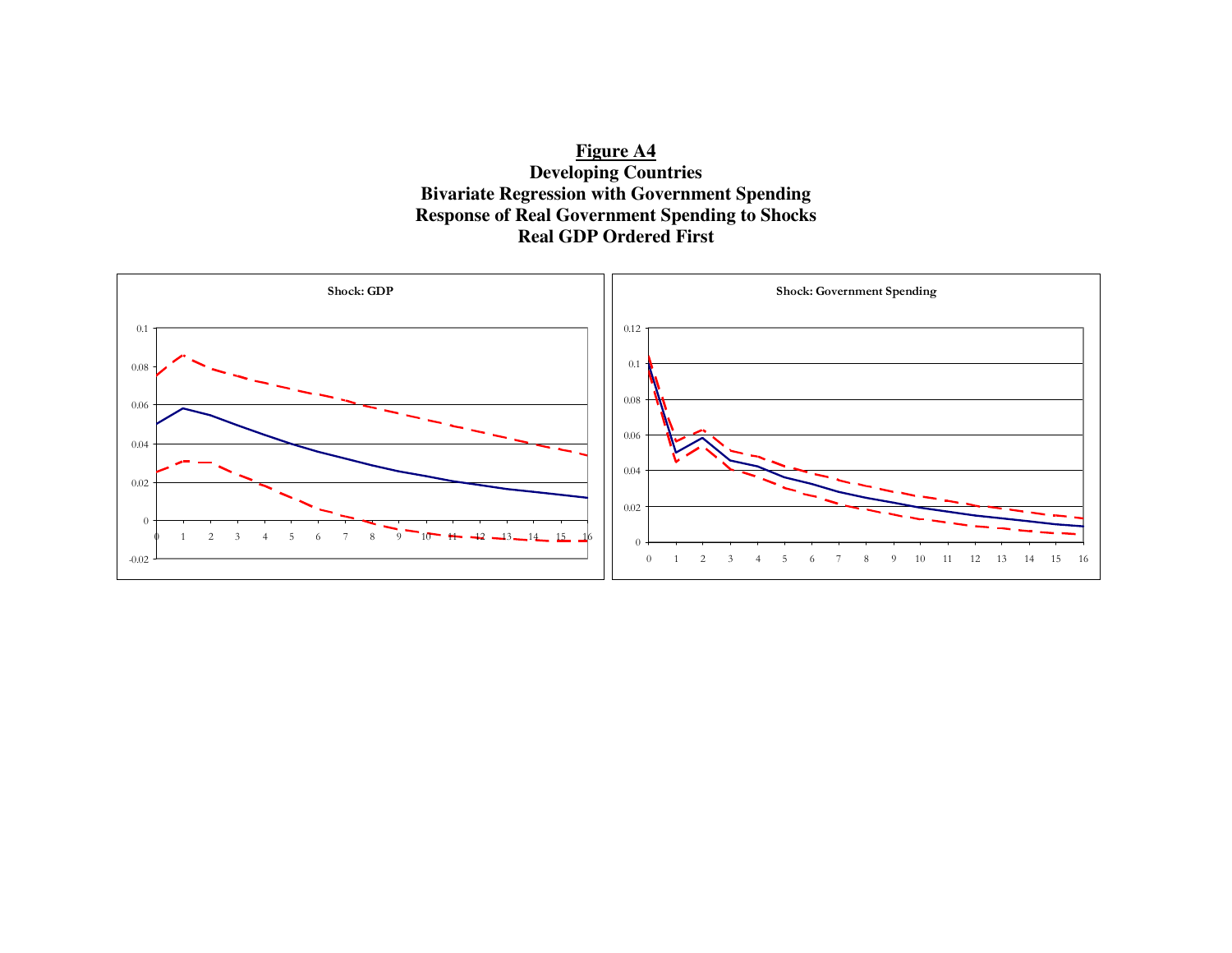**Figure A4 Developing Countries Bivariate Regression with Government Spending Response of Real Government Spending to Shocks Real GDP Ordered First** 

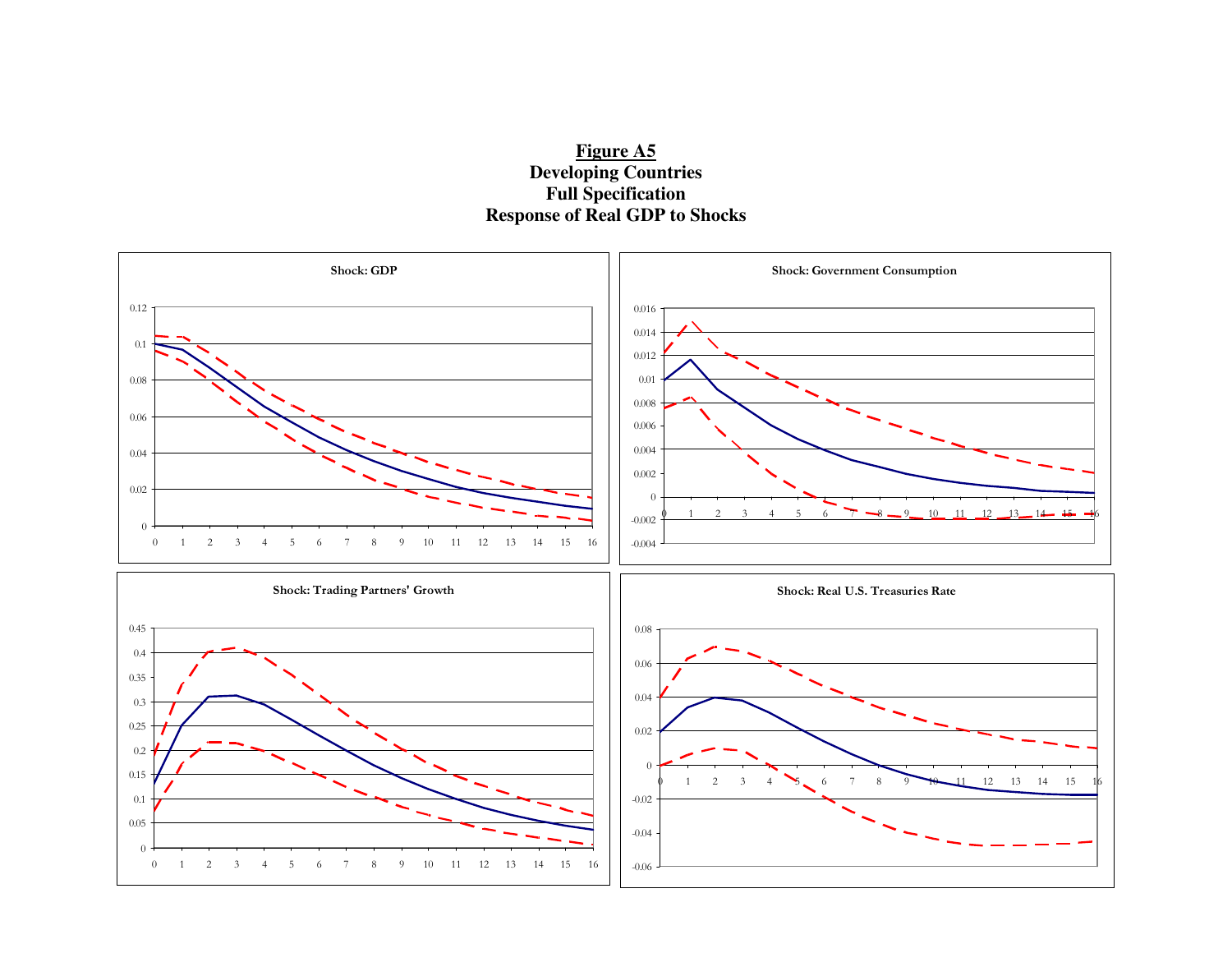

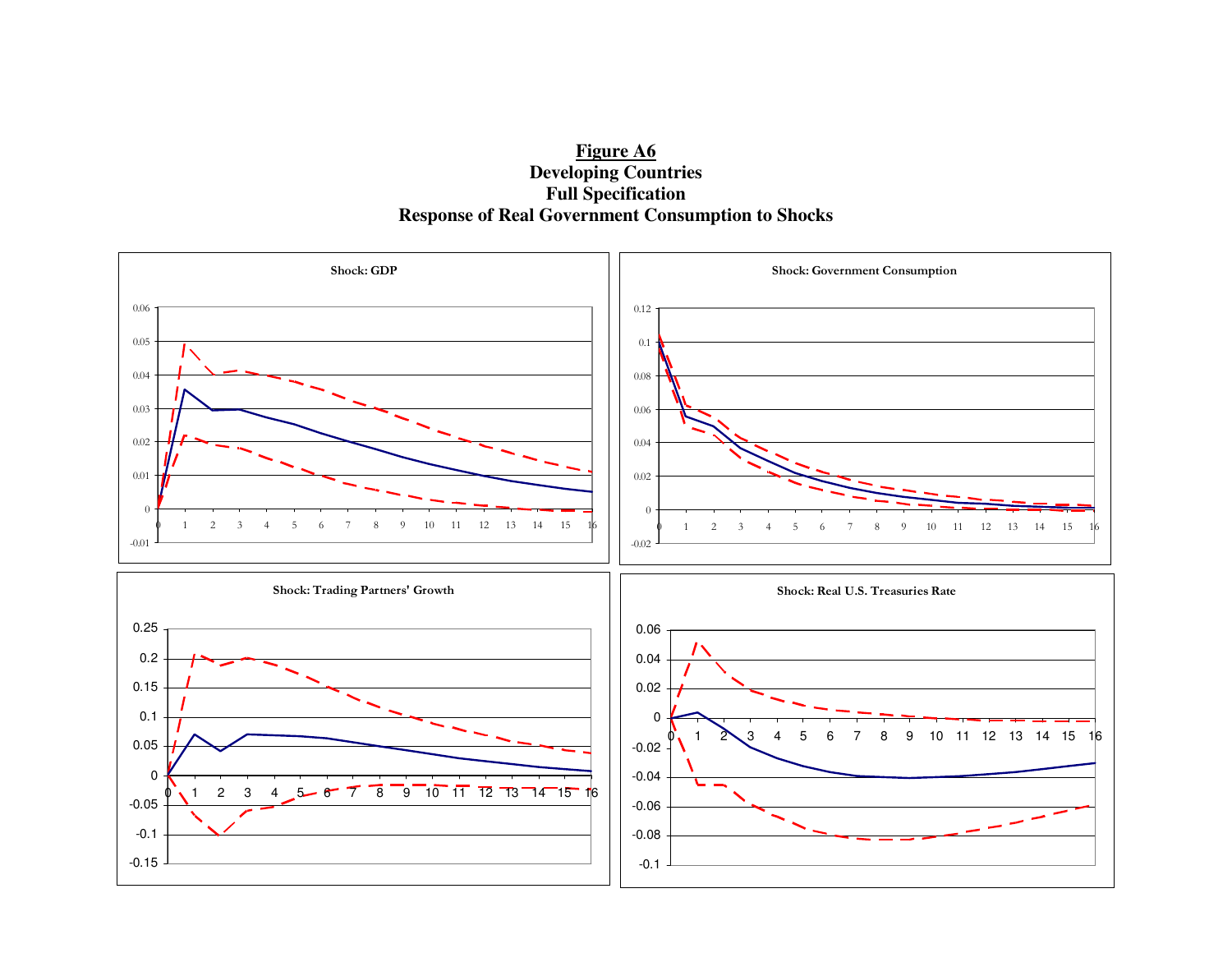**Figure A6 Developing Countries Full Specification Response of Real Government Consumption to Shocks** 

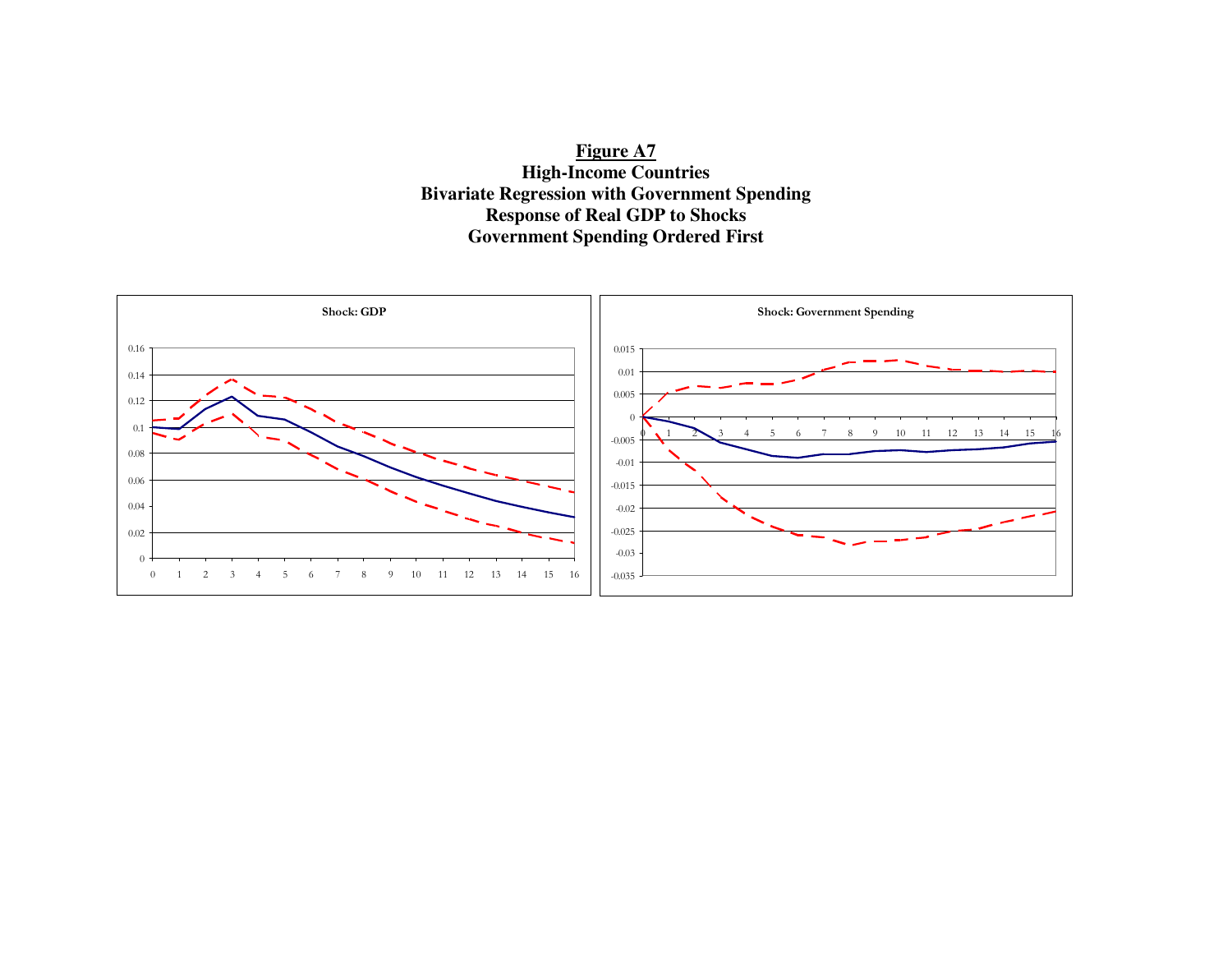**Figure A7 High-Income Countries Bivariate Regression with Government Spending Response of Real GDP to Shocks Government Spending Ordered First** 

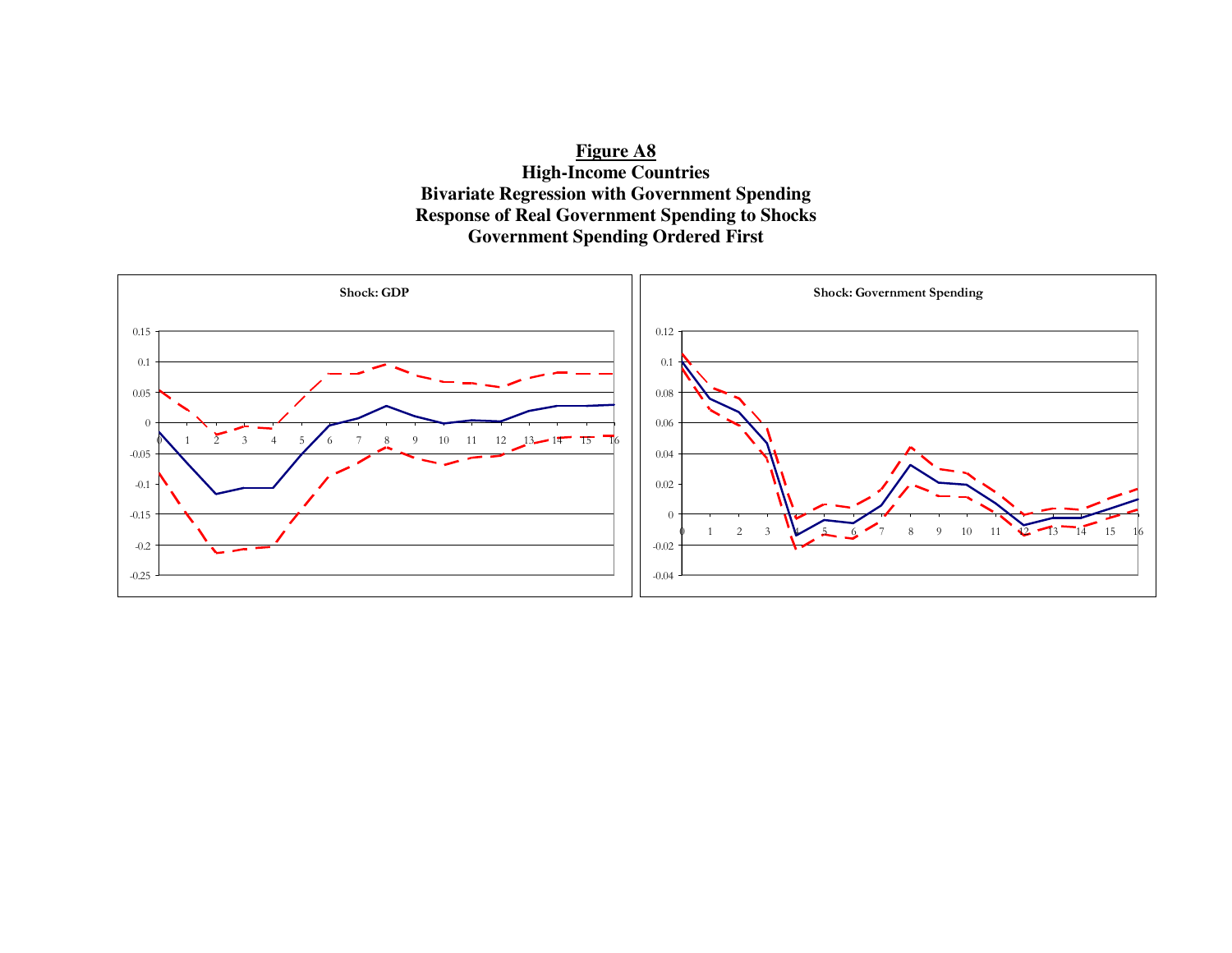**Figure A8 High-Income Countries Bivariate Regression with Government Spending Response of Real Government Spending to Shocks Government Spending Ordered First** 

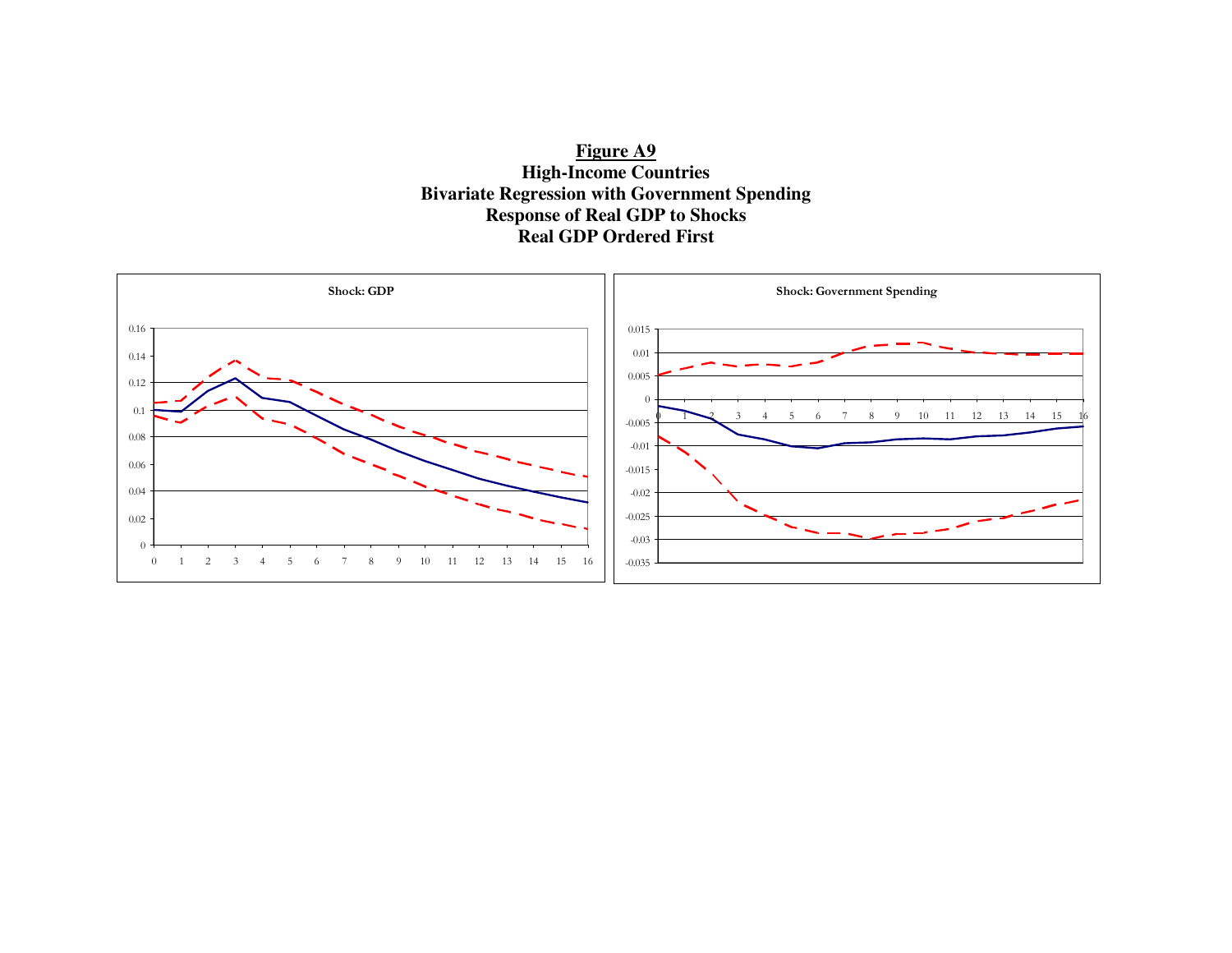

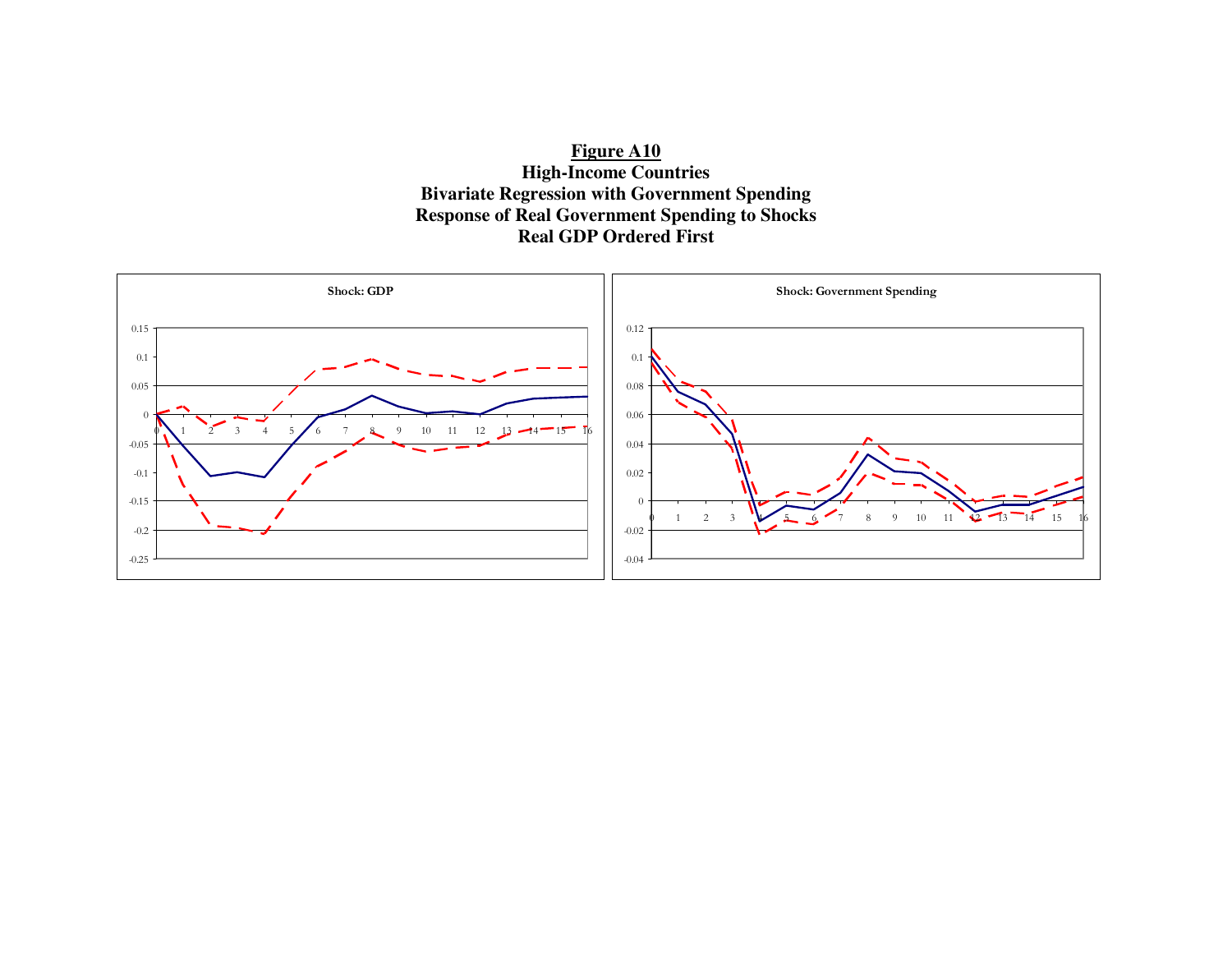**Figure A10 High-Income Countries Bivariate Regression with Government Spending Response of Real Government Spending to Shocks Real GDP Ordered First** 

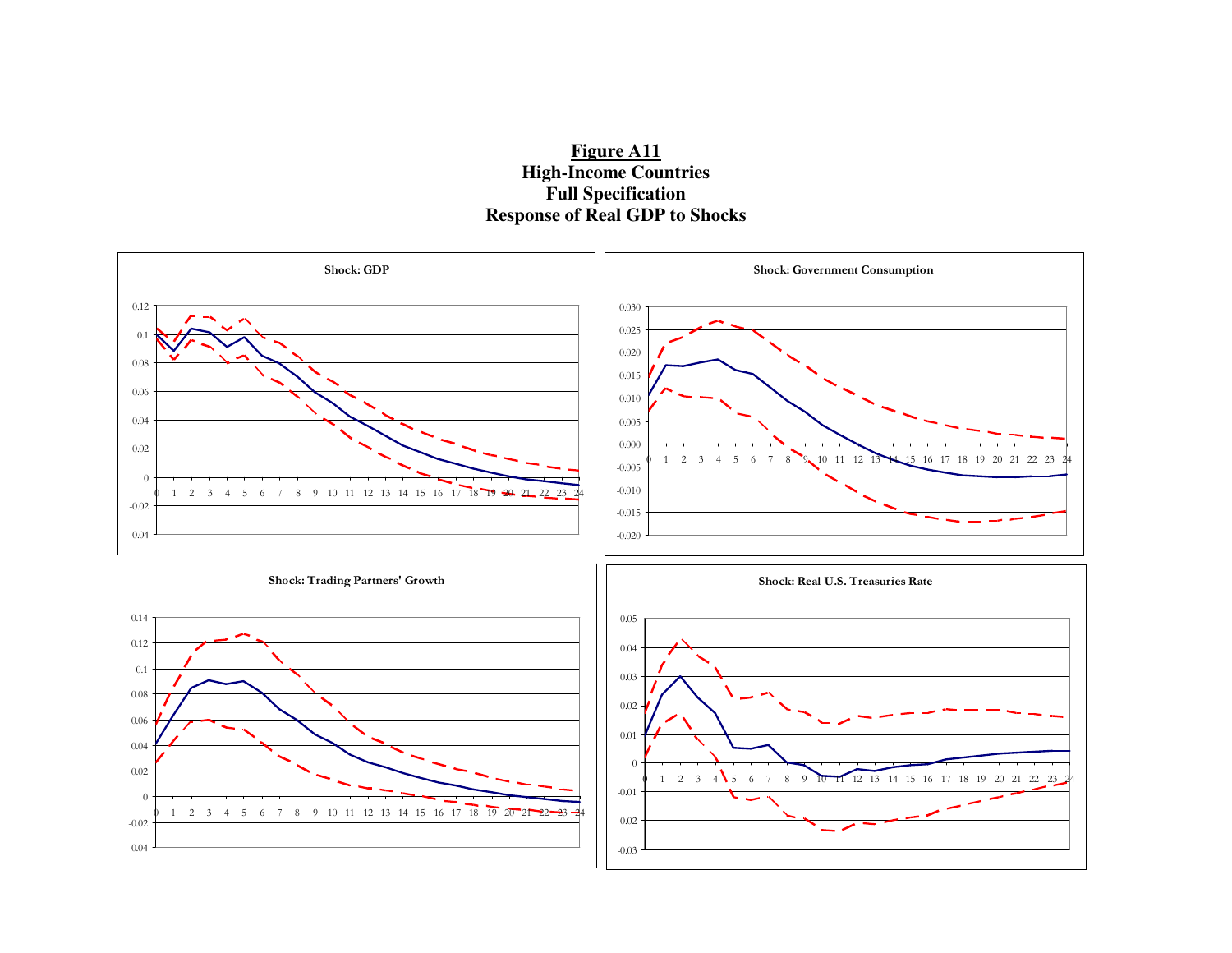